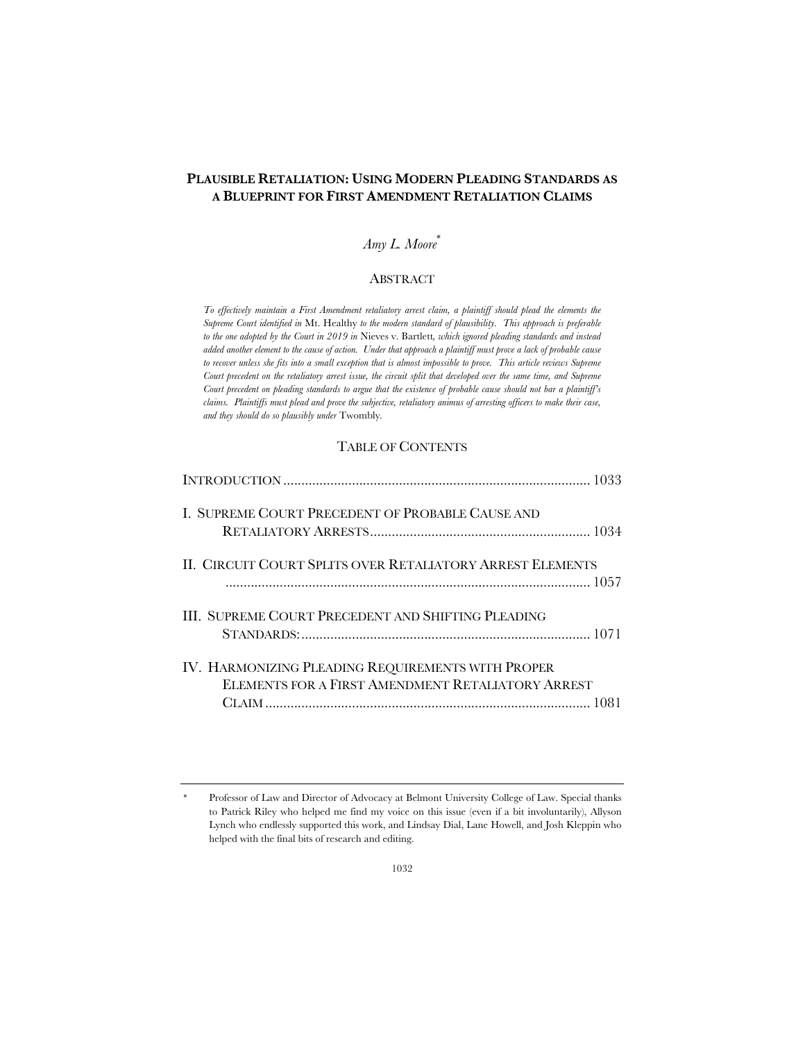# **PLAUSIBLE RETALIATION: USING MODERN PLEADING STANDARDS AS A BLUEPRINT FOR FIRST AMENDMENT RETALIATION CLAIMS**

# *Amy L. Moore*\*

### ABSTRACT

*To effectively maintain a First Amendment retaliatory arrest claim, a plaintiff should plead the elements the Supreme Court identified in* Mt. Healthy *to the modern standard of plausibility. This approach is preferable to the one adopted by the Court in 2019 in* Nieves v. Bartlett*, which ignored pleading standards and instead added another element to the cause of action. Under that approach a plaintiff must prove a lack of probable cause to recover unless she fits into a small exception that is almost impossible to prove. This article reviews Supreme Court precedent on the retaliatory arrest issue, the circuit split that developed over the same time, and Supreme Court precedent on pleading standards to argue that the existence of probable cause should not bar a plaintiff's claims. Plaintiffs must plead and prove the subjective, retaliatory animus of arresting officers to make their case, and they should do so plausibly under* Twombly*.*

### TABLE OF CONTENTS

| I. SUPREME COURT PRECEDENT OF PROBABLE CAUSE AND                                                       |
|--------------------------------------------------------------------------------------------------------|
| II. CIRCUIT COURT SPLITS OVER RETALIATORY ARREST ELEMENTS                                              |
| III. SUPREME COURT PRECEDENT AND SHIFTING PLEADING                                                     |
| IV. HARMONIZING PLEADING REQUIREMENTS WITH PROPER<br>ELEMENTS FOR A FIRST AMENDMENT RETALIATORY ARREST |

<sup>\*</sup> Professor of Law and Director of Advocacy at Belmont University College of Law. Special thanks to Patrick Riley who helped me find my voice on this issue (even if a bit involuntarily), Allyson Lynch who endlessly supported this work, and Lindsay Dial, Lane Howell, and Josh Kleppin who helped with the final bits of research and editing.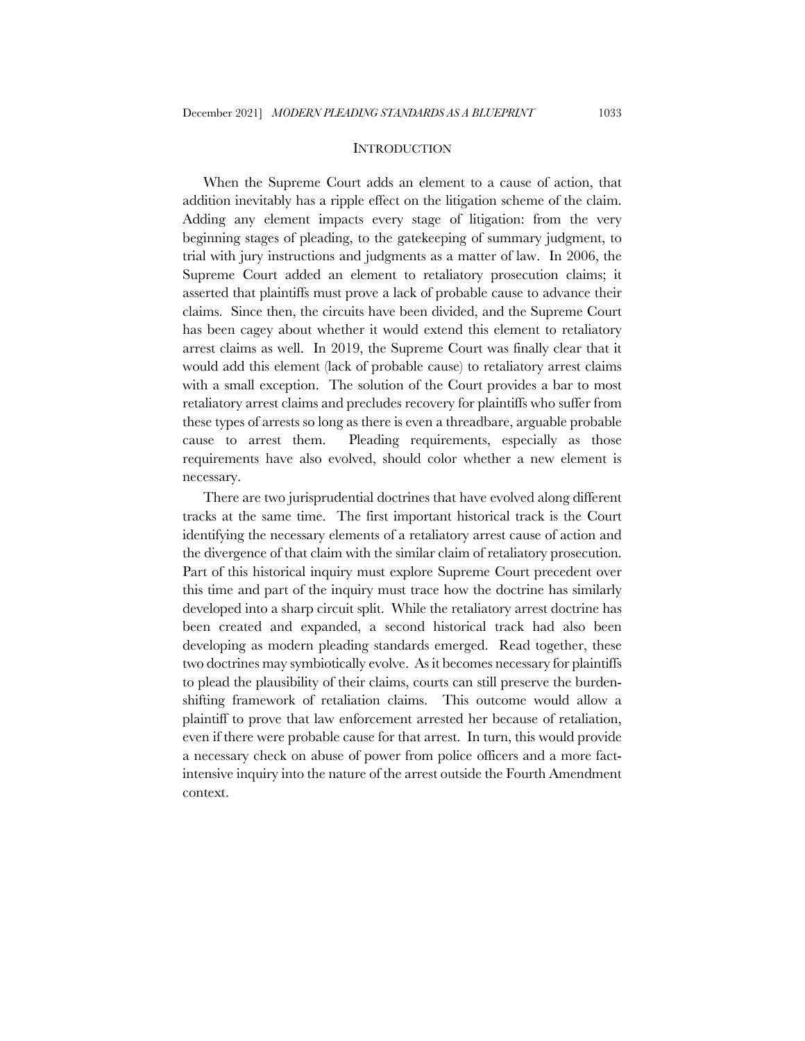#### **INTRODUCTION**

When the Supreme Court adds an element to a cause of action, that addition inevitably has a ripple effect on the litigation scheme of the claim. Adding any element impacts every stage of litigation: from the very beginning stages of pleading, to the gatekeeping of summary judgment, to trial with jury instructions and judgments as a matter of law. In 2006, the Supreme Court added an element to retaliatory prosecution claims; it asserted that plaintiffs must prove a lack of probable cause to advance their claims. Since then, the circuits have been divided, and the Supreme Court has been cagey about whether it would extend this element to retaliatory arrest claims as well. In 2019, the Supreme Court was finally clear that it would add this element (lack of probable cause) to retaliatory arrest claims with a small exception. The solution of the Court provides a bar to most retaliatory arrest claims and precludes recovery for plaintiffs who suffer from these types of arrests so long as there is even a threadbare, arguable probable cause to arrest them. Pleading requirements, especially as those requirements have also evolved, should color whether a new element is necessary.

There are two jurisprudential doctrines that have evolved along different tracks at the same time. The first important historical track is the Court identifying the necessary elements of a retaliatory arrest cause of action and the divergence of that claim with the similar claim of retaliatory prosecution. Part of this historical inquiry must explore Supreme Court precedent over this time and part of the inquiry must trace how the doctrine has similarly developed into a sharp circuit split. While the retaliatory arrest doctrine has been created and expanded, a second historical track had also been developing as modern pleading standards emerged. Read together, these two doctrines may symbiotically evolve. As it becomes necessary for plaintiffs to plead the plausibility of their claims, courts can still preserve the burdenshifting framework of retaliation claims. This outcome would allow a plaintiff to prove that law enforcement arrested her because of retaliation, even if there were probable cause for that arrest. In turn, this would provide a necessary check on abuse of power from police officers and a more factintensive inquiry into the nature of the arrest outside the Fourth Amendment context.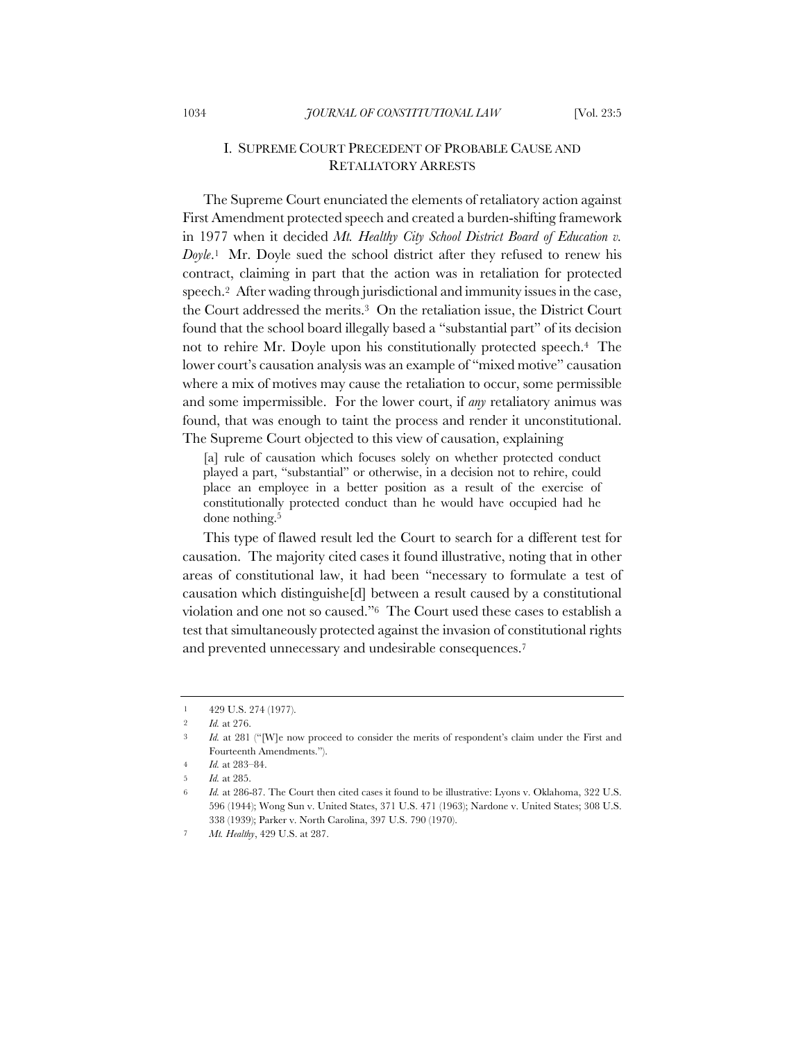## I. SUPREME COURT PRECEDENT OF PROBABLE CAUSE AND RETALIATORY ARRESTS

The Supreme Court enunciated the elements of retaliatory action against First Amendment protected speech and created a burden-shifting framework in 1977 when it decided *Mt. Healthy City School District Board of Education v. Doyle*.1 Mr. Doyle sued the school district after they refused to renew his contract, claiming in part that the action was in retaliation for protected speech.2 After wading through jurisdictional and immunity issues in the case, the Court addressed the merits.3 On the retaliation issue, the District Court found that the school board illegally based a "substantial part" of its decision not to rehire Mr. Doyle upon his constitutionally protected speech.4 The lower court's causation analysis was an example of "mixed motive" causation where a mix of motives may cause the retaliation to occur, some permissible and some impermissible. For the lower court, if *any* retaliatory animus was found, that was enough to taint the process and render it unconstitutional. The Supreme Court objected to this view of causation, explaining

[a] rule of causation which focuses solely on whether protected conduct played a part, "substantial" or otherwise, in a decision not to rehire, could place an employee in a better position as a result of the exercise of constitutionally protected conduct than he would have occupied had he done nothing.<sup>5</sup>

This type of flawed result led the Court to search for a different test for causation. The majority cited cases it found illustrative, noting that in other areas of constitutional law, it had been "necessary to formulate a test of causation which distinguishe[d] between a result caused by a constitutional violation and one not so caused."6 The Court used these cases to establish a test that simultaneously protected against the invasion of constitutional rights and prevented unnecessary and undesirable consequences.7

<sup>1</sup> 429 U.S. 274 (1977).

<sup>2</sup> *Id.* at 276.

<sup>&</sup>lt;sup>3</sup> *Id.* at 281 ("[W]e now proceed to consider the merits of respondent's claim under the First and Fourteenth Amendments.").

<sup>4</sup> *Id.* at 283–84.

<sup>5</sup> *Id.* at 285.

<sup>6</sup> *Id.* at 286-87. The Court then cited cases it found to be illustrative: Lyons v. Oklahoma, 322 U.S. 596 (1944); Wong Sun v. United States, 371 U.S. 471 (1963); Nardone v. United States; 308 U.S. 338 (1939); Parker v. North Carolina, 397 U.S. 790 (1970).

<sup>7</sup> *Mt. Healthy*, 429 U.S. at 287.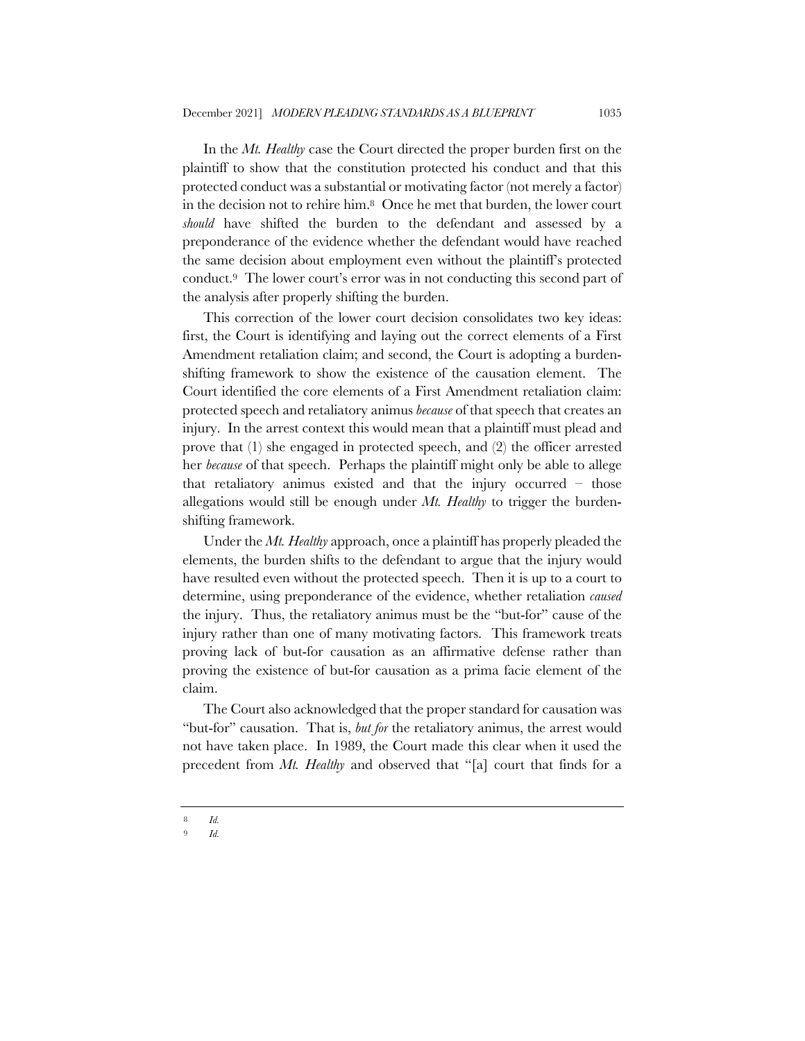In the *Mt. Healthy* case the Court directed the proper burden first on the plaintiff to show that the constitution protected his conduct and that this protected conduct was a substantial or motivating factor (not merely a factor) in the decision not to rehire him.8 Once he met that burden, the lower court *should* have shifted the burden to the defendant and assessed by a preponderance of the evidence whether the defendant would have reached the same decision about employment even without the plaintiff's protected conduct.9 The lower court's error was in not conducting this second part of the analysis after properly shifting the burden.

This correction of the lower court decision consolidates two key ideas: first, the Court is identifying and laying out the correct elements of a First Amendment retaliation claim; and second, the Court is adopting a burdenshifting framework to show the existence of the causation element. The Court identified the core elements of a First Amendment retaliation claim: protected speech and retaliatory animus *because* of that speech that creates an injury. In the arrest context this would mean that a plaintiff must plead and prove that (1) she engaged in protected speech, and (2) the officer arrested her *because* of that speech. Perhaps the plaintiff might only be able to allege that retaliatory animus existed and that the injury occurred – those allegations would still be enough under *Mt. Healthy* to trigger the burdenshifting framework.

Under the *Mt. Healthy* approach, once a plaintiff has properly pleaded the elements, the burden shifts to the defendant to argue that the injury would have resulted even without the protected speech. Then it is up to a court to determine, using preponderance of the evidence, whether retaliation *caused* the injury. Thus, the retaliatory animus must be the "but-for" cause of the injury rather than one of many motivating factors. This framework treats proving lack of but-for causation as an affirmative defense rather than proving the existence of but-for causation as a prima facie element of the claim.

The Court also acknowledged that the proper standard for causation was "but-for" causation. That is, *but for* the retaliatory animus, the arrest would not have taken place. In 1989, the Court made this clear when it used the precedent from *Mt. Healthy* and observed that "[a] court that finds for a

<sup>8</sup> *Id.*

<sup>9</sup> *Id.*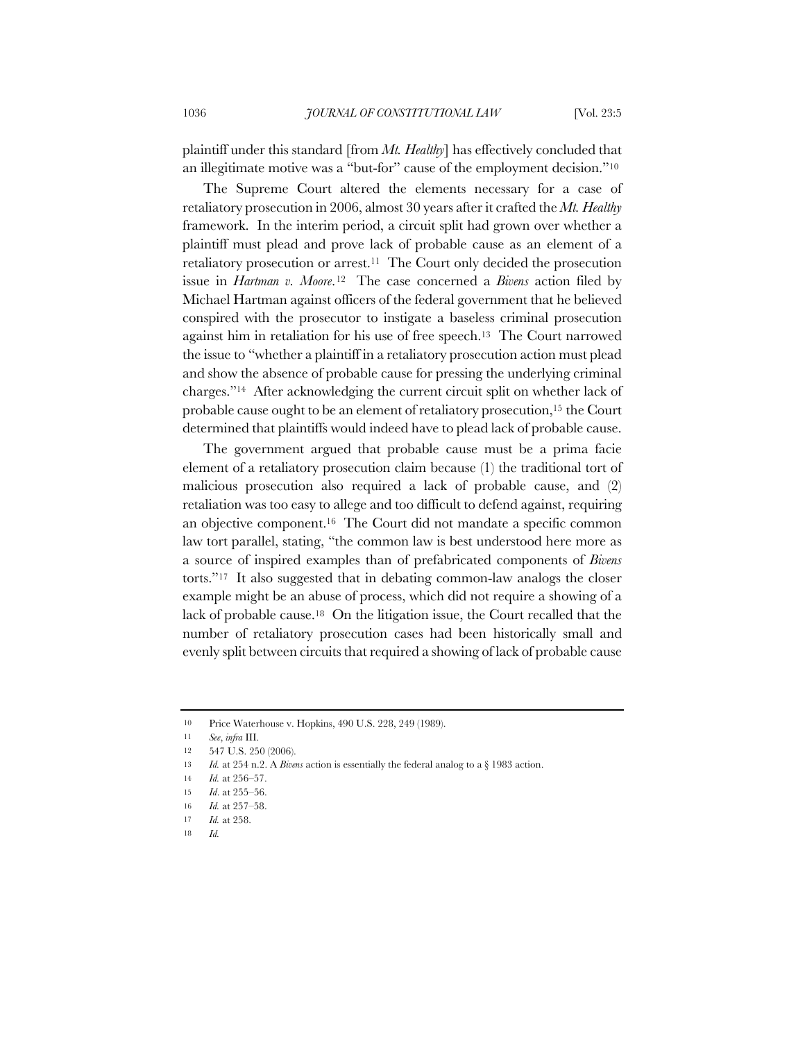plaintiff under this standard [from *Mt. Healthy*] has effectively concluded that an illegitimate motive was a "but-for" cause of the employment decision."10

The Supreme Court altered the elements necessary for a case of retaliatory prosecution in 2006, almost 30 years after it crafted the *Mt. Healthy* framework. In the interim period, a circuit split had grown over whether a plaintiff must plead and prove lack of probable cause as an element of a retaliatory prosecution or arrest.11 The Court only decided the prosecution issue in *Hartman v. Moore*.12 The case concerned a *Bivens* action filed by Michael Hartman against officers of the federal government that he believed conspired with the prosecutor to instigate a baseless criminal prosecution against him in retaliation for his use of free speech.13 The Court narrowed the issue to "whether a plaintiff in a retaliatory prosecution action must plead and show the absence of probable cause for pressing the underlying criminal charges."14 After acknowledging the current circuit split on whether lack of probable cause ought to be an element of retaliatory prosecution,15 the Court determined that plaintiffs would indeed have to plead lack of probable cause.

The government argued that probable cause must be a prima facie element of a retaliatory prosecution claim because (1) the traditional tort of malicious prosecution also required a lack of probable cause, and (2) retaliation was too easy to allege and too difficult to defend against, requiring an objective component.16 The Court did not mandate a specific common law tort parallel, stating, "the common law is best understood here more as a source of inspired examples than of prefabricated components of *Bivens* torts."17 It also suggested that in debating common-law analogs the closer example might be an abuse of process, which did not require a showing of a lack of probable cause.18 On the litigation issue, the Court recalled that the number of retaliatory prosecution cases had been historically small and evenly split between circuits that required a showing of lack of probable cause

<sup>10</sup> Price Waterhouse v. Hopkins, 490 U.S. 228, 249 (1989).

<sup>11</sup> *See*, *infra* III.

<sup>12</sup> 547 U.S. 250 (2006).

<sup>13</sup> *Id.* at 254 n.2. A *Bivens* action is essentially the federal analog to a § 1983 action.

<sup>14</sup> *Id.* at 256–57.

<sup>15</sup> *Id*. at 255–56.

<sup>16</sup> *Id.* at 257–58.

<sup>17</sup> *Id.* at 258.

<sup>18</sup> *Id.*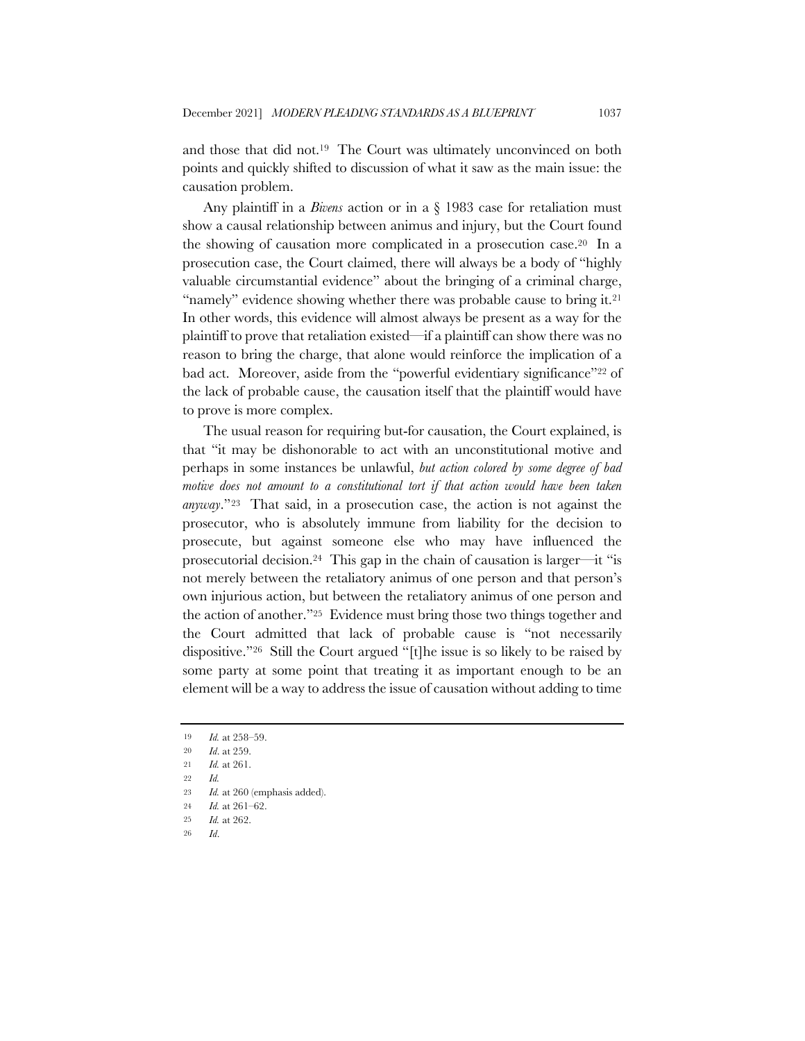and those that did not.19 The Court was ultimately unconvinced on both points and quickly shifted to discussion of what it saw as the main issue: the causation problem.

Any plaintiff in a *Bivens* action or in a § 1983 case for retaliation must show a causal relationship between animus and injury, but the Court found the showing of causation more complicated in a prosecution case.20 In a prosecution case, the Court claimed, there will always be a body of "highly valuable circumstantial evidence" about the bringing of a criminal charge, "namely" evidence showing whether there was probable cause to bring it.21 In other words, this evidence will almost always be present as a way for the plaintiff to prove that retaliation existed—if a plaintiff can show there was no reason to bring the charge, that alone would reinforce the implication of a bad act. Moreover, aside from the "powerful evidentiary significance"<sup>22</sup> of the lack of probable cause, the causation itself that the plaintiff would have to prove is more complex.

The usual reason for requiring but-for causation, the Court explained, is that "it may be dishonorable to act with an unconstitutional motive and perhaps in some instances be unlawful, *but action colored by some degree of bad motive does not amount to a constitutional tort if that action would have been taken anyway*."23 That said, in a prosecution case, the action is not against the prosecutor, who is absolutely immune from liability for the decision to prosecute, but against someone else who may have influenced the prosecutorial decision.24 This gap in the chain of causation is larger—it "is not merely between the retaliatory animus of one person and that person's own injurious action, but between the retaliatory animus of one person and the action of another."25 Evidence must bring those two things together and the Court admitted that lack of probable cause is "not necessarily dispositive."26 Still the Court argued "[t]he issue is so likely to be raised by some party at some point that treating it as important enough to be an element will be a way to address the issue of causation without adding to time

<sup>19</sup> *Id.* at 258–59.

<sup>20</sup> *Id*. at 259.

<sup>21</sup> *Id.* at 261.

<sup>22</sup> *Id.*

<sup>23</sup> *Id.* at 260 (emphasis added).

<sup>24</sup> *Id.* at 261–62.

<sup>25</sup> *Id.* at 262.

<sup>26</sup> *Id*.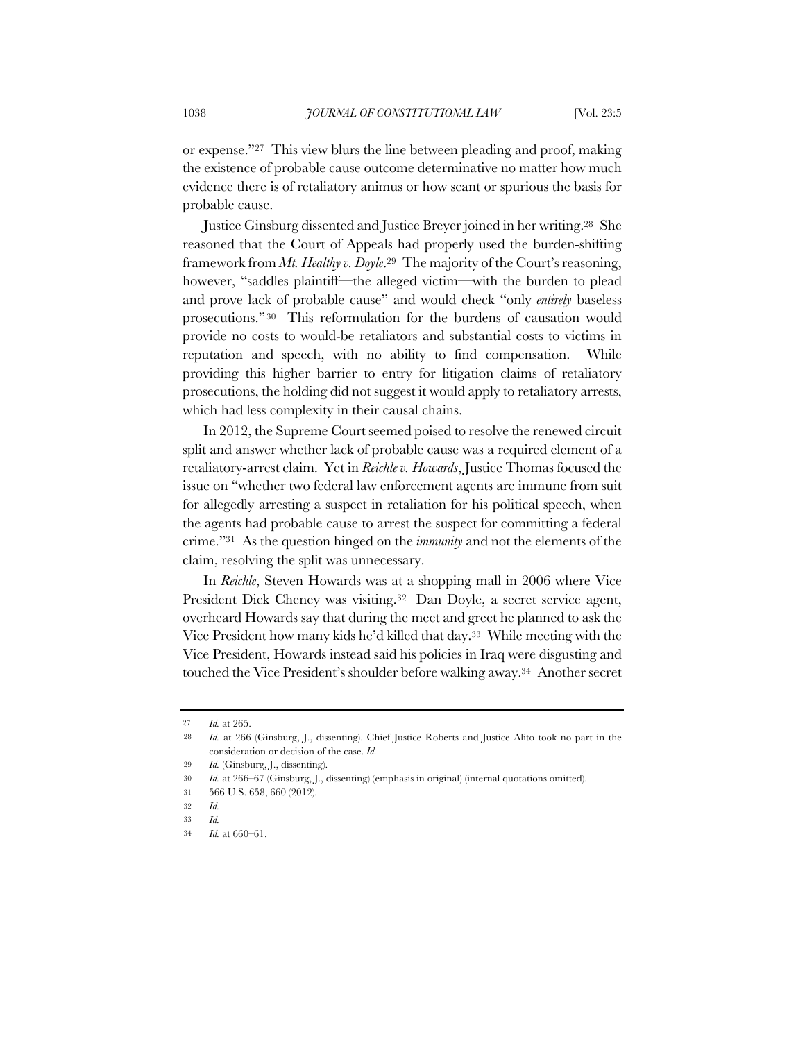or expense."27 This view blurs the line between pleading and proof, making the existence of probable cause outcome determinative no matter how much evidence there is of retaliatory animus or how scant or spurious the basis for probable cause.

Justice Ginsburg dissented and Justice Breyer joined in her writing.28 She reasoned that the Court of Appeals had properly used the burden-shifting framework from *Mt. Healthy v. Doyle*.29 The majority of the Court's reasoning, however, "saddles plaintiff—the alleged victim—with the burden to plead and prove lack of probable cause" and would check "only *entirely* baseless prosecutions." 30 This reformulation for the burdens of causation would provide no costs to would-be retaliators and substantial costs to victims in reputation and speech, with no ability to find compensation. While providing this higher barrier to entry for litigation claims of retaliatory prosecutions, the holding did not suggest it would apply to retaliatory arrests, which had less complexity in their causal chains.

In 2012, the Supreme Court seemed poised to resolve the renewed circuit split and answer whether lack of probable cause was a required element of a retaliatory-arrest claim. Yet in *Reichle v. Howards*, Justice Thomas focused the issue on "whether two federal law enforcement agents are immune from suit for allegedly arresting a suspect in retaliation for his political speech, when the agents had probable cause to arrest the suspect for committing a federal crime."31 As the question hinged on the *immunity* and not the elements of the claim, resolving the split was unnecessary.

In *Reichle*, Steven Howards was at a shopping mall in 2006 where Vice President Dick Cheney was visiting.<sup>32</sup> Dan Doyle, a secret service agent, overheard Howards say that during the meet and greet he planned to ask the Vice President how many kids he'd killed that day.33 While meeting with the Vice President, Howards instead said his policies in Iraq were disgusting and touched the Vice President's shoulder before walking away.34 Another secret

<sup>27</sup> *Id.* at 265.

<sup>28</sup> *Id.* at 266 (Ginsburg, J., dissenting). Chief Justice Roberts and Justice Alito took no part in the consideration or decision of the case. *Id.*

<sup>29</sup> *Id.* (Ginsburg, J., dissenting).

<sup>30</sup> *Id.* at 266–67 (Ginsburg, J., dissenting) (emphasis in original) (internal quotations omitted).

<sup>31</sup> 566 U.S. 658, 660 (2012).

<sup>32</sup> *Id.*

<sup>33</sup> *Id.*

<sup>34</sup> *Id.* at 660–61.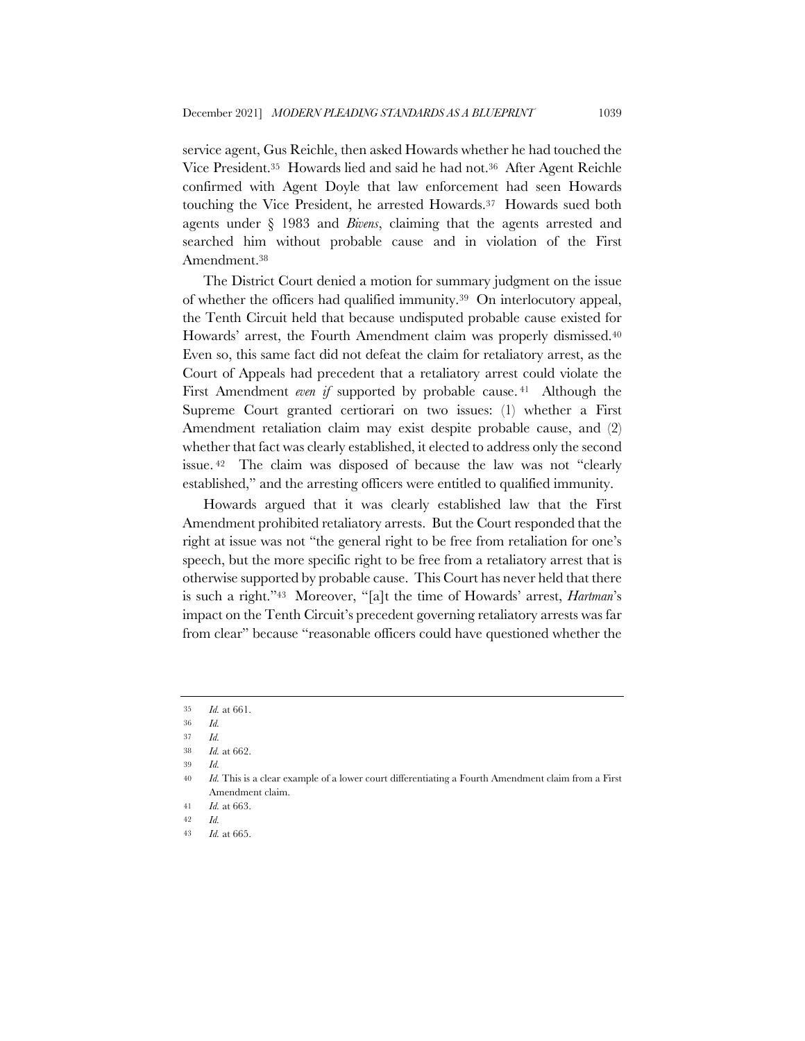service agent, Gus Reichle, then asked Howards whether he had touched the Vice President.35 Howards lied and said he had not.36 After Agent Reichle confirmed with Agent Doyle that law enforcement had seen Howards touching the Vice President, he arrested Howards.37 Howards sued both agents under § 1983 and *Bivens*, claiming that the agents arrested and searched him without probable cause and in violation of the First Amendment.38

The District Court denied a motion for summary judgment on the issue of whether the officers had qualified immunity.39 On interlocutory appeal, the Tenth Circuit held that because undisputed probable cause existed for Howards' arrest, the Fourth Amendment claim was properly dismissed.40 Even so, this same fact did not defeat the claim for retaliatory arrest, as the Court of Appeals had precedent that a retaliatory arrest could violate the First Amendment *even if* supported by probable cause.<sup>41</sup> Although the Supreme Court granted certiorari on two issues: (1) whether a First Amendment retaliation claim may exist despite probable cause, and (2) whether that fact was clearly established, it elected to address only the second issue. <sup>42</sup> The claim was disposed of because the law was not "clearly established," and the arresting officers were entitled to qualified immunity.

Howards argued that it was clearly established law that the First Amendment prohibited retaliatory arrests. But the Court responded that the right at issue was not "the general right to be free from retaliation for one's speech, but the more specific right to be free from a retaliatory arrest that is otherwise supported by probable cause. This Court has never held that there is such a right."43 Moreover, "[a]t the time of Howards' arrest, *Hartman*'s impact on the Tenth Circuit's precedent governing retaliatory arrests was far from clear" because "reasonable officers could have questioned whether the

<sup>35</sup> *Id.* at 661.

<sup>36</sup> *Id.*

<sup>37</sup> *Id.*

<sup>38</sup> *Id.* at 662.

<sup>39</sup> *Id.*

<sup>40</sup> *Id.* This is a clear example of a lower court differentiating a Fourth Amendment claim from a First Amendment claim.

<sup>41</sup> *Id.* at 663.

<sup>42</sup> *Id.*

<sup>43</sup> *Id.* at 665.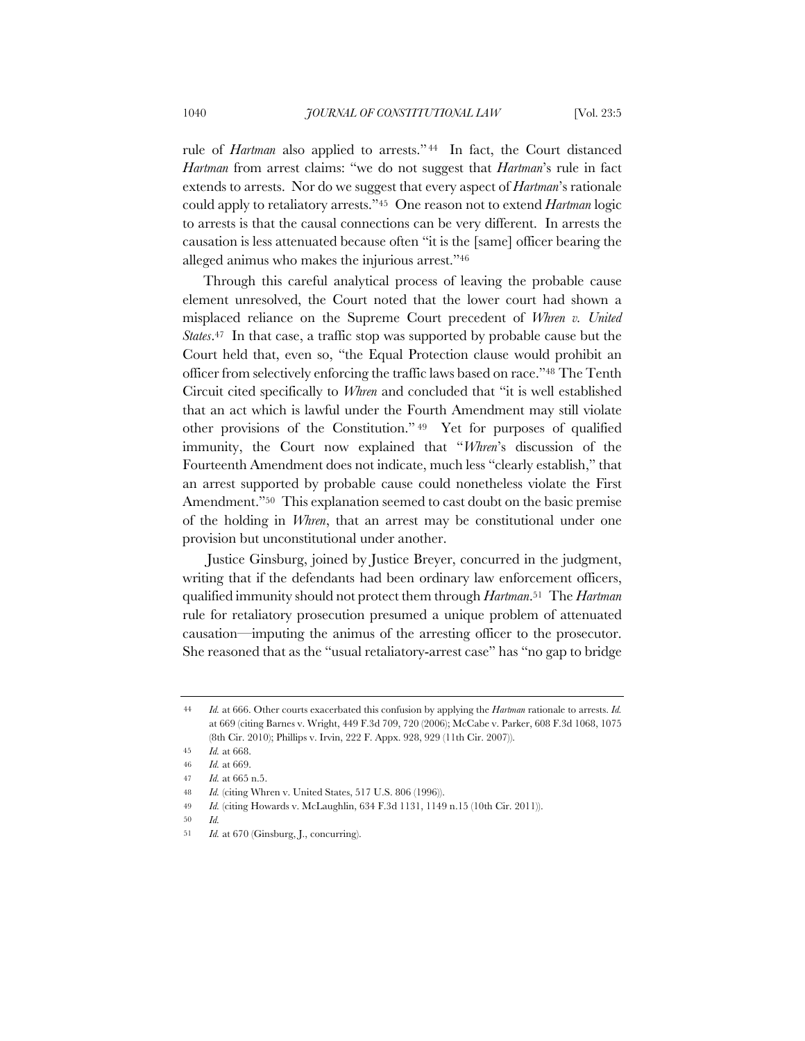rule of *Hartman* also applied to arrests." <sup>44</sup> In fact, the Court distanced *Hartman* from arrest claims: "we do not suggest that *Hartman*'s rule in fact extends to arrests. Nor do we suggest that every aspect of *Hartman*'s rationale could apply to retaliatory arrests."45 One reason not to extend *Hartman* logic to arrests is that the causal connections can be very different. In arrests the causation is less attenuated because often "it is the [same] officer bearing the alleged animus who makes the injurious arrest."46

Through this careful analytical process of leaving the probable cause element unresolved, the Court noted that the lower court had shown a misplaced reliance on the Supreme Court precedent of *Whren v. United States*.47 In that case, a traffic stop was supported by probable cause but the Court held that, even so, "the Equal Protection clause would prohibit an officer from selectively enforcing the traffic laws based on race."48 The Tenth Circuit cited specifically to *Whren* and concluded that "it is well established that an act which is lawful under the Fourth Amendment may still violate other provisions of the Constitution." <sup>49</sup> Yet for purposes of qualified immunity, the Court now explained that "*Whren*'s discussion of the Fourteenth Amendment does not indicate, much less "clearly establish," that an arrest supported by probable cause could nonetheless violate the First Amendment."<sup>50</sup> This explanation seemed to cast doubt on the basic premise of the holding in *Whren*, that an arrest may be constitutional under one provision but unconstitutional under another.

Justice Ginsburg, joined by Justice Breyer, concurred in the judgment, writing that if the defendants had been ordinary law enforcement officers, qualified immunity should not protect them through *Hartman*.51 The *Hartman*  rule for retaliatory prosecution presumed a unique problem of attenuated causation—imputing the animus of the arresting officer to the prosecutor. She reasoned that as the "usual retaliatory-arrest case" has "no gap to bridge

<sup>44</sup> *Id.* at 666. Other courts exacerbated this confusion by applying the *Hartman* rationale to arrests. *Id.* at 669 (citing Barnes v. Wright, 449 F.3d 709, 720 (2006); McCabe v. Parker, 608 F.3d 1068, 1075 (8th Cir. 2010); Phillips v. Irvin, 222 F. Appx. 928, 929 (11th Cir. 2007)).

<sup>45</sup> *Id.* at 668.

<sup>46</sup> *Id.* at 669.

<sup>47</sup> *Id.* at 665 n.5.

<sup>48</sup> *Id.* (citing Whren v. United States, 517 U.S. 806 (1996)).

<sup>49</sup> *Id.* (citing Howards v. McLaughlin, 634 F.3d 1131, 1149 n.15 (10th Cir. 2011)).

<sup>50</sup> *Id.*

<sup>51</sup> *Id.* at 670 (Ginsburg, J., concurring).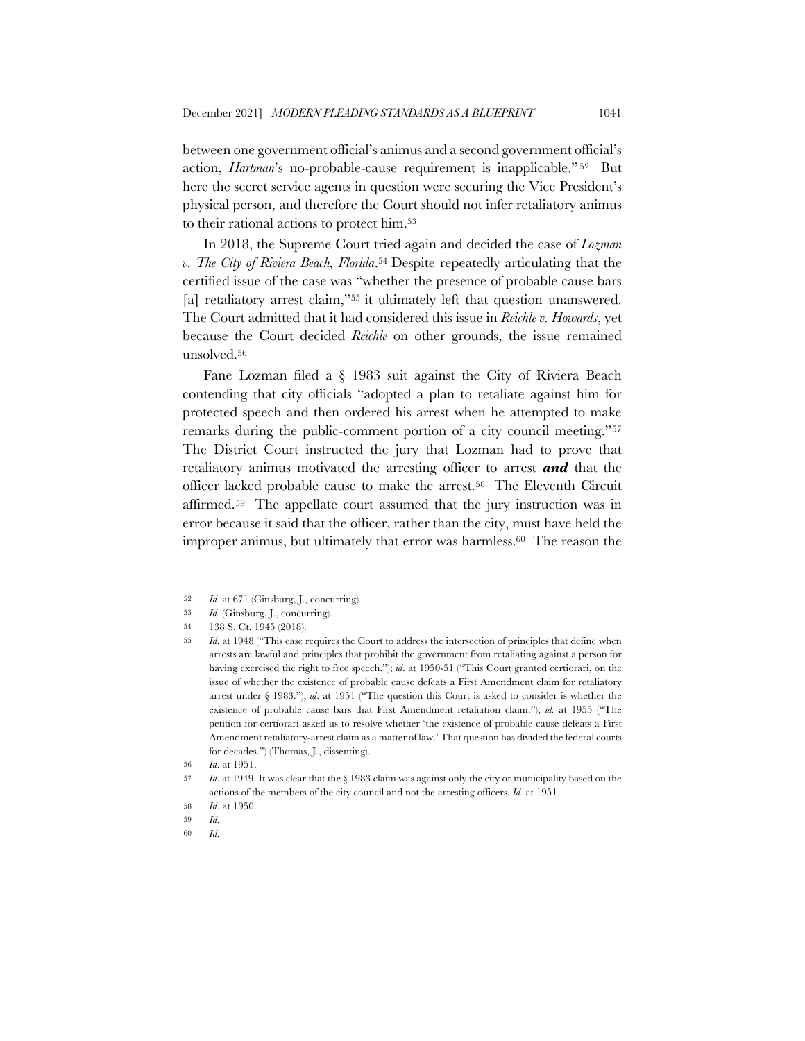between one government official's animus and a second government official's action, *Hartman*'s no-probable-cause requirement is inapplicable." <sup>52</sup> But here the secret service agents in question were securing the Vice President's physical person, and therefore the Court should not infer retaliatory animus to their rational actions to protect him.53

In 2018, the Supreme Court tried again and decided the case of *Lozman v. The City of Riviera Beach, Florida*.54 Despite repeatedly articulating that the certified issue of the case was "whether the presence of probable cause bars [a] retaliatory arrest claim,"<sup>55</sup> it ultimately left that question unanswered. The Court admitted that it had considered this issue in *Reichle v. Howards*, yet because the Court decided *Reichle* on other grounds, the issue remained unsolved.56

Fane Lozman filed a § 1983 suit against the City of Riviera Beach contending that city officials "adopted a plan to retaliate against him for protected speech and then ordered his arrest when he attempted to make remarks during the public-comment portion of a city council meeting."57 The District Court instructed the jury that Lozman had to prove that retaliatory animus motivated the arresting officer to arrest *and* that the officer lacked probable cause to make the arrest.58 The Eleventh Circuit affirmed.59 The appellate court assumed that the jury instruction was in error because it said that the officer, rather than the city, must have held the improper animus, but ultimately that error was harmless.<sup>60</sup> The reason the

60 *Id*.

<sup>52</sup> *Id.* at 671 (Ginsburg, J., concurring).

<sup>53</sup> *Id.* (Ginsburg, J., concurring).

<sup>54 138</sup> S. Ct. 1945 (2018).

<sup>55</sup> *Id*. at 1948 ("This case requires the Court to address the intersection of principles that define when arrests are lawful and principles that prohibit the government from retaliating against a person for having exercised the right to free speech."); *id*. at 1950-51 ("This Court granted certiorari, on the issue of whether the existence of probable cause defeats a First Amendment claim for retaliatory arrest under § 1983."); *id*. at 1951 ("The question this Court is asked to consider is whether the existence of probable cause bars that First Amendment retaliation claim."); *id.* at 1955 ("The petition for certiorari asked us to resolve whether 'the existence of probable cause defeats a First Amendment retaliatory-arrest claim as a matter of law.' That question has divided the federal courts for decades.") (Thomas, J., dissenting).

<sup>56</sup> *Id*. at 1951.

<sup>57</sup> *Id*. at 1949. It was clear that the § 1983 claim was against only the city or municipality based on the actions of the members of the city council and not the arresting officers. *Id.* at 1951.

<sup>58</sup> *Id*. at 1950.

<sup>59</sup> *Id*.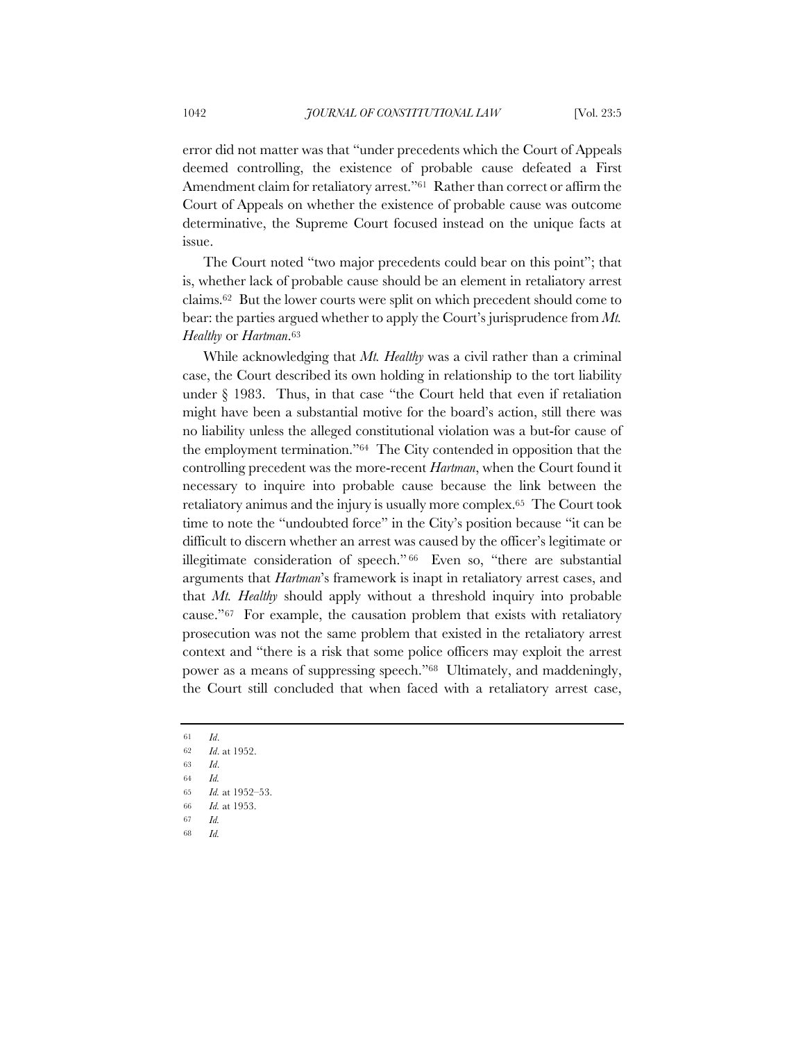error did not matter was that "under precedents which the Court of Appeals deemed controlling, the existence of probable cause defeated a First Amendment claim for retaliatory arrest."<sup>61</sup> Rather than correct or affirm the Court of Appeals on whether the existence of probable cause was outcome determinative, the Supreme Court focused instead on the unique facts at issue.

The Court noted "two major precedents could bear on this point"; that is, whether lack of probable cause should be an element in retaliatory arrest claims.62 But the lower courts were split on which precedent should come to bear: the parties argued whether to apply the Court's jurisprudence from *Mt. Healthy* or *Hartman*.63

While acknowledging that *Mt. Healthy* was a civil rather than a criminal case, the Court described its own holding in relationship to the tort liability under  $\S$  1983. Thus, in that case "the Court held that even if retaliation might have been a substantial motive for the board's action, still there was no liability unless the alleged constitutional violation was a but-for cause of the employment termination."64 The City contended in opposition that the controlling precedent was the more-recent *Hartman*, when the Court found it necessary to inquire into probable cause because the link between the retaliatory animus and the injury is usually more complex.65 The Court took time to note the "undoubted force" in the City's position because "it can be difficult to discern whether an arrest was caused by the officer's legitimate or illegitimate consideration of speech." <sup>66</sup> Even so, "there are substantial arguments that *Hartman*'s framework is inapt in retaliatory arrest cases, and that *Mt. Healthy* should apply without a threshold inquiry into probable cause."67 For example, the causation problem that exists with retaliatory prosecution was not the same problem that existed in the retaliatory arrest context and "there is a risk that some police officers may exploit the arrest power as a means of suppressing speech."68 Ultimately, and maddeningly, the Court still concluded that when faced with a retaliatory arrest case,

<sup>61</sup> *Id*. 62 *Id*. at 1952.

<sup>63</sup> *Id*.

<sup>64</sup> *Id.*

<sup>65</sup> *Id.* at 1952–53.

<sup>66</sup> *Id.* at 1953.

<sup>67</sup> *Id.*

<sup>68</sup> *Id.*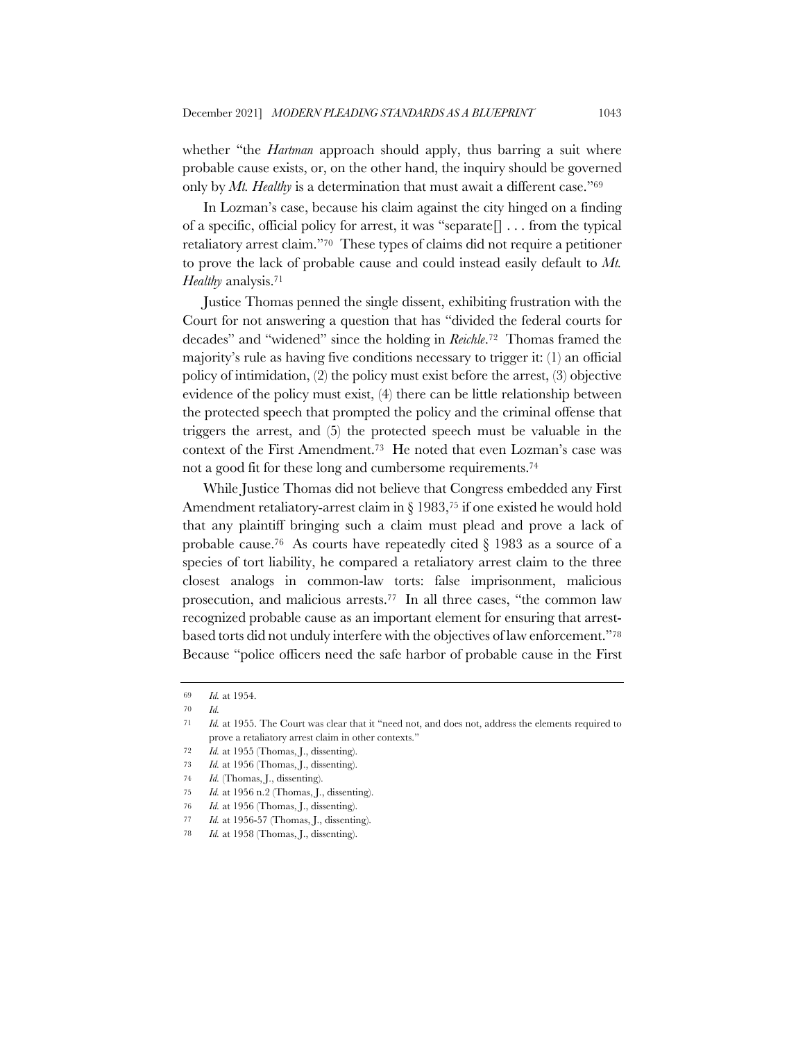whether "the *Hartman* approach should apply, thus barring a suit where probable cause exists, or, on the other hand, the inquiry should be governed only by *Mt. Healthy* is a determination that must await a different case."69

In Lozman's case, because his claim against the city hinged on a finding of a specific, official policy for arrest, it was "separate  $\lceil \cdot \cdot \cdot \rceil$  ... from the typical retaliatory arrest claim."70 These types of claims did not require a petitioner to prove the lack of probable cause and could instead easily default to *Mt. Healthy* analysis.71

Justice Thomas penned the single dissent, exhibiting frustration with the Court for not answering a question that has "divided the federal courts for decades" and "widened" since the holding in *Reichle*.72 Thomas framed the majority's rule as having five conditions necessary to trigger it: (1) an official policy of intimidation, (2) the policy must exist before the arrest, (3) objective evidence of the policy must exist, (4) there can be little relationship between the protected speech that prompted the policy and the criminal offense that triggers the arrest, and (5) the protected speech must be valuable in the context of the First Amendment.73 He noted that even Lozman's case was not a good fit for these long and cumbersome requirements.74

While Justice Thomas did not believe that Congress embedded any First Amendment retaliatory-arrest claim in § 1983,75 if one existed he would hold that any plaintiff bringing such a claim must plead and prove a lack of probable cause.<sup>76</sup> As courts have repeatedly cited  $\S$  1983 as a source of a species of tort liability, he compared a retaliatory arrest claim to the three closest analogs in common-law torts: false imprisonment, malicious prosecution, and malicious arrests.77 In all three cases, "the common law recognized probable cause as an important element for ensuring that arrestbased torts did not unduly interfere with the objectives of law enforcement."78 Because "police officers need the safe harbor of probable cause in the First

76 *Id.* at 1956 (Thomas, J., dissenting).

<sup>69</sup> *Id.* at 1954.

<sup>70</sup> *Id.*

<sup>71</sup> *Id.* at 1955. The Court was clear that it "need not, and does not, address the elements required to prove a retaliatory arrest claim in other contexts."

<sup>72</sup> *Id.* at 1955 (Thomas, J., dissenting).

<sup>73</sup> *Id.* at 1956 (Thomas, J., dissenting).

<sup>74</sup> *Id.* (Thomas, J., dissenting).

<sup>75</sup> *Id.* at 1956 n.2 (Thomas, J., dissenting).

<sup>77</sup> *Id.* at 1956-57 (Thomas, J., dissenting).

<sup>78</sup> *Id.* at 1958 (Thomas, J., dissenting).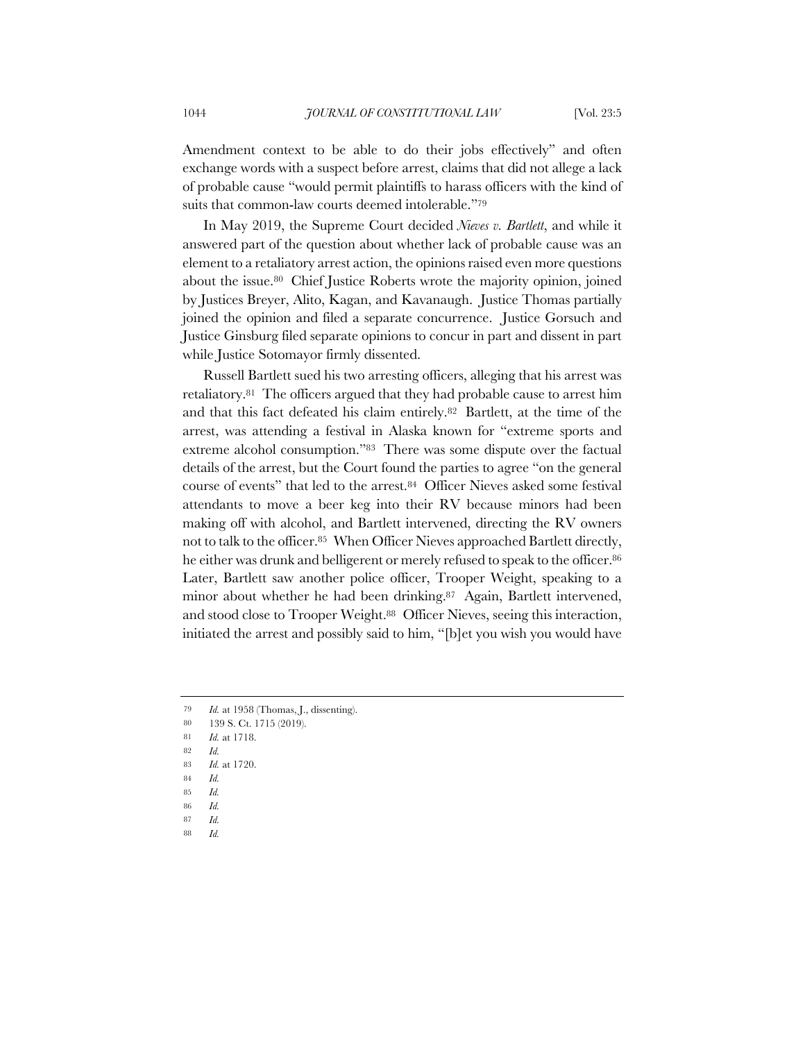Amendment context to be able to do their jobs effectively" and often exchange words with a suspect before arrest, claims that did not allege a lack of probable cause "would permit plaintiffs to harass officers with the kind of suits that common-law courts deemed intolerable."79

In May 2019, the Supreme Court decided *Nieves v. Bartlett*, and while it answered part of the question about whether lack of probable cause was an element to a retaliatory arrest action, the opinions raised even more questions about the issue.<sup>80</sup> Chief Justice Roberts wrote the majority opinion, joined by Justices Breyer, Alito, Kagan, and Kavanaugh. Justice Thomas partially joined the opinion and filed a separate concurrence. Justice Gorsuch and Justice Ginsburg filed separate opinions to concur in part and dissent in part while Justice Sotomayor firmly dissented.

Russell Bartlett sued his two arresting officers, alleging that his arrest was retaliatory.81 The officers argued that they had probable cause to arrest him and that this fact defeated his claim entirely.82 Bartlett, at the time of the arrest, was attending a festival in Alaska known for "extreme sports and extreme alcohol consumption."83 There was some dispute over the factual details of the arrest, but the Court found the parties to agree "on the general course of events" that led to the arrest.84 Officer Nieves asked some festival attendants to move a beer keg into their RV because minors had been making off with alcohol, and Bartlett intervened, directing the RV owners not to talk to the officer.85 When Officer Nieves approached Bartlett directly, he either was drunk and belligerent or merely refused to speak to the officer.<sup>86</sup> Later, Bartlett saw another police officer, Trooper Weight, speaking to a minor about whether he had been drinking.87 Again, Bartlett intervened, and stood close to Trooper Weight.88 Officer Nieves, seeing this interaction, initiated the arrest and possibly said to him, "[b]et you wish you would have

- 87 *Id.*
- 88 *Id.*

<sup>79</sup> *Id.* at 1958 (Thomas, J., dissenting).

<sup>80</sup> 139 S. Ct. 1715 (2019).

<sup>81</sup> *Id.* at 1718.

<sup>82</sup> *Id.*

<sup>83</sup> *Id.* at 1720.

<sup>84</sup> *Id.*

<sup>85</sup> *Id.*

<sup>86</sup> *Id.*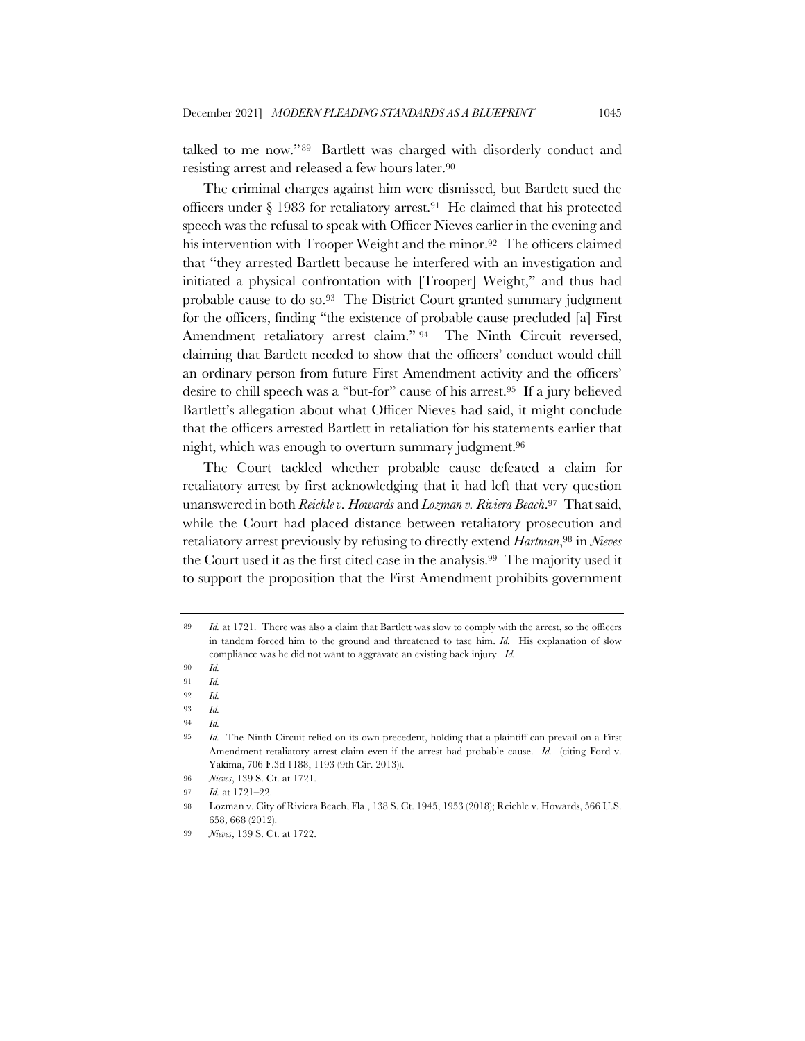talked to me now."89 Bartlett was charged with disorderly conduct and resisting arrest and released a few hours later.90

The criminal charges against him were dismissed, but Bartlett sued the officers under § 1983 for retaliatory arrest.91 He claimed that his protected speech was the refusal to speak with Officer Nieves earlier in the evening and his intervention with Trooper Weight and the minor.<sup>92</sup> The officers claimed that "they arrested Bartlett because he interfered with an investigation and initiated a physical confrontation with [Trooper] Weight," and thus had probable cause to do so.93 The District Court granted summary judgment for the officers, finding "the existence of probable cause precluded [a] First Amendment retaliatory arrest claim." 94 The Ninth Circuit reversed, claiming that Bartlett needed to show that the officers' conduct would chill an ordinary person from future First Amendment activity and the officers' desire to chill speech was a "but-for" cause of his arrest.95 If a jury believed Bartlett's allegation about what Officer Nieves had said, it might conclude that the officers arrested Bartlett in retaliation for his statements earlier that night, which was enough to overturn summary judgment.96

The Court tackled whether probable cause defeated a claim for retaliatory arrest by first acknowledging that it had left that very question unanswered in both *Reichle v. Howards* and *Lozman v. Riviera Beach*.97 That said, while the Court had placed distance between retaliatory prosecution and retaliatory arrest previously by refusing to directly extend *Hartman*,98 in *Nieves* the Court used it as the first cited case in the analysis.99 The majority used it to support the proposition that the First Amendment prohibits government

<sup>89</sup> *Id.* at 1721. There was also a claim that Bartlett was slow to comply with the arrest, so the officers in tandem forced him to the ground and threatened to tase him. *Id.* His explanation of slow compliance was he did not want to aggravate an existing back injury. *Id.*

<sup>90</sup> *Id.*

<sup>91</sup> *Id.*

<sup>92</sup> *Id.*

<sup>93</sup> *Id.*

<sup>94</sup> *Id.*

<sup>95</sup> *Id.* The Ninth Circuit relied on its own precedent, holding that a plaintiff can prevail on a First Amendment retaliatory arrest claim even if the arrest had probable cause. *Id.* (citing Ford v. Yakima, 706 F.3d 1188, 1193 (9th Cir. 2013)).

<sup>96</sup> *Nieves*, 139 S. Ct. at 1721.

<sup>97</sup> *Id.* at 1721–22.

<sup>98</sup> Lozman v. City of Riviera Beach, Fla., 138 S. Ct. 1945, 1953 (2018); Reichle v. Howards, 566 U.S. 658, 668 (2012).

<sup>99</sup> *Nieves*, 139 S. Ct. at 1722.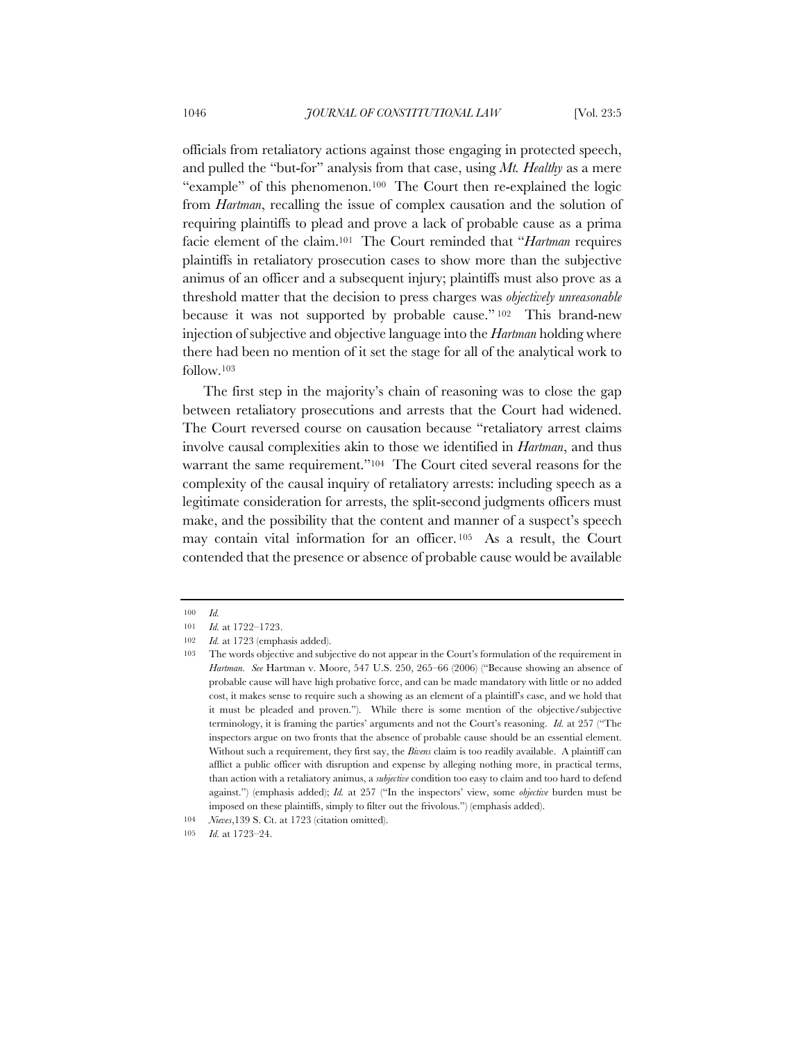officials from retaliatory actions against those engaging in protected speech, and pulled the "but-for" analysis from that case, using *Mt. Healthy* as a mere "example" of this phenomenon.100 The Court then re-explained the logic from *Hartman*, recalling the issue of complex causation and the solution of requiring plaintiffs to plead and prove a lack of probable cause as a prima facie element of the claim.101 The Court reminded that "*Hartman* requires plaintiffs in retaliatory prosecution cases to show more than the subjective animus of an officer and a subsequent injury; plaintiffs must also prove as a threshold matter that the decision to press charges was *objectively unreasonable* because it was not supported by probable cause." <sup>102</sup> This brand-new injection of subjective and objective language into the *Hartman* holding where there had been no mention of it set the stage for all of the analytical work to follow.103

The first step in the majority's chain of reasoning was to close the gap between retaliatory prosecutions and arrests that the Court had widened. The Court reversed course on causation because "retaliatory arrest claims involve causal complexities akin to those we identified in *Hartman*, and thus warrant the same requirement."104 The Court cited several reasons for the complexity of the causal inquiry of retaliatory arrests: including speech as a legitimate consideration for arrests, the split-second judgments officers must make, and the possibility that the content and manner of a suspect's speech may contain vital information for an officer. <sup>105</sup> As a result, the Court contended that the presence or absence of probable cause would be available

<sup>100</sup> *Id.*

<sup>101</sup> *Id.* at 1722–1723.

<sup>102</sup> *Id.* at 1723 (emphasis added).

<sup>103</sup> The words objective and subjective do not appear in the Court's formulation of the requirement in *Hartman*. *See* Hartman v. Moore, 547 U.S. 250, 265–66 (2006) ("Because showing an absence of probable cause will have high probative force, and can be made mandatory with little or no added cost, it makes sense to require such a showing as an element of a plaintiff's case, and we hold that it must be pleaded and proven."). While there is some mention of the objective/subjective terminology, it is framing the parties' arguments and not the Court's reasoning. *Id.* at 257 ("The inspectors argue on two fronts that the absence of probable cause should be an essential element. Without such a requirement, they first say, the *Bivens* claim is too readily available. A plaintiff can afflict a public officer with disruption and expense by alleging nothing more, in practical terms, than action with a retaliatory animus, a *subjective* condition too easy to claim and too hard to defend against.") (emphasis added); *Id.* at 257 ("In the inspectors' view, some *objective* burden must be imposed on these plaintiffs, simply to filter out the frivolous.") (emphasis added).

<sup>104</sup> *Nieves*,139 S. Ct. at 1723 (citation omitted).

<sup>105</sup> *Id.* at 1723–24.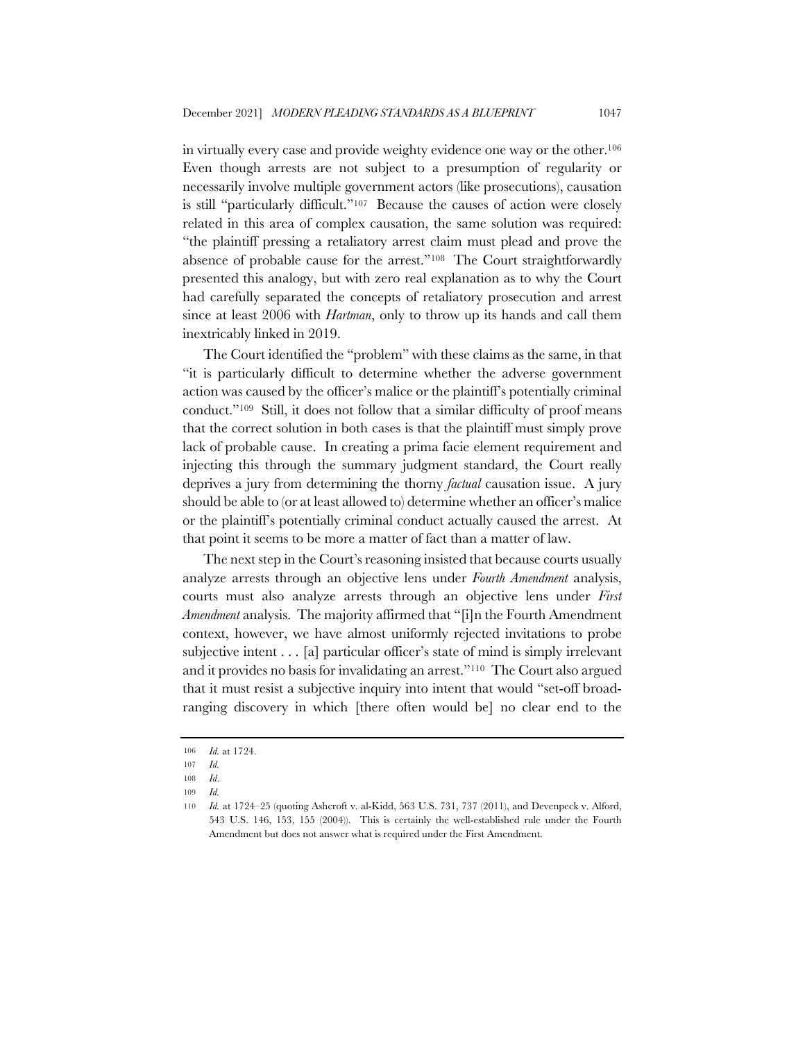in virtually every case and provide weighty evidence one way or the other.106 Even though arrests are not subject to a presumption of regularity or necessarily involve multiple government actors (like prosecutions), causation is still "particularly difficult."107 Because the causes of action were closely related in this area of complex causation, the same solution was required: "the plaintiff pressing a retaliatory arrest claim must plead and prove the absence of probable cause for the arrest."108 The Court straightforwardly presented this analogy, but with zero real explanation as to why the Court had carefully separated the concepts of retaliatory prosecution and arrest since at least 2006 with *Hartman*, only to throw up its hands and call them inextricably linked in 2019.

The Court identified the "problem" with these claims as the same, in that "it is particularly difficult to determine whether the adverse government action was caused by the officer's malice or the plaintiff's potentially criminal conduct."109 Still, it does not follow that a similar difficulty of proof means that the correct solution in both cases is that the plaintiff must simply prove lack of probable cause. In creating a prima facie element requirement and injecting this through the summary judgment standard, the Court really deprives a jury from determining the thorny *factual* causation issue. A jury should be able to (or at least allowed to) determine whether an officer's malice or the plaintiff's potentially criminal conduct actually caused the arrest. At that point it seems to be more a matter of fact than a matter of law.

The next step in the Court's reasoning insisted that because courts usually analyze arrests through an objective lens under *Fourth Amendment* analysis, courts must also analyze arrests through an objective lens under *First Amendment* analysis. The majority affirmed that "[i]n the Fourth Amendment context, however, we have almost uniformly rejected invitations to probe subjective intent . . . [a] particular officer's state of mind is simply irrelevant and it provides no basis for invalidating an arrest."110 The Court also argued that it must resist a subjective inquiry into intent that would "set-off broadranging discovery in which [there often would be] no clear end to the

<sup>106</sup> *Id.* at 1724.

<sup>107</sup> *Id.*

<sup>108</sup> *Id*.

<sup>109</sup> *Id.*

<sup>110</sup> *Id.* at 1724–25 (quoting Ashcroft v. al-Kidd, 563 U.S. 731, 737 (2011), and Devenpeck v. Alford, 543 U.S. 146, 153, 155 (2004)). This is certainly the well-established rule under the Fourth Amendment but does not answer what is required under the First Amendment.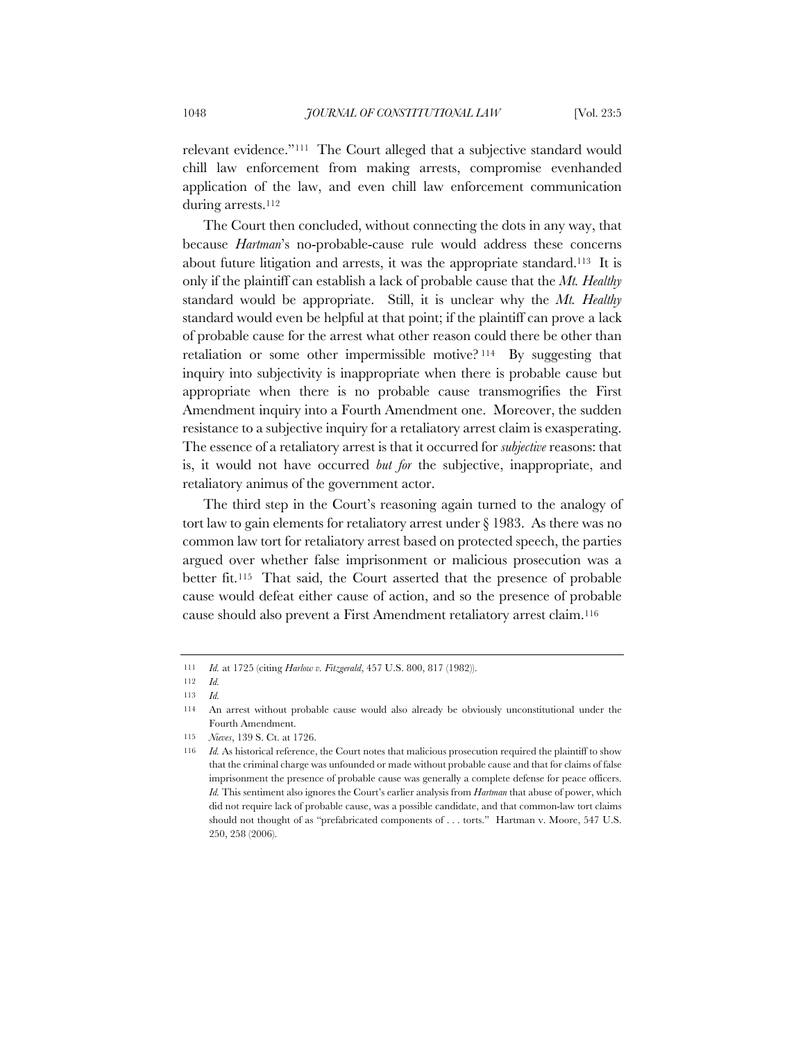relevant evidence."111 The Court alleged that a subjective standard would chill law enforcement from making arrests, compromise evenhanded application of the law, and even chill law enforcement communication during arrests.112

The Court then concluded, without connecting the dots in any way, that because *Hartman*'s no-probable-cause rule would address these concerns about future litigation and arrests, it was the appropriate standard.113 It is only if the plaintiff can establish a lack of probable cause that the *Mt. Healthy* standard would be appropriate. Still, it is unclear why the *Mt. Healthy* standard would even be helpful at that point; if the plaintiff can prove a lack of probable cause for the arrest what other reason could there be other than retaliation or some other impermissible motive? <sup>114</sup> By suggesting that inquiry into subjectivity is inappropriate when there is probable cause but appropriate when there is no probable cause transmogrifies the First Amendment inquiry into a Fourth Amendment one. Moreover, the sudden resistance to a subjective inquiry for a retaliatory arrest claim is exasperating. The essence of a retaliatory arrest is that it occurred for *subjective* reasons: that is, it would not have occurred *but for* the subjective, inappropriate, and retaliatory animus of the government actor.

The third step in the Court's reasoning again turned to the analogy of tort law to gain elements for retaliatory arrest under § 1983. As there was no common law tort for retaliatory arrest based on protected speech, the parties argued over whether false imprisonment or malicious prosecution was a better fit.115 That said, the Court asserted that the presence of probable cause would defeat either cause of action, and so the presence of probable cause should also prevent a First Amendment retaliatory arrest claim.116

<sup>111</sup> *Id.* at 1725 (citing *Harlow v. Fitzgerald*, 457 U.S. 800, 817 (1982)).

<sup>112</sup> *Id.*

<sup>113</sup> *Id.*

<sup>114</sup> An arrest without probable cause would also already be obviously unconstitutional under the Fourth Amendment.

<sup>115</sup> *Nieves*, 139 S. Ct. at 1726.

<sup>116</sup> *Id.* As historical reference, the Court notes that malicious prosecution required the plaintiff to show that the criminal charge was unfounded or made without probable cause and that for claims of false imprisonment the presence of probable cause was generally a complete defense for peace officers. *Id.* This sentiment also ignores the Court's earlier analysis from *Hartman* that abuse of power, which did not require lack of probable cause, was a possible candidate, and that common-law tort claims should not thought of as "prefabricated components of . . . torts." Hartman v. Moore, 547 U.S. 250, 258 (2006).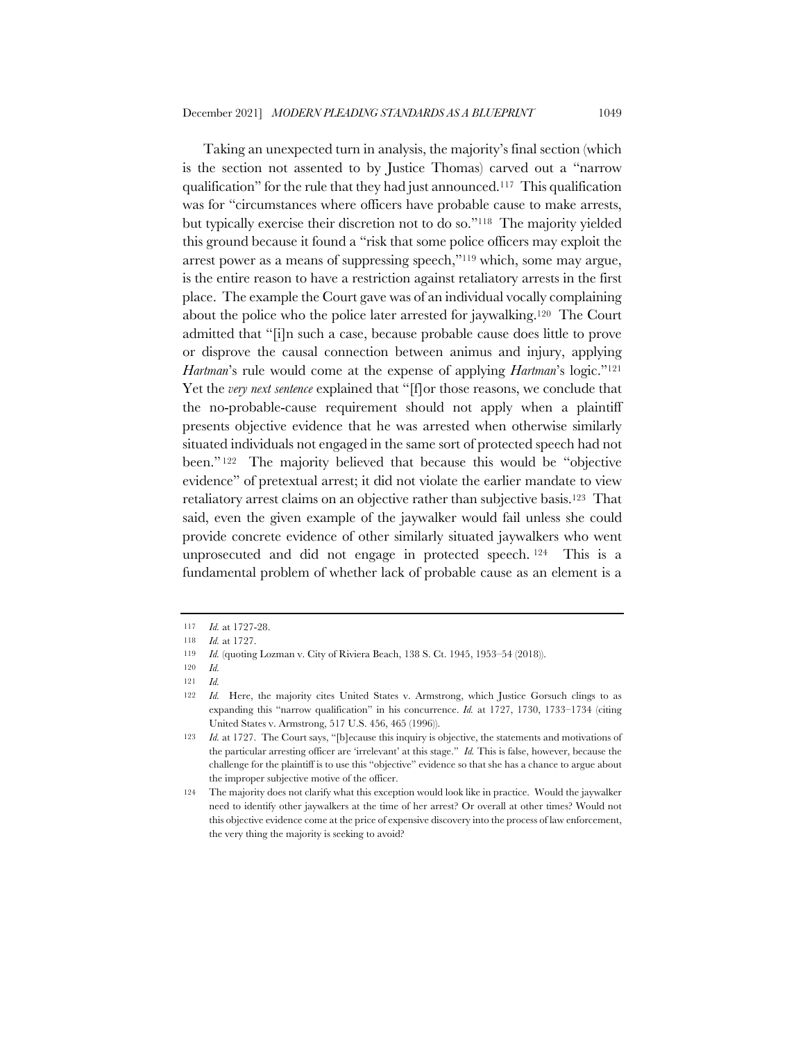Taking an unexpected turn in analysis, the majority's final section (which is the section not assented to by Justice Thomas) carved out a "narrow qualification" for the rule that they had just announced.117 This qualification was for "circumstances where officers have probable cause to make arrests, but typically exercise their discretion not to do so."118 The majority yielded this ground because it found a "risk that some police officers may exploit the arrest power as a means of suppressing speech,"119 which, some may argue, is the entire reason to have a restriction against retaliatory arrests in the first place. The example the Court gave was of an individual vocally complaining about the police who the police later arrested for jaywalking.120 The Court admitted that "[i]n such a case, because probable cause does little to prove or disprove the causal connection between animus and injury, applying *Hartman*'s rule would come at the expense of applying *Hartman*'s logic."121 Yet the *very next sentence* explained that "[f]or those reasons, we conclude that the no-probable-cause requirement should not apply when a plaintiff presents objective evidence that he was arrested when otherwise similarly situated individuals not engaged in the same sort of protected speech had not been." <sup>122</sup> The majority believed that because this would be "objective evidence" of pretextual arrest; it did not violate the earlier mandate to view retaliatory arrest claims on an objective rather than subjective basis.123 That said, even the given example of the jaywalker would fail unless she could provide concrete evidence of other similarly situated jaywalkers who went unprosecuted and did not engage in protected speech. <sup>124</sup> This is a fundamental problem of whether lack of probable cause as an element is a

<sup>117</sup> *Id.* at 1727-28.

<sup>118</sup> *Id.* at 1727.

<sup>119</sup> *Id.* (quoting Lozman v. City of Riviera Beach, 138 S. Ct. 1945, 1953–54 (2018)).

<sup>120</sup> *Id.*

<sup>121</sup> *Id.*

<sup>122</sup> *Id.* Here, the majority cites United States v. Armstrong, which Justice Gorsuch clings to as expanding this "narrow qualification" in his concurrence. *Id.* at 1727, 1730, 1733–1734 (citing United States v. Armstrong, 517 U.S. 456, 465 (1996)).

<sup>123</sup> *Id.* at 1727. The Court says, "[b]ecause this inquiry is objective, the statements and motivations of the particular arresting officer are 'irrelevant' at this stage." *Id.* This is false, however, because the challenge for the plaintiff is to use this "objective" evidence so that she has a chance to argue about the improper subjective motive of the officer.

<sup>124</sup> The majority does not clarify what this exception would look like in practice. Would the jaywalker need to identify other jaywalkers at the time of her arrest? Or overall at other times? Would not this objective evidence come at the price of expensive discovery into the process of law enforcement, the very thing the majority is seeking to avoid?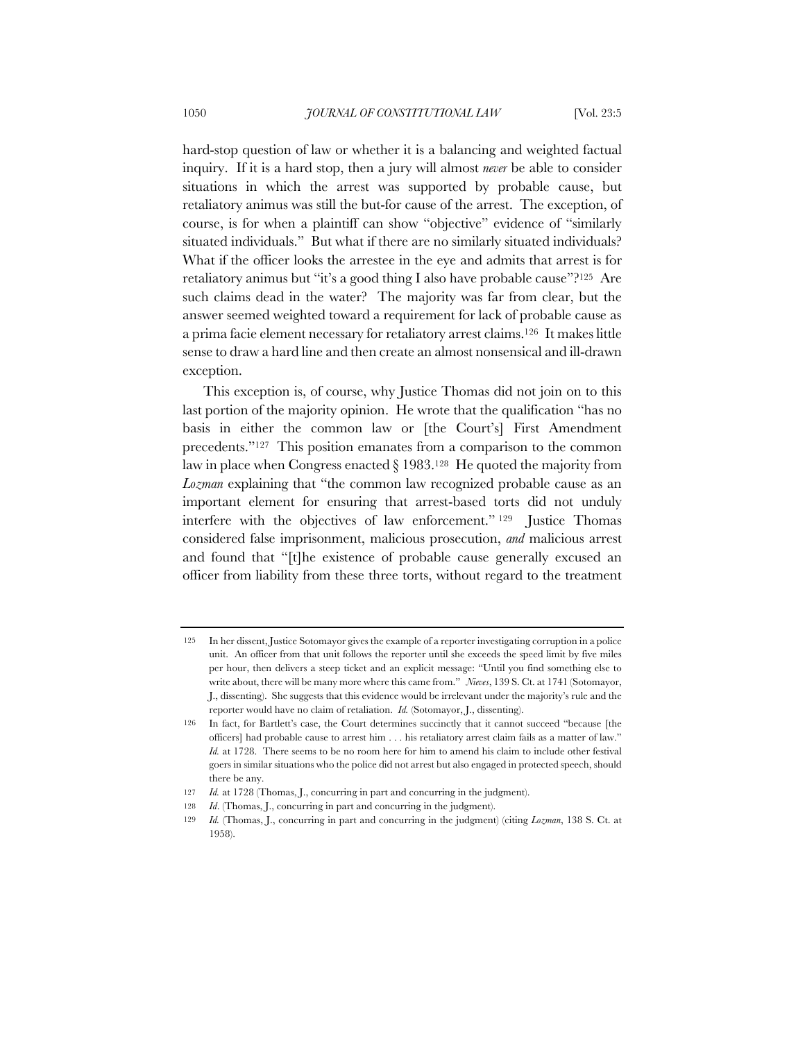hard-stop question of law or whether it is a balancing and weighted factual inquiry. If it is a hard stop, then a jury will almost *never* be able to consider situations in which the arrest was supported by probable cause, but retaliatory animus was still the but-for cause of the arrest. The exception, of course, is for when a plaintiff can show "objective" evidence of "similarly situated individuals." But what if there are no similarly situated individuals? What if the officer looks the arrestee in the eye and admits that arrest is for retaliatory animus but "it's a good thing I also have probable cause"?125 Are such claims dead in the water? The majority was far from clear, but the answer seemed weighted toward a requirement for lack of probable cause as a prima facie element necessary for retaliatory arrest claims.126 It makes little sense to draw a hard line and then create an almost nonsensical and ill-drawn exception.

This exception is, of course, why Justice Thomas did not join on to this last portion of the majority opinion. He wrote that the qualification "has no basis in either the common law or [the Court's] First Amendment precedents."127 This position emanates from a comparison to the common law in place when Congress enacted  $\S 1983$ .<sup>128</sup> He quoted the majority from *Lozman* explaining that "the common law recognized probable cause as an important element for ensuring that arrest-based torts did not unduly interfere with the objectives of law enforcement." <sup>129</sup> Justice Thomas considered false imprisonment, malicious prosecution, *and* malicious arrest and found that "[t]he existence of probable cause generally excused an officer from liability from these three torts, without regard to the treatment

<sup>125</sup> In her dissent, Justice Sotomayor gives the example of a reporter investigating corruption in a police unit. An officer from that unit follows the reporter until she exceeds the speed limit by five miles per hour, then delivers a steep ticket and an explicit message: "Until you find something else to write about, there will be many more where this came from." *Nieves*, 139 S. Ct. at 1741 (Sotomayor, J., dissenting). She suggests that this evidence would be irrelevant under the majority's rule and the reporter would have no claim of retaliation. *Id.* (Sotomayor, J., dissenting).

<sup>126</sup> In fact, for Bartlett's case, the Court determines succinctly that it cannot succeed "because [the officers] had probable cause to arrest him . . . his retaliatory arrest claim fails as a matter of law." *Id.* at 1728. There seems to be no room here for him to amend his claim to include other festival goers in similar situations who the police did not arrest but also engaged in protected speech, should there be any.

<sup>127</sup> *Id.* at 1728 (Thomas, J., concurring in part and concurring in the judgment).

<sup>128</sup> *Id.* (Thomas, J., concurring in part and concurring in the judgment).

<sup>129</sup> *Id.* (Thomas, J., concurring in part and concurring in the judgment) (citing *Lozman*, 138 S. Ct. at 1958).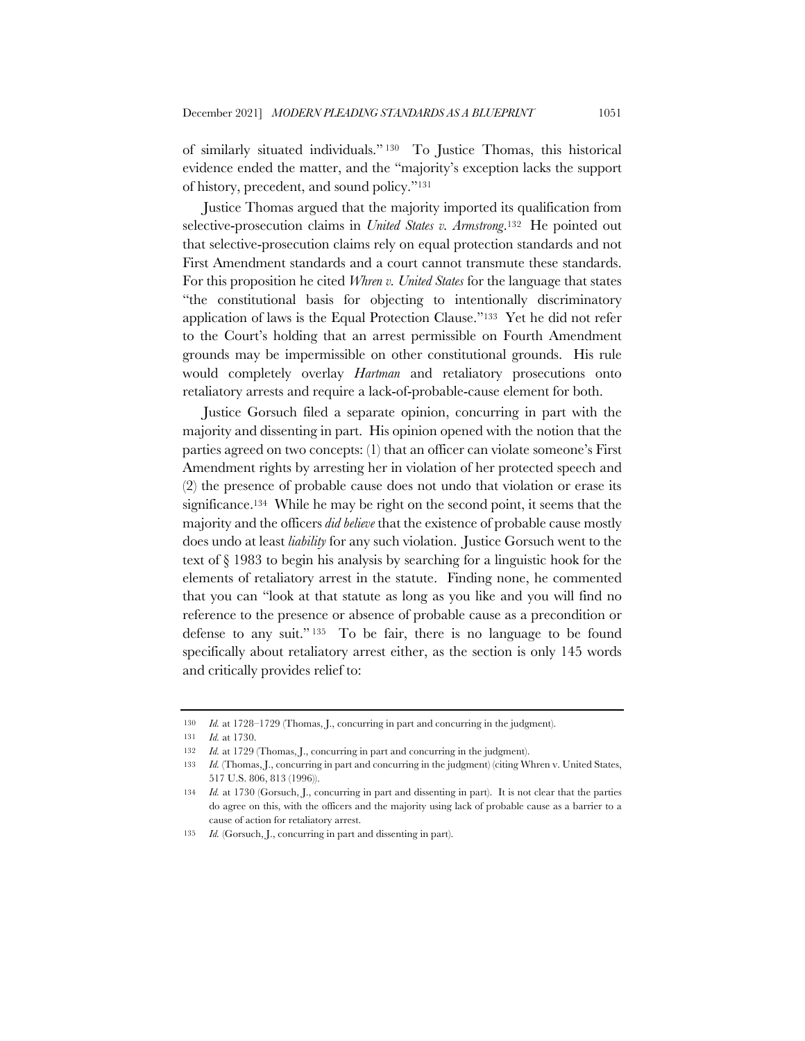of similarly situated individuals." <sup>130</sup> To Justice Thomas, this historical evidence ended the matter, and the "majority's exception lacks the support of history, precedent, and sound policy."131

Justice Thomas argued that the majority imported its qualification from selective-prosecution claims in *United States v. Armstrong*.132 He pointed out that selective-prosecution claims rely on equal protection standards and not First Amendment standards and a court cannot transmute these standards. For this proposition he cited *Whren v. United States* for the language that states "the constitutional basis for objecting to intentionally discriminatory application of laws is the Equal Protection Clause."133 Yet he did not refer to the Court's holding that an arrest permissible on Fourth Amendment grounds may be impermissible on other constitutional grounds. His rule would completely overlay *Hartman* and retaliatory prosecutions onto retaliatory arrests and require a lack-of-probable-cause element for both.

Justice Gorsuch filed a separate opinion, concurring in part with the majority and dissenting in part. His opinion opened with the notion that the parties agreed on two concepts: (1) that an officer can violate someone's First Amendment rights by arresting her in violation of her protected speech and (2) the presence of probable cause does not undo that violation or erase its significance.<sup>134</sup> While he may be right on the second point, it seems that the majority and the officers *did believe* that the existence of probable cause mostly does undo at least *liability* for any such violation. Justice Gorsuch went to the text of § 1983 to begin his analysis by searching for a linguistic hook for the elements of retaliatory arrest in the statute. Finding none, he commented that you can "look at that statute as long as you like and you will find no reference to the presence or absence of probable cause as a precondition or defense to any suit." <sup>135</sup> To be fair, there is no language to be found specifically about retaliatory arrest either, as the section is only 145 words and critically provides relief to:

<sup>130</sup> *Id.* at 1728–1729 (Thomas, J., concurring in part and concurring in the judgment).

<sup>131</sup> *Id.* at 1730.

<sup>132</sup> *Id.* at 1729 (Thomas, J., concurring in part and concurring in the judgment).

<sup>133</sup> *Id.* (Thomas, J., concurring in part and concurring in the judgment) (citing Whren v. United States, 517 U.S. 806, 813 (1996)).

<sup>134</sup> *Id.* at 1730 (Gorsuch, J., concurring in part and dissenting in part). It is not clear that the parties do agree on this, with the officers and the majority using lack of probable cause as a barrier to a cause of action for retaliatory arrest.

<sup>135</sup> *Id.* (Gorsuch, J., concurring in part and dissenting in part).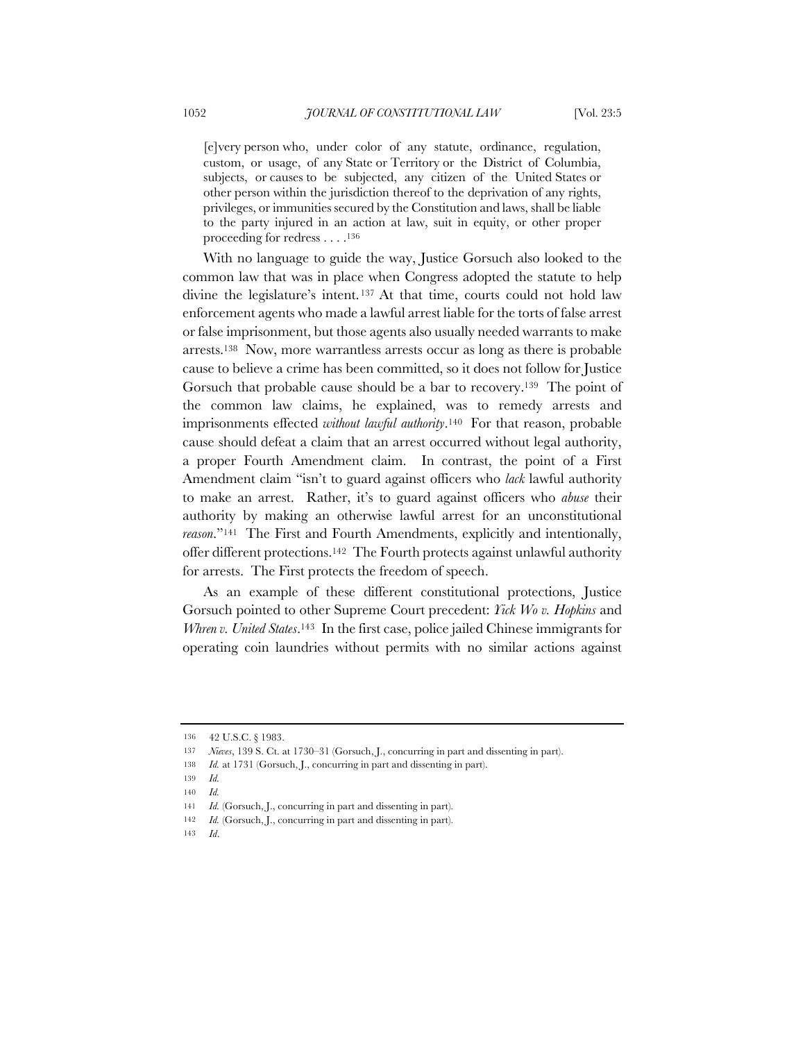[e]very person who, under color of any statute, ordinance, regulation, custom, or usage, of any State or Territory or the District of Columbia, subjects, or causes to be subjected, any citizen of the United States or other person within the jurisdiction thereof to the deprivation of any rights, privileges, or immunities secured by the Constitution and laws, shall be liable to the party injured in an action at law, suit in equity, or other proper proceeding for redress . . . .136

With no language to guide the way, Justice Gorsuch also looked to the common law that was in place when Congress adopted the statute to help divine the legislature's intent. <sup>137</sup> At that time, courts could not hold law enforcement agents who made a lawful arrest liable for the torts of false arrest or false imprisonment, but those agents also usually needed warrants to make arrests.138 Now, more warrantless arrests occur as long as there is probable cause to believe a crime has been committed, so it does not follow for Justice Gorsuch that probable cause should be a bar to recovery.139 The point of the common law claims, he explained, was to remedy arrests and imprisonments effected *without lawful authority*.140 For that reason, probable cause should defeat a claim that an arrest occurred without legal authority, a proper Fourth Amendment claim. In contrast, the point of a First Amendment claim "isn't to guard against officers who *lack* lawful authority to make an arrest. Rather, it's to guard against officers who *abuse* their authority by making an otherwise lawful arrest for an unconstitutional *reason*."141 The First and Fourth Amendments, explicitly and intentionally, offer different protections.142 The Fourth protects against unlawful authority for arrests. The First protects the freedom of speech.

As an example of these different constitutional protections, Justice Gorsuch pointed to other Supreme Court precedent: *Yick Wo v. Hopkins* and *Whren v. United States*.143 In the first case, police jailed Chinese immigrants for operating coin laundries without permits with no similar actions against

<sup>136</sup> 42 U.S.C. § 1983.

<sup>137</sup> *Nieves*, 139 S. Ct. at 1730–31 (Gorsuch, J., concurring in part and dissenting in part).

<sup>138</sup> *Id.* at 1731 (Gorsuch, J., concurring in part and dissenting in part).

<sup>139</sup> *Id.*

<sup>140</sup> *Id.*

<sup>141</sup> *Id.* (Gorsuch, J., concurring in part and dissenting in part).

<sup>142</sup> *Id.* (Gorsuch, J., concurring in part and dissenting in part).

<sup>143</sup> *Id*.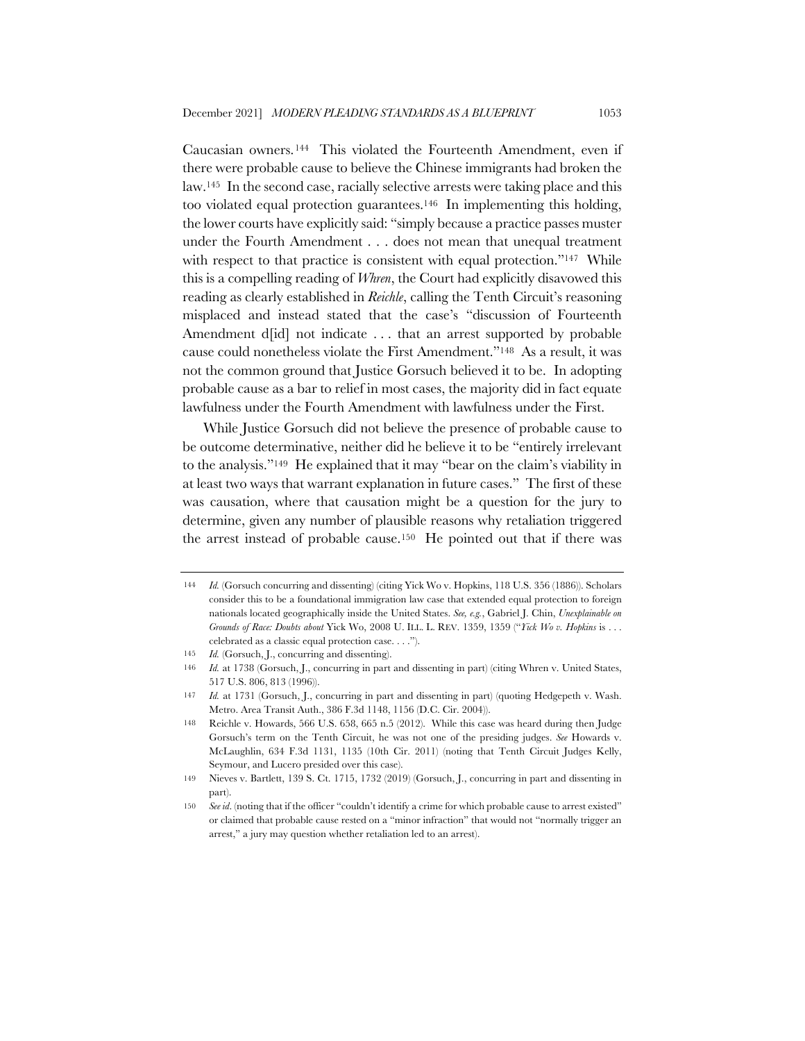Caucasian owners.144 This violated the Fourteenth Amendment, even if there were probable cause to believe the Chinese immigrants had broken the law.145 In the second case, racially selective arrests were taking place and this too violated equal protection guarantees.146 In implementing this holding, the lower courts have explicitly said: "simply because a practice passes muster under the Fourth Amendment . . . does not mean that unequal treatment with respect to that practice is consistent with equal protection."<sup>147</sup> While this is a compelling reading of *Whren*, the Court had explicitly disavowed this reading as clearly established in *Reichle*, calling the Tenth Circuit's reasoning misplaced and instead stated that the case's "discussion of Fourteenth Amendment d[id] not indicate ... that an arrest supported by probable cause could nonetheless violate the First Amendment."148 As a result, it was not the common ground that Justice Gorsuch believed it to be. In adopting probable cause as a bar to relief in most cases, the majority did in fact equate lawfulness under the Fourth Amendment with lawfulness under the First.

While Justice Gorsuch did not believe the presence of probable cause to be outcome determinative, neither did he believe it to be "entirely irrelevant to the analysis."149 He explained that it may "bear on the claim's viability in at least two ways that warrant explanation in future cases." The first of these was causation, where that causation might be a question for the jury to determine, given any number of plausible reasons why retaliation triggered the arrest instead of probable cause.150 He pointed out that if there was

<sup>144</sup> *Id.* (Gorsuch concurring and dissenting) (citing Yick Wo v. Hopkins, 118 U.S. 356 (1886)). Scholars consider this to be a foundational immigration law case that extended equal protection to foreign nationals located geographically inside the United States. *See, e.g.*, Gabriel J. Chin, *Unexplainable on Grounds of Race: Doubts about* Yick Wo, 2008 U. ILL. L. REV. 1359, 1359 ("*Yick Wo v. Hopkins* is . . . celebrated as a classic equal protection case. . . .").

<sup>145</sup> *Id.* (Gorsuch, J., concurring and dissenting).

<sup>146</sup> *Id.* at 1738 (Gorsuch, J., concurring in part and dissenting in part) (citing Whren v. United States, 517 U.S. 806, 813 (1996)).

<sup>147</sup> *Id.* at 1731 (Gorsuch, J., concurring in part and dissenting in part) (quoting Hedgepeth v. Wash. Metro. Area Transit Auth., 386 F.3d 1148, 1156 (D.C. Cir. 2004)).

<sup>148</sup> Reichle v. Howards, 566 U.S. 658, 665 n.5 (2012). While this case was heard during then Judge Gorsuch's term on the Tenth Circuit, he was not one of the presiding judges. *See* Howards v. McLaughlin, 634 F.3d 1131, 1135 (10th Cir. 2011) (noting that Tenth Circuit Judges Kelly, Seymour, and Lucero presided over this case).

<sup>149</sup> Nieves v. Bartlett, 139 S. Ct. 1715, 1732 (2019) (Gorsuch, J., concurring in part and dissenting in part).

<sup>150</sup> *See id*. (noting that if the officer "couldn't identify a crime for which probable cause to arrest existed" or claimed that probable cause rested on a "minor infraction" that would not "normally trigger an arrest," a jury may question whether retaliation led to an arrest).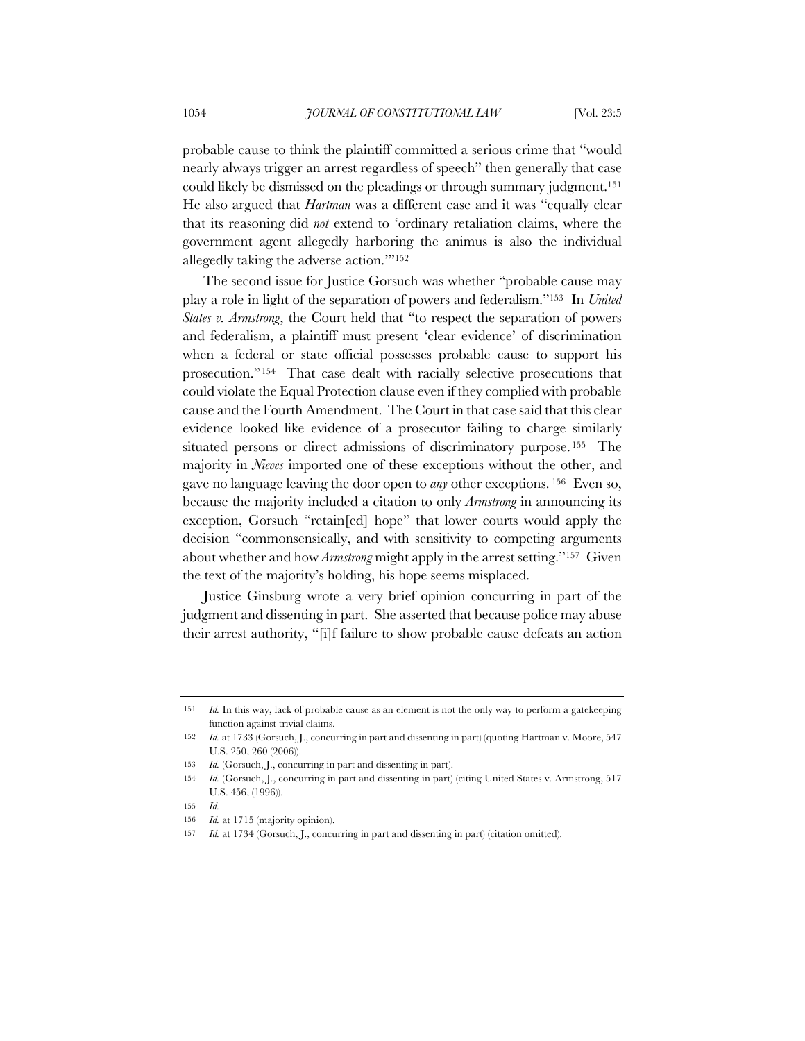probable cause to think the plaintiff committed a serious crime that "would nearly always trigger an arrest regardless of speech" then generally that case could likely be dismissed on the pleadings or through summary judgment.151 He also argued that *Hartman* was a different case and it was "equally clear that its reasoning did *not* extend to 'ordinary retaliation claims, where the government agent allegedly harboring the animus is also the individual allegedly taking the adverse action.'"152

The second issue for Justice Gorsuch was whether "probable cause may play a role in light of the separation of powers and federalism."153 In *United States v. Armstrong*, the Court held that "to respect the separation of powers and federalism, a plaintiff must present 'clear evidence' of discrimination when a federal or state official possesses probable cause to support his prosecution."154 That case dealt with racially selective prosecutions that could violate the Equal Protection clause even if they complied with probable cause and the Fourth Amendment. The Court in that case said that this clear evidence looked like evidence of a prosecutor failing to charge similarly situated persons or direct admissions of discriminatory purpose. <sup>155</sup> The majority in *Nieves* imported one of these exceptions without the other, and gave no language leaving the door open to *any* other exceptions. <sup>156</sup> Even so, because the majority included a citation to only *Armstrong* in announcing its exception, Gorsuch "retain[ed] hope" that lower courts would apply the decision "commonsensically, and with sensitivity to competing arguments about whether and how *Armstrong* might apply in the arrest setting."157 Given the text of the majority's holding, his hope seems misplaced.

Justice Ginsburg wrote a very brief opinion concurring in part of the judgment and dissenting in part. She asserted that because police may abuse their arrest authority, "[i]f failure to show probable cause defeats an action

<sup>151</sup> *Id.* In this way, lack of probable cause as an element is not the only way to perform a gatekeeping function against trivial claims.

<sup>152</sup> *Id.* at 1733 (Gorsuch, J., concurring in part and dissenting in part) (quoting Hartman v. Moore, 547 U.S. 250, 260 (2006)).

<sup>153</sup> *Id.* (Gorsuch, J., concurring in part and dissenting in part).

<sup>154</sup> *Id.* (Gorsuch, J., concurring in part and dissenting in part) (citing United States v. Armstrong, 517 U.S. 456, (1996)).

<sup>155</sup> *Id.*

<sup>156</sup> *Id.* at 1715 (majority opinion).

<sup>157</sup> *Id.* at 1734 (Gorsuch, J., concurring in part and dissenting in part) (citation omitted).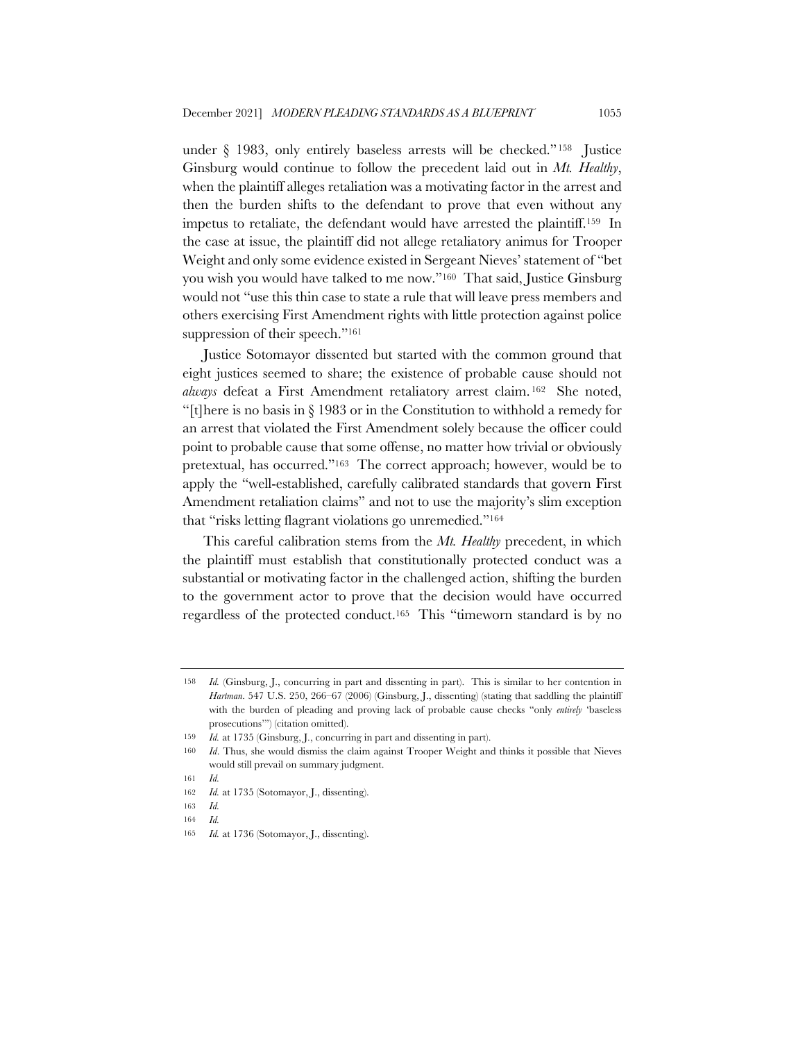under § 1983, only entirely baseless arrests will be checked." <sup>158</sup> Justice Ginsburg would continue to follow the precedent laid out in *Mt. Healthy*, when the plaintiff alleges retaliation was a motivating factor in the arrest and then the burden shifts to the defendant to prove that even without any impetus to retaliate, the defendant would have arrested the plaintiff.159 In the case at issue, the plaintiff did not allege retaliatory animus for Trooper Weight and only some evidence existed in Sergeant Nieves' statement of "bet you wish you would have talked to me now."160 That said, Justice Ginsburg would not "use this thin case to state a rule that will leave press members and others exercising First Amendment rights with little protection against police suppression of their speech."<sup>161</sup>

Justice Sotomayor dissented but started with the common ground that eight justices seemed to share; the existence of probable cause should not *always* defeat a First Amendment retaliatory arrest claim. <sup>162</sup> She noted, "[t]here is no basis in § 1983 or in the Constitution to withhold a remedy for an arrest that violated the First Amendment solely because the officer could point to probable cause that some offense, no matter how trivial or obviously pretextual, has occurred."163 The correct approach; however, would be to apply the "well-established, carefully calibrated standards that govern First Amendment retaliation claims" and not to use the majority's slim exception that "risks letting flagrant violations go unremedied."164

This careful calibration stems from the *Mt. Healthy* precedent, in which the plaintiff must establish that constitutionally protected conduct was a substantial or motivating factor in the challenged action, shifting the burden to the government actor to prove that the decision would have occurred regardless of the protected conduct.165 This "timeworn standard is by no

<sup>158</sup> *Id.* (Ginsburg, J., concurring in part and dissenting in part). This is similar to her contention in *Hartman*. 547 U.S. 250, 266–67 (2006) (Ginsburg, J., dissenting) (stating that saddling the plaintiff with the burden of pleading and proving lack of probable cause checks "only *entirely* 'baseless prosecutions'") (citation omitted).

<sup>159</sup> *Id.* at 1735 (Ginsburg, J., concurring in part and dissenting in part).

<sup>160</sup> *Id*. Thus, she would dismiss the claim against Trooper Weight and thinks it possible that Nieves would still prevail on summary judgment.

<sup>161</sup> *Id.*

<sup>162</sup> *Id.* at 1735 (Sotomayor, J., dissenting).

<sup>163</sup> *Id.*

<sup>164</sup> *Id.*

<sup>165</sup> *Id.* at 1736 (Sotomayor, J., dissenting).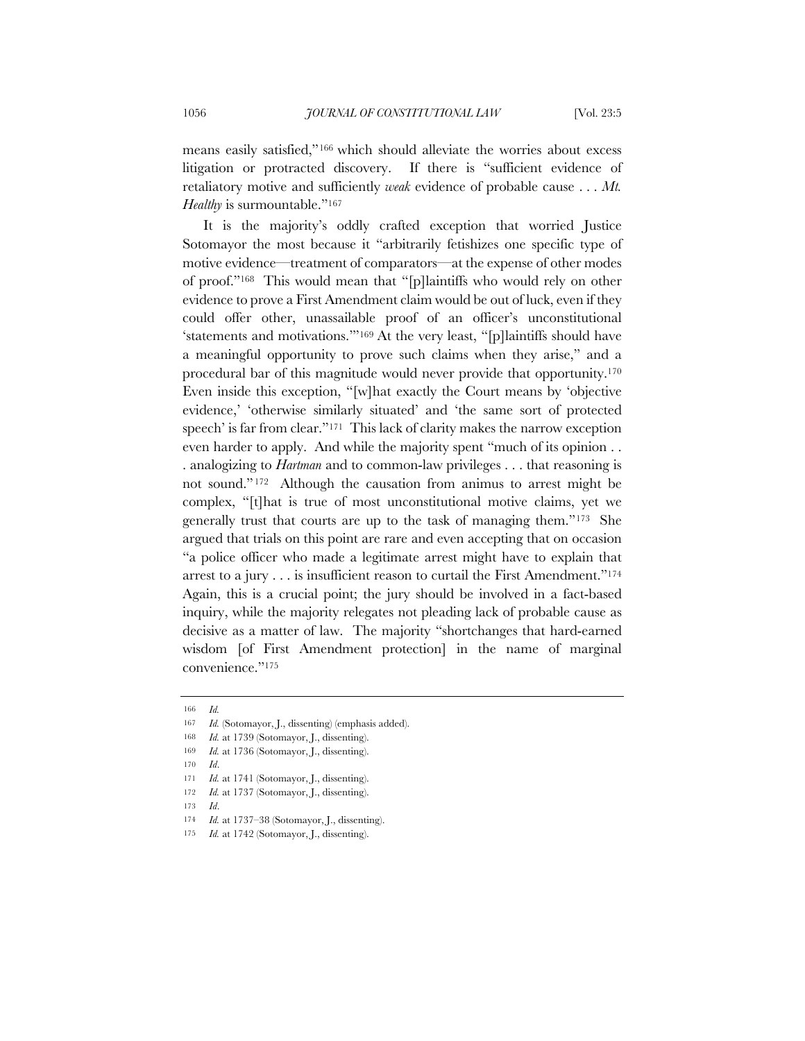means easily satisfied,"166 which should alleviate the worries about excess litigation or protracted discovery. If there is "sufficient evidence of retaliatory motive and sufficiently *weak* evidence of probable cause . . . *Mt. Healthy* is surmountable."<sup>167</sup>

It is the majority's oddly crafted exception that worried Justice Sotomayor the most because it "arbitrarily fetishizes one specific type of motive evidence—treatment of comparators—at the expense of other modes of proof."168 This would mean that "[p]laintiffs who would rely on other evidence to prove a First Amendment claim would be out of luck, even if they could offer other, unassailable proof of an officer's unconstitutional 'statements and motivations.'"169 At the very least, "[p]laintiffs should have a meaningful opportunity to prove such claims when they arise," and a procedural bar of this magnitude would never provide that opportunity.170 Even inside this exception, "[w]hat exactly the Court means by 'objective evidence,' 'otherwise similarly situated' and 'the same sort of protected speech' is far from clear."171 This lack of clarity makes the narrow exception even harder to apply. And while the majority spent "much of its opinion . . . analogizing to *Hartman* and to common-law privileges . . . that reasoning is not sound." <sup>172</sup> Although the causation from animus to arrest might be complex, "[t]hat is true of most unconstitutional motive claims, yet we generally trust that courts are up to the task of managing them."173 She argued that trials on this point are rare and even accepting that on occasion "a police officer who made a legitimate arrest might have to explain that arrest to a jury . . . is insufficient reason to curtail the First Amendment."174 Again, this is a crucial point; the jury should be involved in a fact-based inquiry, while the majority relegates not pleading lack of probable cause as decisive as a matter of law. The majority "shortchanges that hard-earned wisdom [of First Amendment protection] in the name of marginal convenience."175

172 *Id.* at 1737 (Sotomayor, J., dissenting).

<sup>166</sup> *Id.*

<sup>167</sup> *Id.* (Sotomayor, J., dissenting) (emphasis added).

<sup>168</sup> *Id.* at 1739 (Sotomayor, J., dissenting).

<sup>169</sup> *Id.* at 1736 (Sotomayor, J., dissenting).

<sup>170</sup> *Id*.

<sup>171</sup> *Id.* at 1741 (Sotomayor, J., dissenting).

<sup>173</sup> *Id*.

<sup>174</sup> *Id.* at 1737–38 (Sotomayor, J., dissenting).

<sup>175</sup> *Id.* at 1742 (Sotomayor, J., dissenting).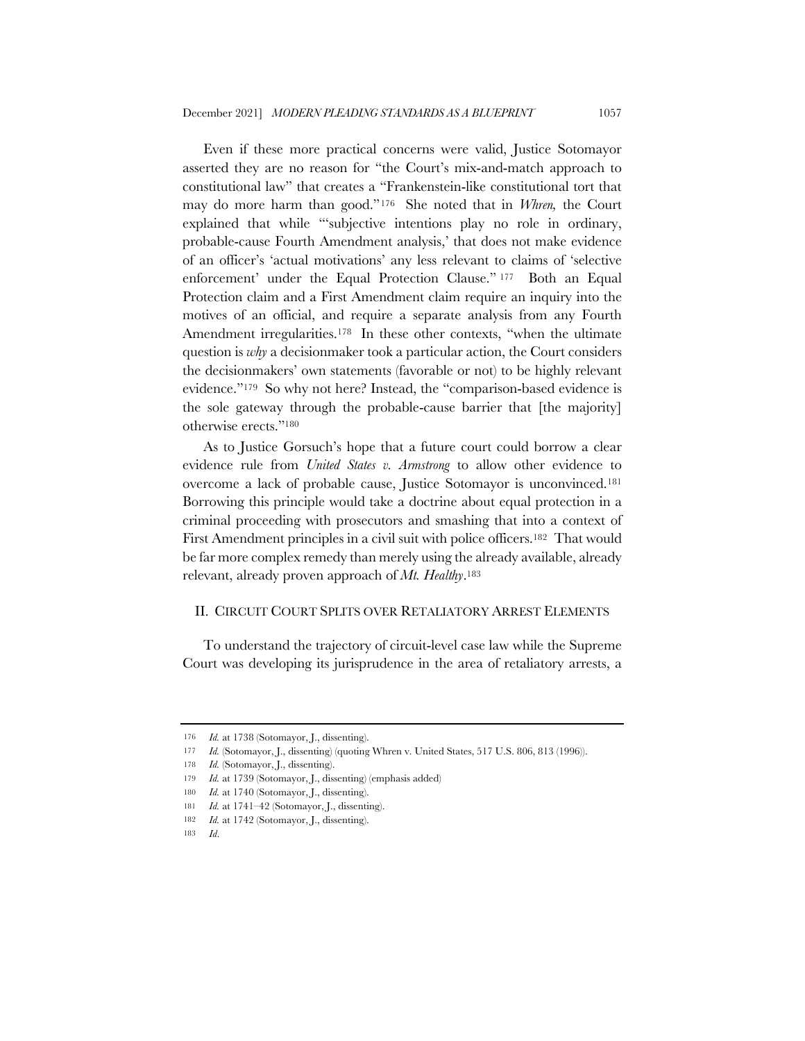Even if these more practical concerns were valid, Justice Sotomayor asserted they are no reason for "the Court's mix-and-match approach to constitutional law" that creates a "Frankenstein-like constitutional tort that may do more harm than good."176 She noted that in *Whren,* the Court explained that while "'subjective intentions play no role in ordinary, probable-cause Fourth Amendment analysis,' that does not make evidence of an officer's 'actual motivations' any less relevant to claims of 'selective enforcement' under the Equal Protection Clause." <sup>177</sup> Both an Equal Protection claim and a First Amendment claim require an inquiry into the motives of an official, and require a separate analysis from any Fourth Amendment irregularities.<sup>178</sup> In these other contexts, "when the ultimate question is *why* a decisionmaker took a particular action, the Court considers the decisionmakers' own statements (favorable or not) to be highly relevant evidence."179 So why not here? Instead, the "comparison-based evidence is the sole gateway through the probable-cause barrier that [the majority] otherwise erects."180

As to Justice Gorsuch's hope that a future court could borrow a clear evidence rule from *United States v. Armstrong* to allow other evidence to overcome a lack of probable cause, Justice Sotomayor is unconvinced.181 Borrowing this principle would take a doctrine about equal protection in a criminal proceeding with prosecutors and smashing that into a context of First Amendment principles in a civil suit with police officers.<sup>182</sup> That would be far more complex remedy than merely using the already available, already relevant, already proven approach of *Mt. Healthy*.183

### II. CIRCUIT COURT SPLITS OVER RETALIATORY ARREST ELEMENTS

To understand the trajectory of circuit-level case law while the Supreme Court was developing its jurisprudence in the area of retaliatory arrests, a

<sup>176</sup> *Id.* at 1738 (Sotomayor, J., dissenting).

<sup>177</sup> *Id.* (Sotomayor, J., dissenting) (quoting Whren v. United States, 517 U.S. 806, 813 (1996)).

<sup>178</sup> *Id.* (Sotomayor, J., dissenting).

<sup>179</sup> *Id.* at 1739 (Sotomayor, J., dissenting) (emphasis added)

<sup>180</sup> *Id.* at 1740 (Sotomayor, J., dissenting).

<sup>181</sup> *Id.* at 1741–42 (Sotomayor, J., dissenting).

<sup>182</sup> *Id.* at 1742 (Sotomayor, J., dissenting).

<sup>183</sup> *Id*.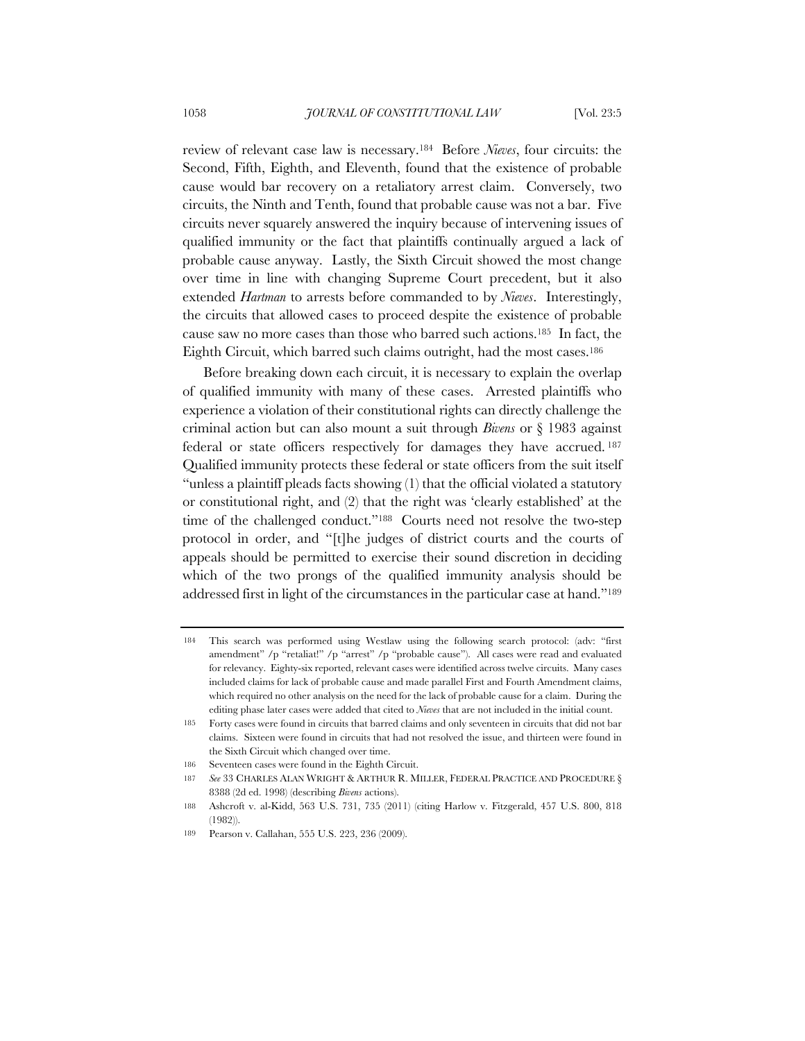review of relevant case law is necessary.184 Before *Nieves*, four circuits: the Second, Fifth, Eighth, and Eleventh, found that the existence of probable cause would bar recovery on a retaliatory arrest claim. Conversely, two circuits, the Ninth and Tenth, found that probable cause was not a bar. Five circuits never squarely answered the inquiry because of intervening issues of qualified immunity or the fact that plaintiffs continually argued a lack of probable cause anyway. Lastly, the Sixth Circuit showed the most change over time in line with changing Supreme Court precedent, but it also extended *Hartman* to arrests before commanded to by *Nieves*. Interestingly, the circuits that allowed cases to proceed despite the existence of probable cause saw no more cases than those who barred such actions.185 In fact, the Eighth Circuit, which barred such claims outright, had the most cases.186

Before breaking down each circuit, it is necessary to explain the overlap of qualified immunity with many of these cases. Arrested plaintiffs who experience a violation of their constitutional rights can directly challenge the criminal action but can also mount a suit through *Bivens* or § 1983 against federal or state officers respectively for damages they have accrued. <sup>187</sup> Qualified immunity protects these federal or state officers from the suit itself "unless a plaintiff pleads facts showing (1) that the official violated a statutory or constitutional right, and (2) that the right was 'clearly established' at the time of the challenged conduct."188 Courts need not resolve the two-step protocol in order, and "[t]he judges of district courts and the courts of appeals should be permitted to exercise their sound discretion in deciding which of the two prongs of the qualified immunity analysis should be addressed first in light of the circumstances in the particular case at hand."189

<sup>184</sup> This search was performed using Westlaw using the following search protocol: (adv: "first amendment" /p "retaliat!" /p "arrest" /p "probable cause"). All cases were read and evaluated for relevancy. Eighty-six reported, relevant cases were identified across twelve circuits. Many cases included claims for lack of probable cause and made parallel First and Fourth Amendment claims, which required no other analysis on the need for the lack of probable cause for a claim. During the editing phase later cases were added that cited to *Nieves* that are not included in the initial count.

<sup>185</sup> Forty cases were found in circuits that barred claims and only seventeen in circuits that did not bar claims. Sixteen were found in circuits that had not resolved the issue, and thirteen were found in the Sixth Circuit which changed over time.

<sup>186</sup> Seventeen cases were found in the Eighth Circuit.

<sup>187</sup> *See* 33 CHARLES ALAN WRIGHT & ARTHUR R. MILLER, FEDERAL PRACTICE AND PROCEDURE § 8388 (2d ed. 1998) (describing *Bivens* actions).

<sup>188</sup> Ashcroft v. al-Kidd, 563 U.S. 731, 735 (2011) (citing Harlow v. Fitzgerald, 457 U.S. 800, 818 (1982)).

<sup>189</sup> Pearson v. Callahan, 555 U.S. 223, 236 (2009).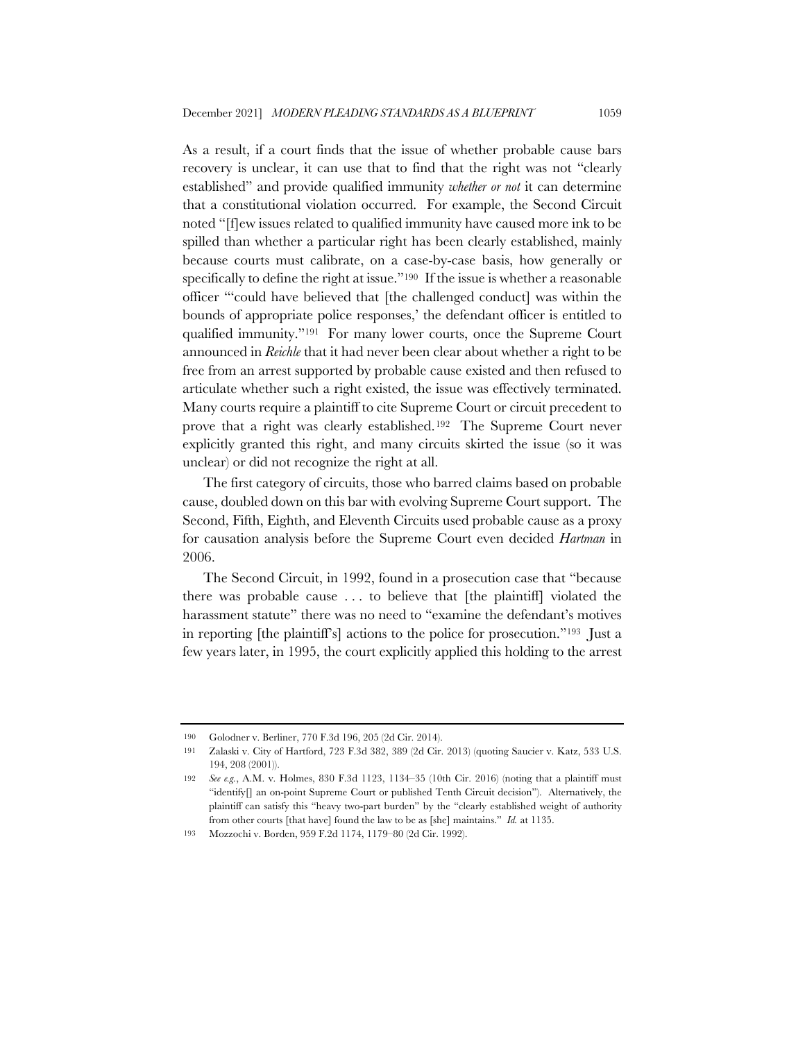As a result, if a court finds that the issue of whether probable cause bars recovery is unclear, it can use that to find that the right was not "clearly established" and provide qualified immunity *whether or not* it can determine that a constitutional violation occurred. For example, the Second Circuit noted "[f]ew issues related to qualified immunity have caused more ink to be spilled than whether a particular right has been clearly established, mainly because courts must calibrate, on a case-by-case basis, how generally or specifically to define the right at issue."190 If the issue is whether a reasonable officer "'could have believed that [the challenged conduct] was within the bounds of appropriate police responses,' the defendant officer is entitled to qualified immunity."191 For many lower courts, once the Supreme Court announced in *Reichle* that it had never been clear about whether a right to be free from an arrest supported by probable cause existed and then refused to articulate whether such a right existed, the issue was effectively terminated. Many courts require a plaintiff to cite Supreme Court or circuit precedent to prove that a right was clearly established.192 The Supreme Court never explicitly granted this right, and many circuits skirted the issue (so it was unclear) or did not recognize the right at all.

The first category of circuits, those who barred claims based on probable cause, doubled down on this bar with evolving Supreme Court support. The Second, Fifth, Eighth, and Eleventh Circuits used probable cause as a proxy for causation analysis before the Supreme Court even decided *Hartman* in 2006.

The Second Circuit, in 1992, found in a prosecution case that "because there was probable cause . . . to believe that [the plaintiff] violated the harassment statute" there was no need to "examine the defendant's motives in reporting [the plaintiff's] actions to the police for prosecution."193 Just a few years later, in 1995, the court explicitly applied this holding to the arrest

<sup>190</sup> Golodner v. Berliner, 770 F.3d 196, 205 (2d Cir. 2014).

<sup>191</sup> Zalaski v. City of Hartford, 723 F.3d 382, 389 (2d Cir. 2013) (quoting Saucier v. Katz, 533 U.S. 194, 208 (2001)).

<sup>192</sup> *See e.g.*, A.M. v. Holmes, 830 F.3d 1123, 1134–35 (10th Cir. 2016) (noting that a plaintiff must "identify[] an on-point Supreme Court or published Tenth Circuit decision"). Alternatively, the plaintiff can satisfy this "heavy two-part burden" by the "clearly established weight of authority from other courts [that have] found the law to be as [she] maintains." *Id.* at 1135.

<sup>193</sup> Mozzochi v. Borden, 959 F.2d 1174, 1179–80 (2d Cir. 1992).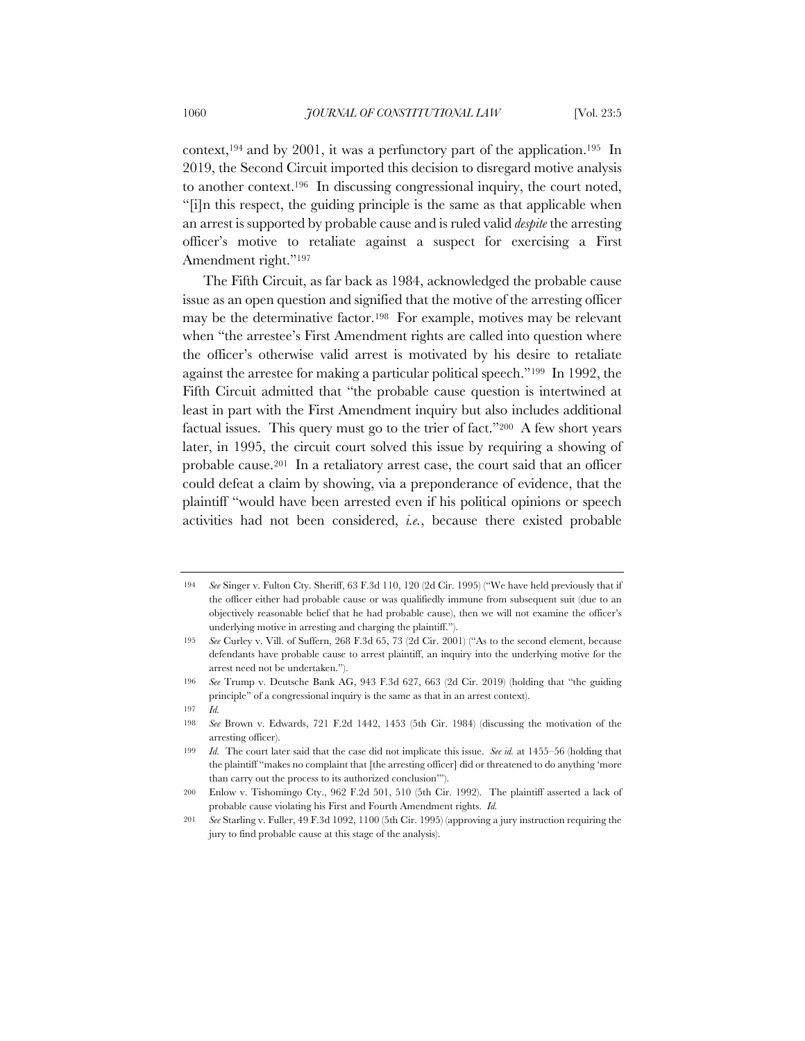context,<sup>194</sup> and by 2001, it was a perfunctory part of the application.<sup>195</sup> In 2019, the Second Circuit imported this decision to disregard motive analysis to another context.196 In discussing congressional inquiry, the court noted, "[i]n this respect, the guiding principle is the same as that applicable when an arrest is supported by probable cause and is ruled valid *despite* the arresting officer's motive to retaliate against a suspect for exercising a First Amendment right."197

The Fifth Circuit, as far back as 1984, acknowledged the probable cause issue as an open question and signified that the motive of the arresting officer may be the determinative factor.198 For example, motives may be relevant when "the arrestee's First Amendment rights are called into question where the officer's otherwise valid arrest is motivated by his desire to retaliate against the arrestee for making a particular political speech."199 In 1992, the Fifth Circuit admitted that "the probable cause question is intertwined at least in part with the First Amendment inquiry but also includes additional factual issues. This query must go to the trier of fact."200 A few short years later, in 1995, the circuit court solved this issue by requiring a showing of probable cause.201 In a retaliatory arrest case, the court said that an officer could defeat a claim by showing, via a preponderance of evidence, that the plaintiff "would have been arrested even if his political opinions or speech activities had not been considered, *i.e.*, because there existed probable

<sup>194</sup> *See* Singer v. Fulton Cty. Sheriff, 63 F.3d 110, 120 (2d Cir. 1995) ("We have held previously that if the officer either had probable cause or was qualifiedly immune from subsequent suit (due to an objectively reasonable belief that he had probable cause), then we will not examine the officer's underlying motive in arresting and charging the plaintiff.").

<sup>195</sup> *See* Curley v. Vill. of Suffern, 268 F.3d 65, 73 (2d Cir. 2001) ("As to the second element, because defendants have probable cause to arrest plaintiff, an inquiry into the underlying motive for the arrest need not be undertaken.").

<sup>196</sup> *See* Trump v. Deutsche Bank AG, 943 F.3d 627, 663 (2d Cir. 2019) (holding that "the guiding principle" of a congressional inquiry is the same as that in an arrest context).

<sup>197</sup> *Id.*

<sup>198</sup> *See* Brown v. Edwards, 721 F.2d 1442, 1453 (5th Cir. 1984) (discussing the motivation of the arresting officer).

<sup>199</sup> *Id.* The court later said that the case did not implicate this issue. *See id.* at 1455–56 (holding that the plaintiff "makes no complaint that [the arresting officer] did or threatened to do anything 'more than carry out the process to its authorized conclusion'").

<sup>200</sup> Enlow v. Tishomingo Cty., 962 F.2d 501, 510 (5th Cir. 1992). The plaintiff asserted a lack of probable cause violating his First and Fourth Amendment rights. *Id.*

<sup>201</sup> *See* Starling v. Fuller, 49 F.3d 1092, 1100 (5th Cir. 1995) (approving a jury instruction requiring the jury to find probable cause at this stage of the analysis).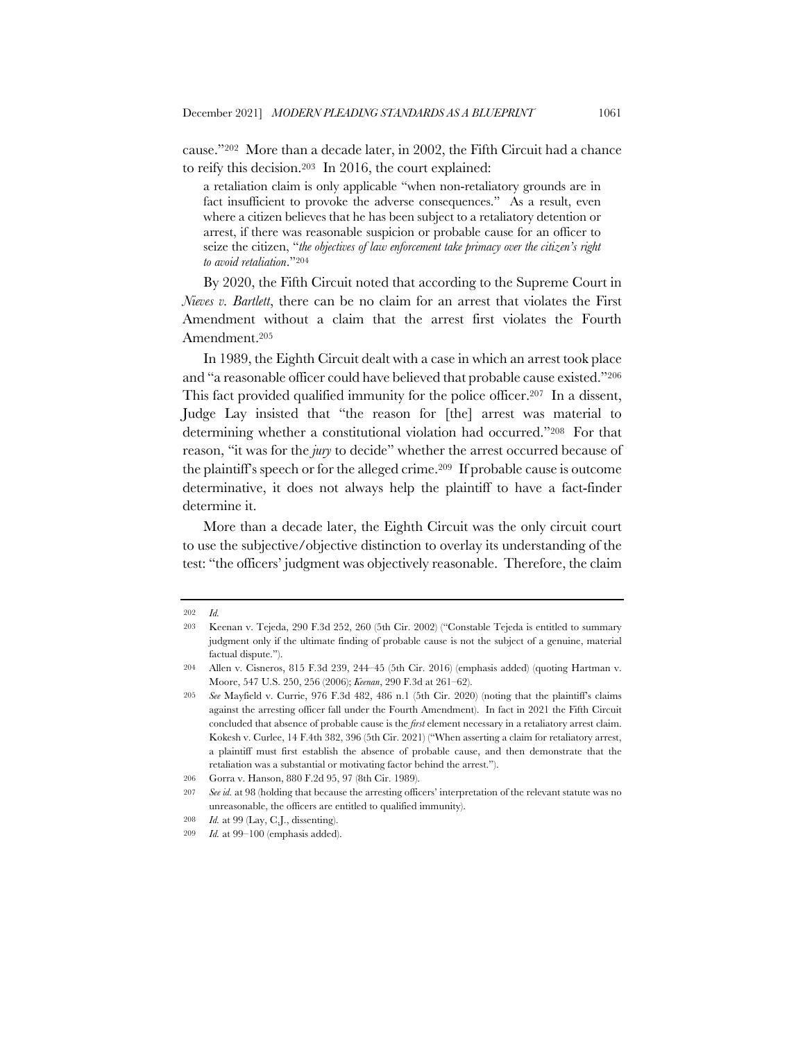cause."202 More than a decade later, in 2002, the Fifth Circuit had a chance to reify this decision.203 In 2016, the court explained:

a retaliation claim is only applicable "when non-retaliatory grounds are in fact insufficient to provoke the adverse consequences." As a result, even where a citizen believes that he has been subject to a retaliatory detention or arrest, if there was reasonable suspicion or probable cause for an officer to seize the citizen, "*the objectives of law enforcement take primacy over the citizen's right to avoid retaliation*."204

By 2020, the Fifth Circuit noted that according to the Supreme Court in *Nieves v. Bartlett*, there can be no claim for an arrest that violates the First Amendment without a claim that the arrest first violates the Fourth Amendment.205

In 1989, the Eighth Circuit dealt with a case in which an arrest took place and "a reasonable officer could have believed that probable cause existed."206 This fact provided qualified immunity for the police officer.<sup>207</sup> In a dissent, Judge Lay insisted that "the reason for [the] arrest was material to determining whether a constitutional violation had occurred."208 For that reason, "it was for the *jury* to decide" whether the arrest occurred because of the plaintiff's speech or for the alleged crime.209 If probable cause is outcome determinative, it does not always help the plaintiff to have a fact-finder determine it.

More than a decade later, the Eighth Circuit was the only circuit court to use the subjective/objective distinction to overlay its understanding of the test: "the officers' judgment was objectively reasonable. Therefore, the claim

<sup>202</sup> *Id.*

<sup>203</sup> Keenan v. Tejeda, 290 F.3d 252, 260 (5th Cir. 2002) ("Constable Tejeda is entitled to summary judgment only if the ultimate finding of probable cause is not the subject of a genuine, material factual dispute.").

<sup>204</sup> Allen v. Cisneros, 815 F.3d 239, 244–45 (5th Cir. 2016) (emphasis added) (quoting Hartman v. Moore, 547 U.S. 250, 256 (2006); *Keenan*, 290 F.3d at 261–62).

<sup>205</sup> *See* Mayfield v. Currie, 976 F.3d 482, 486 n.1 (5th Cir. 2020) (noting that the plaintiff's claims against the arresting officer fall under the Fourth Amendment). In fact in 2021 the Fifth Circuit concluded that absence of probable cause is the *first* element necessary in a retaliatory arrest claim. Kokesh v. Curlee, 14 F.4th 382, 396 (5th Cir. 2021) ("When asserting a claim for retaliatory arrest, a plaintiff must first establish the absence of probable cause, and then demonstrate that the retaliation was a substantial or motivating factor behind the arrest.").

<sup>206</sup> Gorra v. Hanson, 880 F.2d 95, 97 (8th Cir. 1989).

<sup>207</sup> *See id.* at 98 (holding that because the arresting officers' interpretation of the relevant statute was no unreasonable, the officers are entitled to qualified immunity).

<sup>208</sup> *Id.* at 99 (Lay, C.J., dissenting).

<sup>209</sup> *Id.* at 99–100 (emphasis added).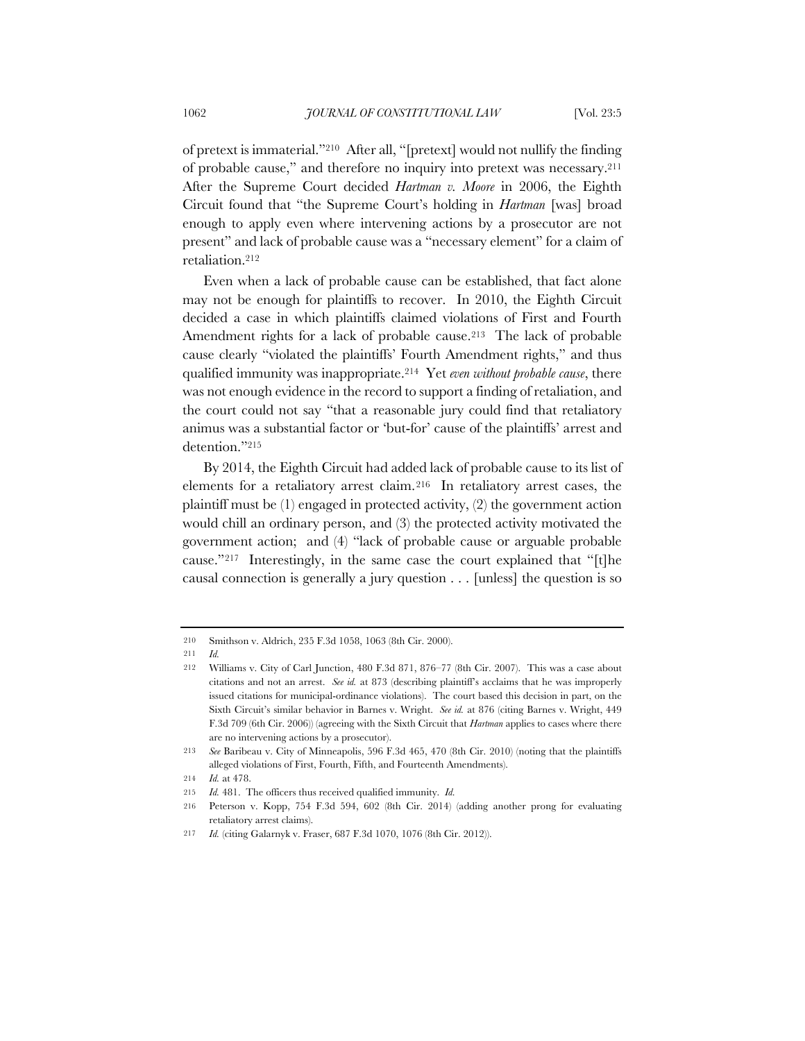of pretext is immaterial."210 After all, "[pretext] would not nullify the finding of probable cause," and therefore no inquiry into pretext was necessary.211 After the Supreme Court decided *Hartman v. Moore* in 2006, the Eighth Circuit found that "the Supreme Court's holding in *Hartman* [was] broad enough to apply even where intervening actions by a prosecutor are not present" and lack of probable cause was a "necessary element" for a claim of retaliation.212

Even when a lack of probable cause can be established, that fact alone may not be enough for plaintiffs to recover. In 2010, the Eighth Circuit decided a case in which plaintiffs claimed violations of First and Fourth Amendment rights for a lack of probable cause.<sup>213</sup> The lack of probable cause clearly "violated the plaintiffs' Fourth Amendment rights," and thus qualified immunity was inappropriate.214 Yet *even without probable cause*, there was not enough evidence in the record to support a finding of retaliation, and the court could not say "that a reasonable jury could find that retaliatory animus was a substantial factor or 'but-for' cause of the plaintiffs' arrest and detention."215

By 2014, the Eighth Circuit had added lack of probable cause to its list of elements for a retaliatory arrest claim.216 In retaliatory arrest cases, the plaintiff must be (1) engaged in protected activity, (2) the government action would chill an ordinary person, and (3) the protected activity motivated the government action; and (4) "lack of probable cause or arguable probable cause."217 Interestingly, in the same case the court explained that "[t]he causal connection is generally a jury question . . . [unless] the question is so

<sup>210</sup> Smithson v. Aldrich, 235 F.3d 1058, 1063 (8th Cir. 2000).

<sup>211</sup> *Id.*

<sup>212</sup> Williams v. City of Carl Junction, 480 F.3d 871, 876–77 (8th Cir. 2007). This was a case about citations and not an arrest. *See id.* at 873 (describing plaintiff's acclaims that he was improperly issued citations for municipal-ordinance violations). The court based this decision in part, on the Sixth Circuit's similar behavior in Barnes v. Wright. *See id.* at 876 (citing Barnes v. Wright, 449 F.3d 709 (6th Cir. 2006)) (agreeing with the Sixth Circuit that *Hartman* applies to cases where there are no intervening actions by a prosecutor).

<sup>213</sup> *See* Baribeau v. City of Minneapolis, 596 F.3d 465, 470 (8th Cir. 2010) (noting that the plaintiffs alleged violations of First, Fourth, Fifth, and Fourteenth Amendments).

<sup>214</sup> *Id.* at 478.

<sup>215</sup> *Id.* 481. The officers thus received qualified immunity. *Id.*

<sup>216</sup> Peterson v. Kopp, 754 F.3d 594, 602 (8th Cir. 2014) (adding another prong for evaluating retaliatory arrest claims).

<sup>217</sup> *Id.* (citing Galarnyk v. Fraser, 687 F.3d 1070, 1076 (8th Cir. 2012)).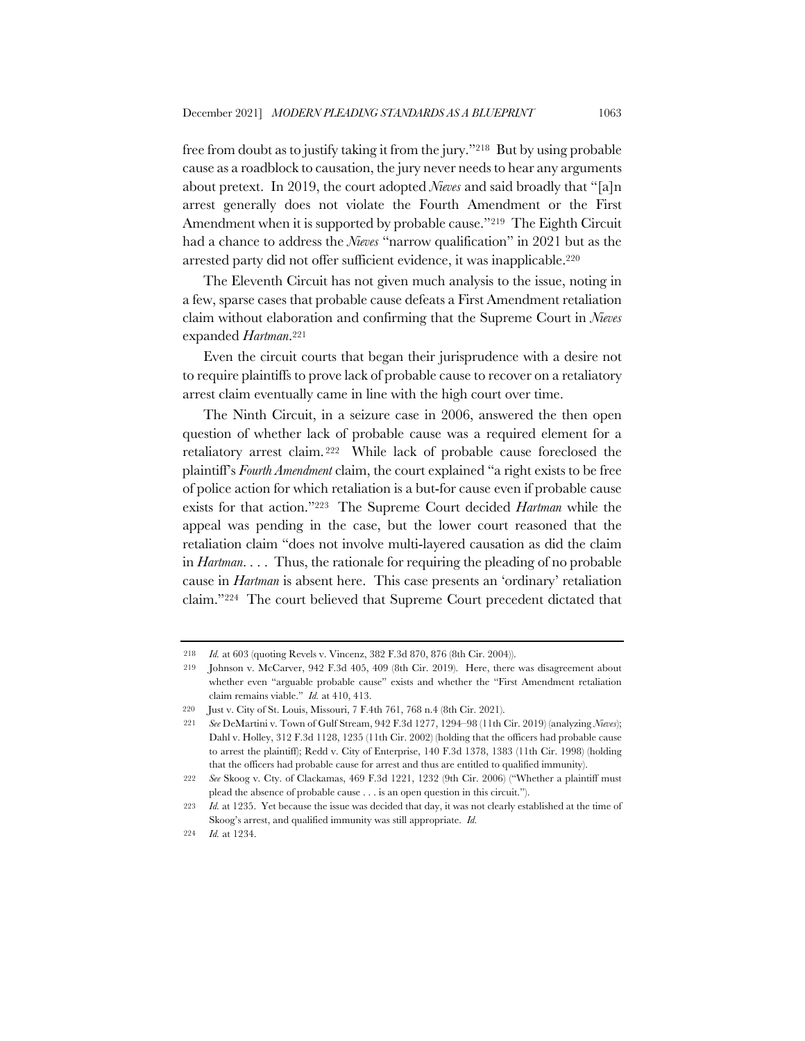free from doubt as to justify taking it from the jury."218 But by using probable cause as a roadblock to causation, the jury never needs to hear any arguments about pretext. In 2019, the court adopted *Nieves* and said broadly that "[a]n arrest generally does not violate the Fourth Amendment or the First Amendment when it is supported by probable cause."<sup>219</sup> The Eighth Circuit had a chance to address the *Nieves* "narrow qualification" in 2021 but as the arrested party did not offer sufficient evidence, it was inapplicable.220

The Eleventh Circuit has not given much analysis to the issue, noting in a few, sparse cases that probable cause defeats a First Amendment retaliation claim without elaboration and confirming that the Supreme Court in *Nieves* expanded *Hartman*.221

Even the circuit courts that began their jurisprudence with a desire not to require plaintiffs to prove lack of probable cause to recover on a retaliatory arrest claim eventually came in line with the high court over time.

The Ninth Circuit, in a seizure case in 2006, answered the then open question of whether lack of probable cause was a required element for a retaliatory arrest claim. <sup>222</sup> While lack of probable cause foreclosed the plaintiff's *Fourth Amendment* claim, the court explained "a right exists to be free of police action for which retaliation is a but-for cause even if probable cause exists for that action."223 The Supreme Court decided *Hartman* while the appeal was pending in the case, but the lower court reasoned that the retaliation claim "does not involve multi-layered causation as did the claim in *Hartman*. . . . Thus, the rationale for requiring the pleading of no probable cause in *Hartman* is absent here. This case presents an 'ordinary' retaliation claim."224 The court believed that Supreme Court precedent dictated that

<sup>218</sup> *Id.* at 603 (quoting Revels v. Vincenz, 382 F.3d 870, 876 (8th Cir. 2004)).

<sup>219</sup> Johnson v. McCarver, 942 F.3d 405, 409 (8th Cir. 2019). Here, there was disagreement about whether even "arguable probable cause" exists and whether the "First Amendment retaliation claim remains viable." *Id.* at 410, 413.

<sup>220</sup> Just v. City of St. Louis, Missouri, 7 F.4th 761, 768 n.4 (8th Cir. 2021).

<sup>221</sup> *See* DeMartini v. Town of Gulf Stream, 942 F.3d 1277, 1294–98 (11th Cir. 2019) (analyzing *Nieves*); Dahl v. Holley, 312 F.3d 1128, 1235 (11th Cir. 2002) (holding that the officers had probable cause to arrest the plaintiff); Redd v. City of Enterprise, 140 F.3d 1378, 1383 (11th Cir. 1998) (holding that the officers had probable cause for arrest and thus are entitled to qualified immunity).

<sup>222</sup> *See* Skoog v. Cty. of Clackamas, 469 F.3d 1221, 1232 (9th Cir. 2006) ("Whether a plaintiff must plead the absence of probable cause . . . is an open question in this circuit.").

<sup>223</sup> *Id.* at 1235. Yet because the issue was decided that day, it was not clearly established at the time of Skoog's arrest, and qualified immunity was still appropriate. *Id.*

<sup>224</sup> *Id.* at 1234.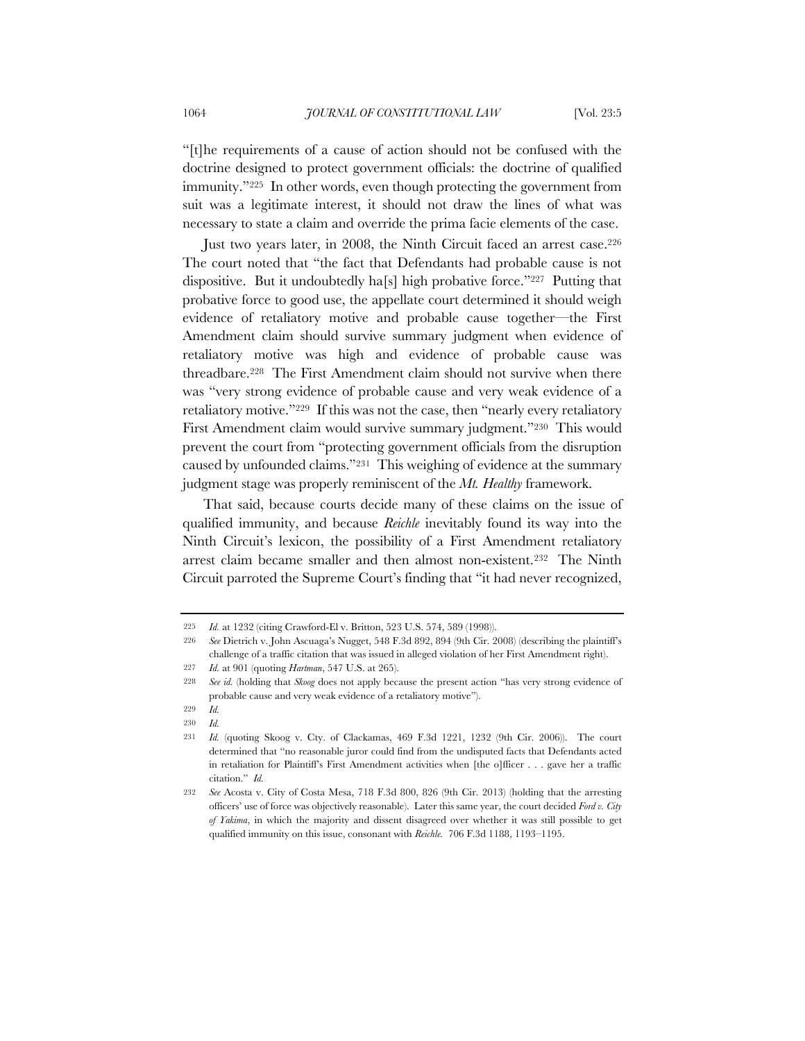"[t]he requirements of a cause of action should not be confused with the doctrine designed to protect government officials: the doctrine of qualified immunity."225 In other words, even though protecting the government from suit was a legitimate interest, it should not draw the lines of what was necessary to state a claim and override the prima facie elements of the case.

Just two years later, in 2008, the Ninth Circuit faced an arrest case.226 The court noted that "the fact that Defendants had probable cause is not dispositive. But it undoubtedly ha[s] high probative force."227 Putting that probative force to good use, the appellate court determined it should weigh evidence of retaliatory motive and probable cause together—the First Amendment claim should survive summary judgment when evidence of retaliatory motive was high and evidence of probable cause was threadbare.228 The First Amendment claim should not survive when there was "very strong evidence of probable cause and very weak evidence of a retaliatory motive."229 If this was not the case, then "nearly every retaliatory First Amendment claim would survive summary judgment."230 This would prevent the court from "protecting government officials from the disruption caused by unfounded claims."231 This weighing of evidence at the summary judgment stage was properly reminiscent of the *Mt. Healthy* framework.

That said, because courts decide many of these claims on the issue of qualified immunity, and because *Reichle* inevitably found its way into the Ninth Circuit's lexicon, the possibility of a First Amendment retaliatory arrest claim became smaller and then almost non-existent.232 The Ninth Circuit parroted the Supreme Court's finding that "it had never recognized,

<sup>225</sup> *Id.* at 1232 (citing Crawford-El v. Britton, 523 U.S. 574, 589 (1998)).

<sup>226</sup> *See* Dietrich v. John Ascuaga's Nugget, 548 F.3d 892, 894 (9th Cir. 2008) (describing the plaintiff's challenge of a traffic citation that was issued in alleged violation of her First Amendment right).

<sup>227</sup> *Id.* at 901 (quoting *Hartman*, 547 U.S. at 265).

<sup>228</sup> *See id.* (holding that *Skoog* does not apply because the present action "has very strong evidence of probable cause and very weak evidence of a retaliatory motive").

<sup>229</sup> *Id.*

<sup>230</sup> *Id.*

<sup>231</sup> *Id.* (quoting Skoog v. Cty. of Clackamas, 469 F.3d 1221, 1232 (9th Cir. 2006)). The court determined that "no reasonable juror could find from the undisputed facts that Defendants acted in retaliation for Plaintiff's First Amendment activities when [the o]fficer . . . gave her a traffic citation." *Id.*

<sup>232</sup> *See* Acosta v. City of Costa Mesa, 718 F.3d 800, 826 (9th Cir. 2013) (holding that the arresting officers' use of force was objectively reasonable). Later this same year, the court decided *Ford v. City of Yakima*, in which the majority and dissent disagreed over whether it was still possible to get qualified immunity on this issue, consonant with *Reichle.* 706 F.3d 1188, 1193–1195.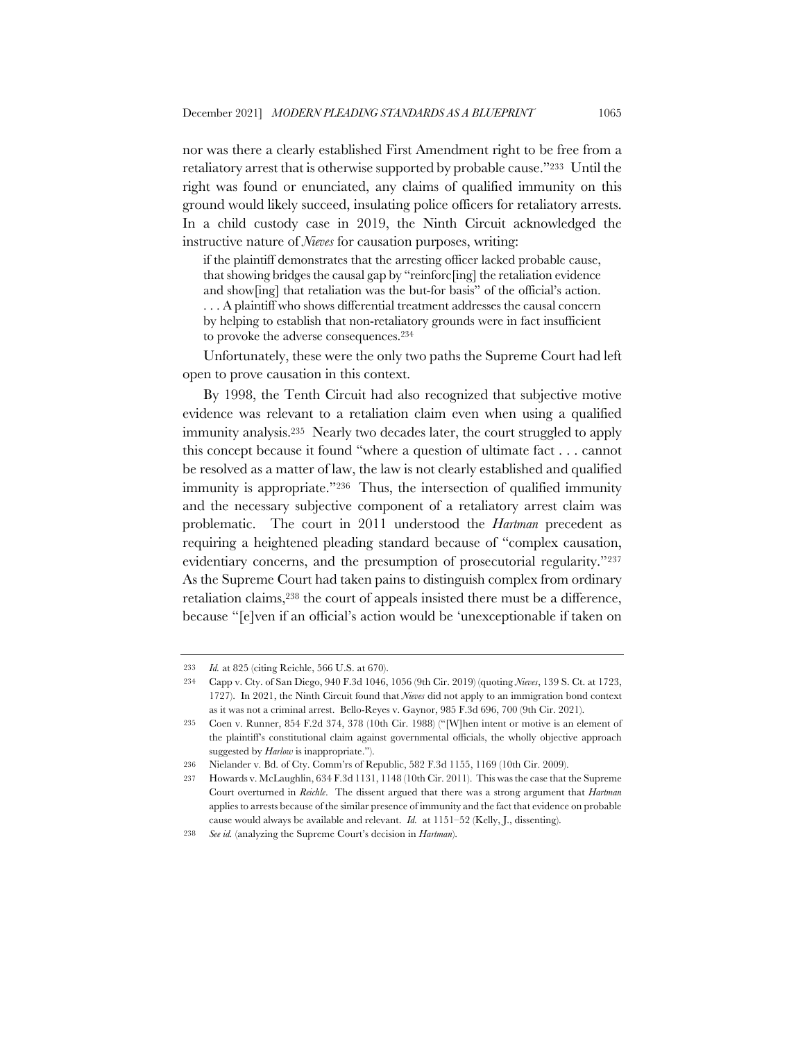nor was there a clearly established First Amendment right to be free from a retaliatory arrest that is otherwise supported by probable cause."233 Until the right was found or enunciated, any claims of qualified immunity on this ground would likely succeed, insulating police officers for retaliatory arrests. In a child custody case in 2019, the Ninth Circuit acknowledged the instructive nature of *Nieves* for causation purposes, writing:

if the plaintiff demonstrates that the arresting officer lacked probable cause, that showing bridges the causal gap by "reinforc[ing] the retaliation evidence and show[ing] that retaliation was the but-for basis" of the official's action. . . . A plaintiff who shows differential treatment addresses the causal concern by helping to establish that non-retaliatory grounds were in fact insufficient to provoke the adverse consequences.234

Unfortunately, these were the only two paths the Supreme Court had left open to prove causation in this context.

By 1998, the Tenth Circuit had also recognized that subjective motive evidence was relevant to a retaliation claim even when using a qualified immunity analysis.235 Nearly two decades later, the court struggled to apply this concept because it found "where a question of ultimate fact . . . cannot be resolved as a matter of law, the law is not clearly established and qualified immunity is appropriate."236 Thus, the intersection of qualified immunity and the necessary subjective component of a retaliatory arrest claim was problematic. The court in 2011 understood the *Hartman* precedent as requiring a heightened pleading standard because of "complex causation, evidentiary concerns, and the presumption of prosecutorial regularity."237 As the Supreme Court had taken pains to distinguish complex from ordinary retaliation claims,238 the court of appeals insisted there must be a difference, because "[e]ven if an official's action would be 'unexceptionable if taken on

<sup>233</sup> *Id.* at 825 (citing Reichle, 566 U.S. at 670).

<sup>234</sup> Capp v. Cty. of San Diego, 940 F.3d 1046, 1056 (9th Cir. 2019) (quoting *Nieves*, 139 S. Ct. at 1723, 1727). In 2021, the Ninth Circuit found that *Nieves* did not apply to an immigration bond context as it was not a criminal arrest. Bello-Reyes v. Gaynor, 985 F.3d 696, 700 (9th Cir. 2021).

<sup>235</sup> Coen v. Runner, 854 F.2d 374, 378 (10th Cir. 1988) ("[W]hen intent or motive is an element of the plaintiff's constitutional claim against governmental officials, the wholly objective approach suggested by *Harlow* is inappropriate.").

<sup>236</sup> Nielander v. Bd. of Cty. Comm'rs of Republic, 582 F.3d 1155, 1169 (10th Cir. 2009).

<sup>237</sup> Howards v. McLaughlin, 634 F.3d 1131, 1148 (10th Cir. 2011). This was the case that the Supreme Court overturned in *Reichle*. The dissent argued that there was a strong argument that *Hartman*  applies to arrests because of the similar presence of immunity and the fact that evidence on probable cause would always be available and relevant. *Id.* at 1151–52 (Kelly, J., dissenting).

<sup>238</sup> *See id.* (analyzing the Supreme Court's decision in *Hartman*).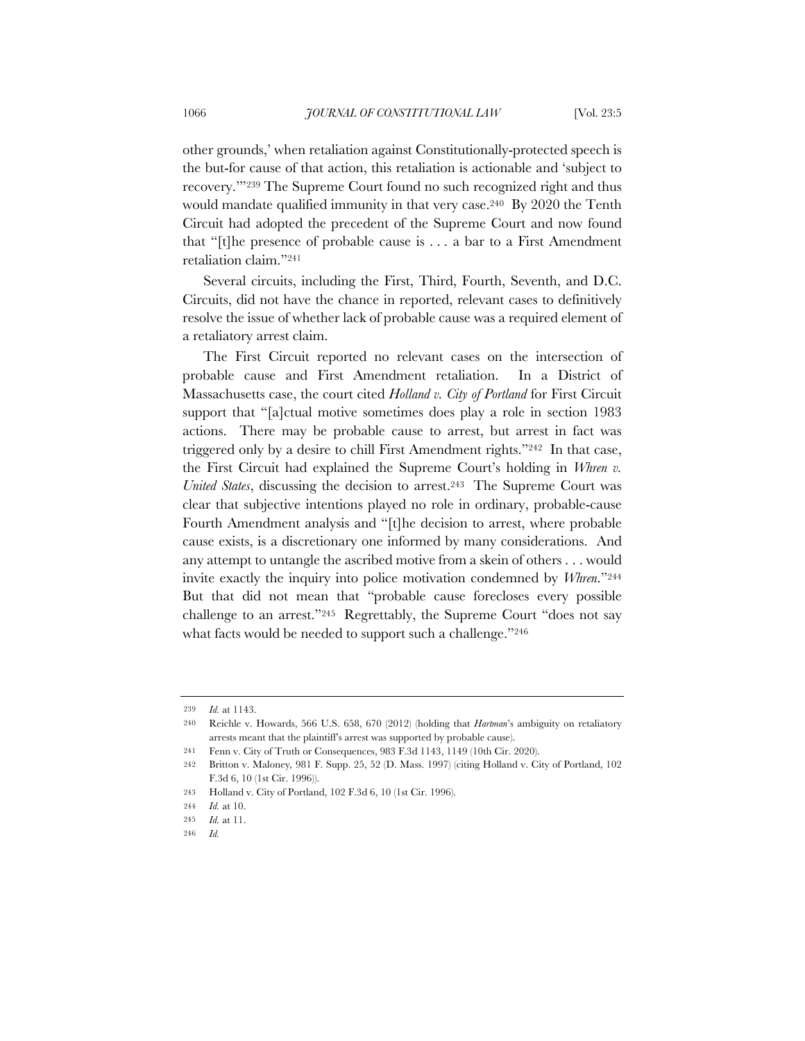other grounds,' when retaliation against Constitutionally-protected speech is the but-for cause of that action, this retaliation is actionable and 'subject to recovery.'"239 The Supreme Court found no such recognized right and thus would mandate qualified immunity in that very case.240 By 2020 the Tenth Circuit had adopted the precedent of the Supreme Court and now found that "[t]he presence of probable cause is . . . a bar to a First Amendment retaliation claim."241

Several circuits, including the First, Third, Fourth, Seventh, and D.C. Circuits, did not have the chance in reported, relevant cases to definitively resolve the issue of whether lack of probable cause was a required element of a retaliatory arrest claim.

The First Circuit reported no relevant cases on the intersection of probable cause and First Amendment retaliation. In a District of Massachusetts case, the court cited *Holland v. City of Portland* for First Circuit support that "[a]ctual motive sometimes does play a role in section 1983 actions. There may be probable cause to arrest, but arrest in fact was triggered only by a desire to chill First Amendment rights."242 In that case, the First Circuit had explained the Supreme Court's holding in *Whren v. United States*, discussing the decision to arrest.243 The Supreme Court was clear that subjective intentions played no role in ordinary, probable-cause Fourth Amendment analysis and "[t]he decision to arrest, where probable cause exists, is a discretionary one informed by many considerations. And any attempt to untangle the ascribed motive from a skein of others . . . would invite exactly the inquiry into police motivation condemned by *Whren*."244 But that did not mean that "probable cause forecloses every possible challenge to an arrest."245 Regrettably, the Supreme Court "does not say what facts would be needed to support such a challenge."246

<sup>239</sup> *Id.* at 1143.

<sup>240</sup> Reichle v. Howards, 566 U.S. 658, 670 (2012) (holding that *Hartman*'s ambiguity on retaliatory arrests meant that the plaintiff's arrest was supported by probable cause).

<sup>241</sup> Fenn v. City of Truth or Consequences, 983 F.3d 1143, 1149 (10th Cir. 2020).

<sup>242</sup> Britton v. Maloney*,* 981 F. Supp. 25, 52 (D. Mass. 1997) (citing Holland v. City of Portland, 102 F.3d 6, 10 (1st Cir. 1996)).

<sup>243</sup> Holland v. City of Portland, 102 F.3d 6, 10 (1st Cir. 1996).

<sup>244</sup> *Id.* at 10.

<sup>245</sup> *Id.* at 11.

<sup>246</sup> *Id.*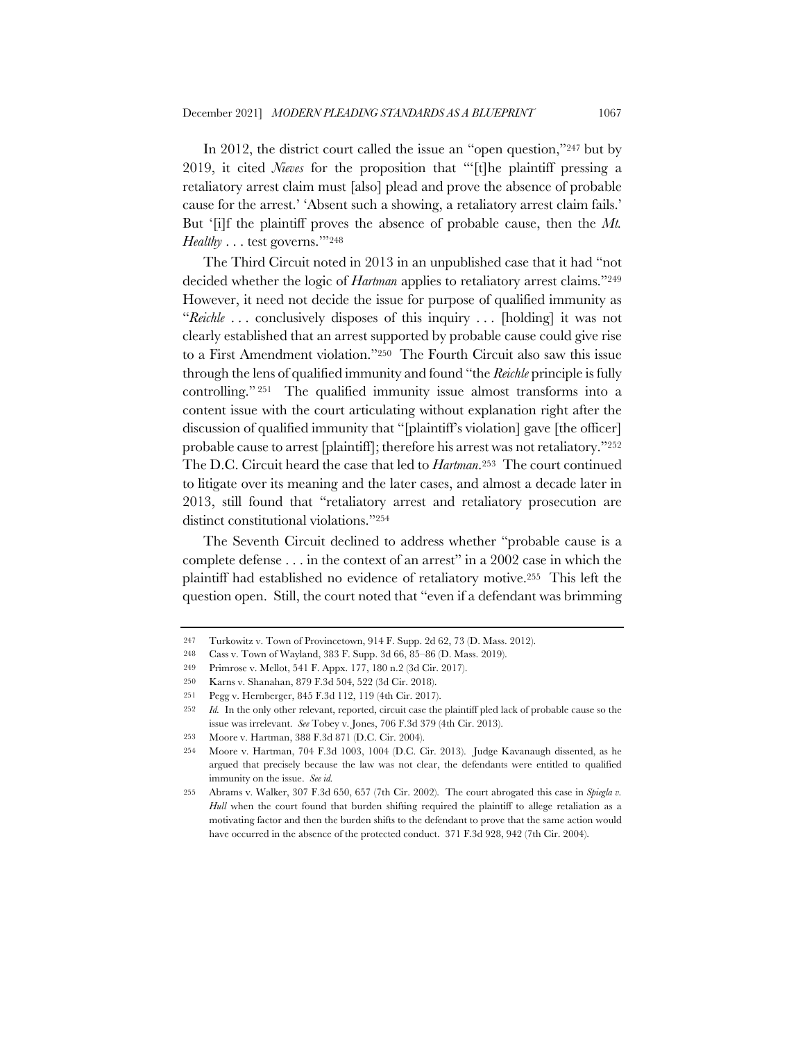In 2012, the district court called the issue an "open question,"247 but by 2019, it cited *Nieves* for the proposition that "'[t]he plaintiff pressing a retaliatory arrest claim must [also] plead and prove the absence of probable cause for the arrest.' 'Absent such a showing, a retaliatory arrest claim fails.' But '[i]f the plaintiff proves the absence of probable cause, then the *Mt. Healthy* . . . test governs.'"248

The Third Circuit noted in 2013 in an unpublished case that it had "not decided whether the logic of *Hartman* applies to retaliatory arrest claims."<sup>249</sup> However, it need not decide the issue for purpose of qualified immunity as "*Reichle* . . . conclusively disposes of this inquiry . . . [holding] it was not clearly established that an arrest supported by probable cause could give rise to a First Amendment violation."250 The Fourth Circuit also saw this issue through the lens of qualified immunity and found "the *Reichle* principle is fully controlling." <sup>251</sup> The qualified immunity issue almost transforms into a content issue with the court articulating without explanation right after the discussion of qualified immunity that "[plaintiff's violation] gave [the officer] probable cause to arrest [plaintiff]; therefore his arrest was not retaliatory."252 The D.C. Circuit heard the case that led to *Hartman*.253 The court continued to litigate over its meaning and the later cases, and almost a decade later in 2013, still found that "retaliatory arrest and retaliatory prosecution are distinct constitutional violations."254

The Seventh Circuit declined to address whether "probable cause is a complete defense . . . in the context of an arrest" in a 2002 case in which the plaintiff had established no evidence of retaliatory motive.255 This left the question open. Still, the court noted that "even if a defendant was brimming

<sup>247</sup> Turkowitz v. Town of Provincetown, 914 F. Supp. 2d 62, 73 (D. Mass. 2012).

<sup>248</sup> Cass v. Town of Wayland, 383 F. Supp. 3d 66, 85–86 (D. Mass. 2019).

<sup>249</sup> Primrose v. Mellot, 541 F. Appx. 177, 180 n.2 (3d Cir. 2017).

<sup>250</sup> Karns v. Shanahan, 879 F.3d 504, 522 (3d Cir. 2018).

<sup>251</sup> Pegg v. Hernberger, 845 F.3d 112, 119 (4th Cir. 2017).

<sup>252</sup> *Id.* In the only other relevant, reported, circuit case the plaintiff pled lack of probable cause so the issue was irrelevant. *See* Tobey v. Jones, 706 F.3d 379 (4th Cir. 2013).

<sup>253</sup> Moore v. Hartman, 388 F.3d 871 (D.C. Cir. 2004).

<sup>254</sup> Moore v. Hartman, 704 F.3d 1003, 1004 (D.C. Cir. 2013). Judge Kavanaugh dissented, as he argued that precisely because the law was not clear, the defendants were entitled to qualified immunity on the issue. *See id.* 

<sup>255</sup> Abrams v. Walker, 307 F.3d 650, 657 (7th Cir. 2002). The court abrogated this case in *Spiegla v. Hull* when the court found that burden shifting required the plaintiff to allege retaliation as a motivating factor and then the burden shifts to the defendant to prove that the same action would have occurred in the absence of the protected conduct. 371 F.3d 928, 942 (7th Cir. 2004).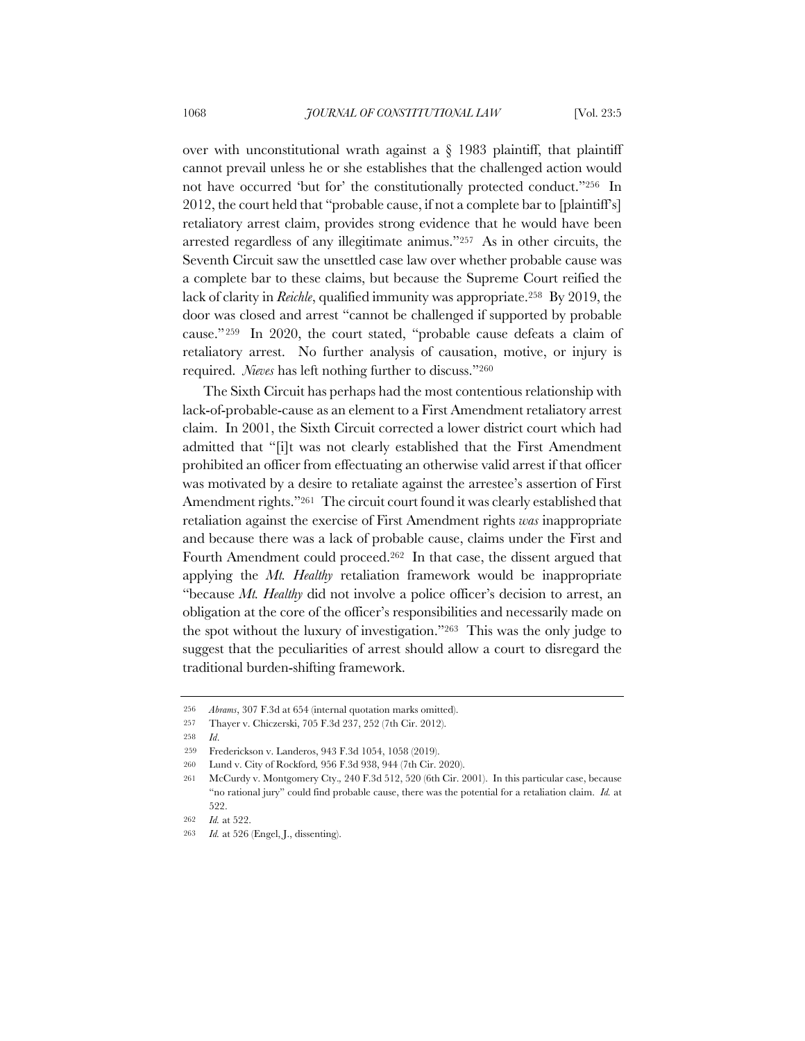over with unconstitutional wrath against a  $\S$  1983 plaintiff, that plaintiff cannot prevail unless he or she establishes that the challenged action would not have occurred 'but for' the constitutionally protected conduct."256 In 2012, the court held that "probable cause, if not a complete bar to [plaintiff's] retaliatory arrest claim, provides strong evidence that he would have been arrested regardless of any illegitimate animus."257 As in other circuits, the Seventh Circuit saw the unsettled case law over whether probable cause was a complete bar to these claims, but because the Supreme Court reified the lack of clarity in *Reichle*, qualified immunity was appropriate.258 By 2019, the door was closed and arrest "cannot be challenged if supported by probable cause."259 In 2020, the court stated, "probable cause defeats a claim of retaliatory arrest. No further analysis of causation, motive, or injury is required. *Nieves* has left nothing further to discuss."260

The Sixth Circuit has perhaps had the most contentious relationship with lack-of-probable-cause as an element to a First Amendment retaliatory arrest claim. In 2001, the Sixth Circuit corrected a lower district court which had admitted that "[i]t was not clearly established that the First Amendment prohibited an officer from effectuating an otherwise valid arrest if that officer was motivated by a desire to retaliate against the arrestee's assertion of First Amendment rights."261 The circuit court found it was clearly established that retaliation against the exercise of First Amendment rights *was* inappropriate and because there was a lack of probable cause, claims under the First and Fourth Amendment could proceed.262 In that case, the dissent argued that applying the *Mt. Healthy* retaliation framework would be inappropriate "because *Mt. Healthy* did not involve a police officer's decision to arrest, an obligation at the core of the officer's responsibilities and necessarily made on the spot without the luxury of investigation."263 This was the only judge to suggest that the peculiarities of arrest should allow a court to disregard the traditional burden-shifting framework.

<sup>256</sup> *Abrams*, 307 F.3d at 654 (internal quotation marks omitted).

<sup>257</sup> Thayer v. Chiczerski, 705 F.3d 237, 252 (7th Cir. 2012).

<sup>258</sup> *Id*.

<sup>259</sup> Frederickson v. Landeros, 943 F.3d 1054, 1058 (2019).

<sup>260</sup> Lund v. City of Rockford*,* 956 F.3d 938, 944 (7th Cir. 2020).

<sup>261</sup> McCurdy v. Montgomery Cty.*,* 240 F.3d 512, 520 (6th Cir. 2001). In this particular case, because "no rational jury" could find probable cause, there was the potential for a retaliation claim. *Id.* at 522.

<sup>262</sup> *Id.* at 522.

<sup>263</sup> *Id.* at 526 (Engel, J., dissenting).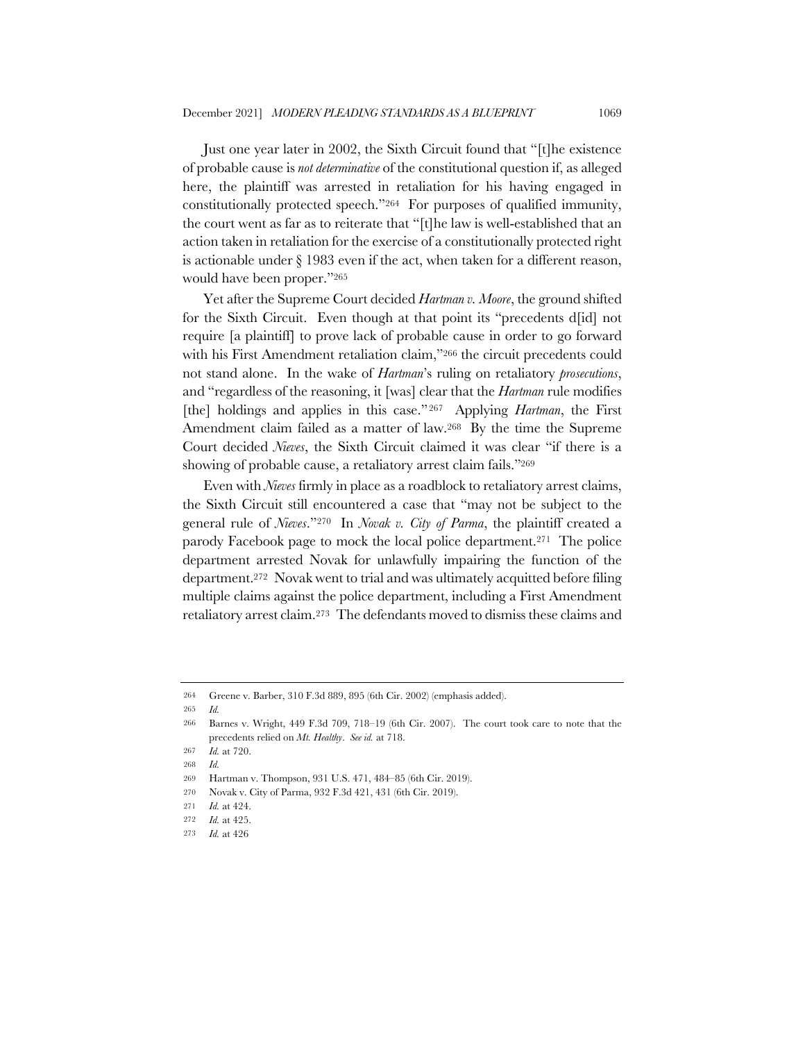Just one year later in 2002, the Sixth Circuit found that "[t]he existence of probable cause is *not determinative* of the constitutional question if, as alleged here, the plaintiff was arrested in retaliation for his having engaged in constitutionally protected speech."264 For purposes of qualified immunity, the court went as far as to reiterate that "[t]he law is well-established that an action taken in retaliation for the exercise of a constitutionally protected right is actionable under § 1983 even if the act, when taken for a different reason, would have been proper."265

Yet after the Supreme Court decided *Hartman v. Moore*, the ground shifted for the Sixth Circuit. Even though at that point its "precedents d[id] not require [a plaintiff] to prove lack of probable cause in order to go forward with his First Amendment retaliation claim,"266 the circuit precedents could not stand alone. In the wake of *Hartman*'s ruling on retaliatory *prosecutions*, and "regardless of the reasoning, it [was] clear that the *Hartman* rule modifies [the] holdings and applies in this case." <sup>267</sup> Applying *Hartman*, the First Amendment claim failed as a matter of law.268 By the time the Supreme Court decided *Nieves*, the Sixth Circuit claimed it was clear "if there is a showing of probable cause, a retaliatory arrest claim fails."269

Even with *Nieves* firmly in place as a roadblock to retaliatory arrest claims, the Sixth Circuit still encountered a case that "may not be subject to the general rule of *Nieves*."270 In *Novak v. City of Parma*, the plaintiff created a parody Facebook page to mock the local police department.271 The police department arrested Novak for unlawfully impairing the function of the department.272 Novak went to trial and was ultimately acquitted before filing multiple claims against the police department, including a First Amendment retaliatory arrest claim.273 The defendants moved to dismiss these claims and

<sup>264</sup> Greene v. Barber, 310 F.3d 889, 895 (6th Cir. 2002) (emphasis added).

<sup>265</sup> *Id.*

<sup>266</sup> Barnes v. Wright, 449 F.3d 709, 718–19 (6th Cir. 2007). The court took care to note that the precedents relied on *Mt. Healthy*. *See id.* at 718.

<sup>267</sup> *Id.* at 720.

<sup>268</sup> *Id.*

<sup>269</sup> Hartman v. Thompson, 931 U.S. 471, 484–85 (6th Cir. 2019).

<sup>270</sup> Novak v. City of Parma, 932 F.3d 421, 431 (6th Cir. 2019).

<sup>271</sup> *Id.* at 424.

<sup>272</sup> *Id.* at 425.

<sup>273</sup> *Id.* at 426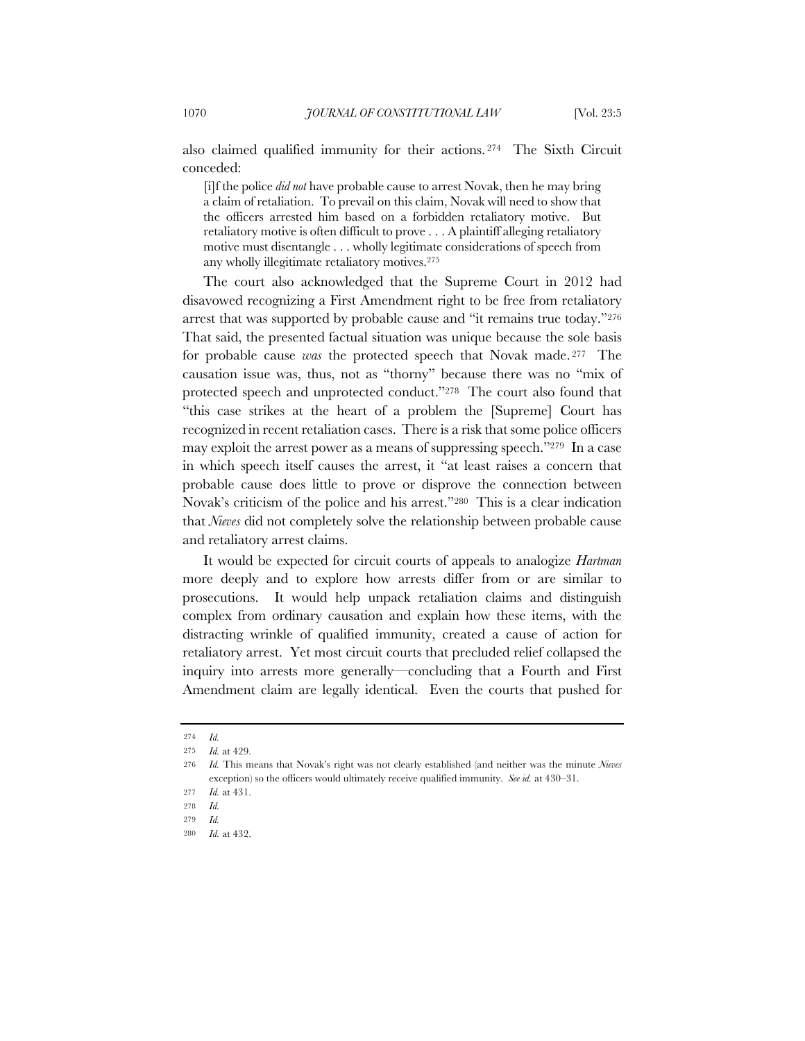also claimed qualified immunity for their actions. <sup>274</sup> The Sixth Circuit conceded:

[i]f the police *did not* have probable cause to arrest Novak, then he may bring a claim of retaliation. To prevail on this claim, Novak will need to show that the officers arrested him based on a forbidden retaliatory motive. But retaliatory motive is often difficult to prove . . . A plaintiff alleging retaliatory motive must disentangle . . . wholly legitimate considerations of speech from any wholly illegitimate retaliatory motives.275

The court also acknowledged that the Supreme Court in 2012 had disavowed recognizing a First Amendment right to be free from retaliatory arrest that was supported by probable cause and "it remains true today."276 That said, the presented factual situation was unique because the sole basis for probable cause *was* the protected speech that Novak made. <sup>277</sup> The causation issue was, thus, not as "thorny" because there was no "mix of protected speech and unprotected conduct."278 The court also found that "this case strikes at the heart of a problem the [Supreme] Court has recognized in recent retaliation cases. There is a risk that some police officers may exploit the arrest power as a means of suppressing speech."279 In a case in which speech itself causes the arrest, it "at least raises a concern that probable cause does little to prove or disprove the connection between Novak's criticism of the police and his arrest."280 This is a clear indication that *Nieves* did not completely solve the relationship between probable cause and retaliatory arrest claims.

It would be expected for circuit courts of appeals to analogize *Hartman*  more deeply and to explore how arrests differ from or are similar to prosecutions. It would help unpack retaliation claims and distinguish complex from ordinary causation and explain how these items, with the distracting wrinkle of qualified immunity, created a cause of action for retaliatory arrest. Yet most circuit courts that precluded relief collapsed the inquiry into arrests more generally—concluding that a Fourth and First Amendment claim are legally identical. Even the courts that pushed for

<sup>274</sup> *Id.*

<sup>275</sup> *Id.* at 429.

<sup>276</sup> *Id.* This means that Novak's right was not clearly established (and neither was the minute *Nieves*  exception) so the officers would ultimately receive qualified immunity. *See id.* at 430–31.

<sup>277</sup> *Id.* at 431.

<sup>278</sup> *Id.*

<sup>279</sup> *Id.*

<sup>280</sup> *Id.* at 432.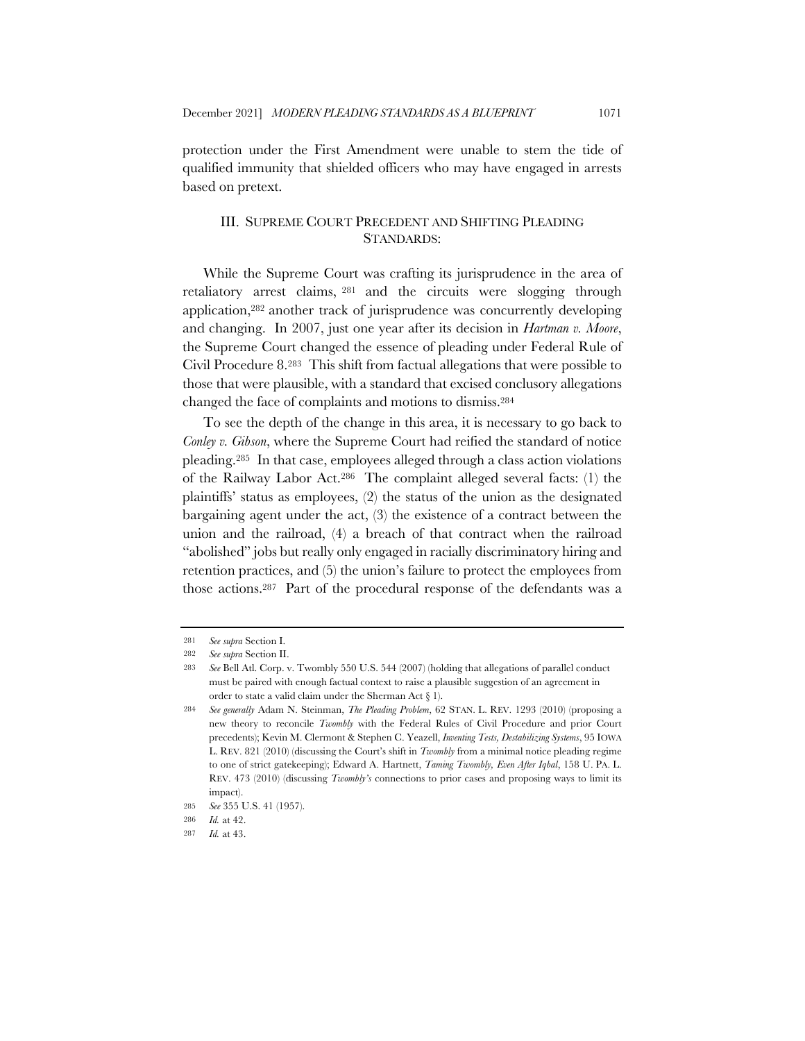protection under the First Amendment were unable to stem the tide of qualified immunity that shielded officers who may have engaged in arrests based on pretext.

## III. SUPREME COURT PRECEDENT AND SHIFTING PLEADING STANDARDS:

While the Supreme Court was crafting its jurisprudence in the area of retaliatory arrest claims, <sup>281</sup> and the circuits were slogging through application,282 another track of jurisprudence was concurrently developing and changing. In 2007, just one year after its decision in *Hartman v. Moore*, the Supreme Court changed the essence of pleading under Federal Rule of Civil Procedure 8.283 This shift from factual allegations that were possible to those that were plausible, with a standard that excised conclusory allegations changed the face of complaints and motions to dismiss.284

To see the depth of the change in this area, it is necessary to go back to *Conley v. Gibson*, where the Supreme Court had reified the standard of notice pleading.285 In that case, employees alleged through a class action violations of the Railway Labor Act.286 The complaint alleged several facts: (1) the plaintiffs' status as employees, (2) the status of the union as the designated bargaining agent under the act, (3) the existence of a contract between the union and the railroad, (4) a breach of that contract when the railroad "abolished" jobs but really only engaged in racially discriminatory hiring and retention practices, and (5) the union's failure to protect the employees from those actions.287 Part of the procedural response of the defendants was a

<sup>281</sup> *See supra* Section I.

<sup>282</sup> *See supra* Section II.

<sup>283</sup> *See* Bell Atl. Corp. v. Twombly 550 U.S. 544 (2007) (holding that allegations of parallel conduct must be paired with enough factual context to raise a plausible suggestion of an agreement in order to state a valid claim under the Sherman Act § 1).

<sup>284</sup> *See generally* Adam N. Steinman, *The Pleading Problem*, 62 STAN. L. REV. 1293 (2010) (proposing a new theory to reconcile *Twombly* with the Federal Rules of Civil Procedure and prior Court precedents); Kevin M. Clermont & Stephen C. Yeazell, *Inventing Tests, Destabilizing Systems*, 95 IOWA L. REV. 821 (2010) (discussing the Court's shift in *Twombly* from a minimal notice pleading regime to one of strict gatekeeping); Edward A. Hartnett, *Taming Twombly, Even After Iqbal*, 158 U. PA. L. REV. 473 (2010) (discussing *Twombly's* connections to prior cases and proposing ways to limit its impact).

<sup>285</sup> *See* 355 U.S. 41 (1957).

<sup>286</sup> *Id.* at 42.

<sup>287</sup> *Id.* at 43.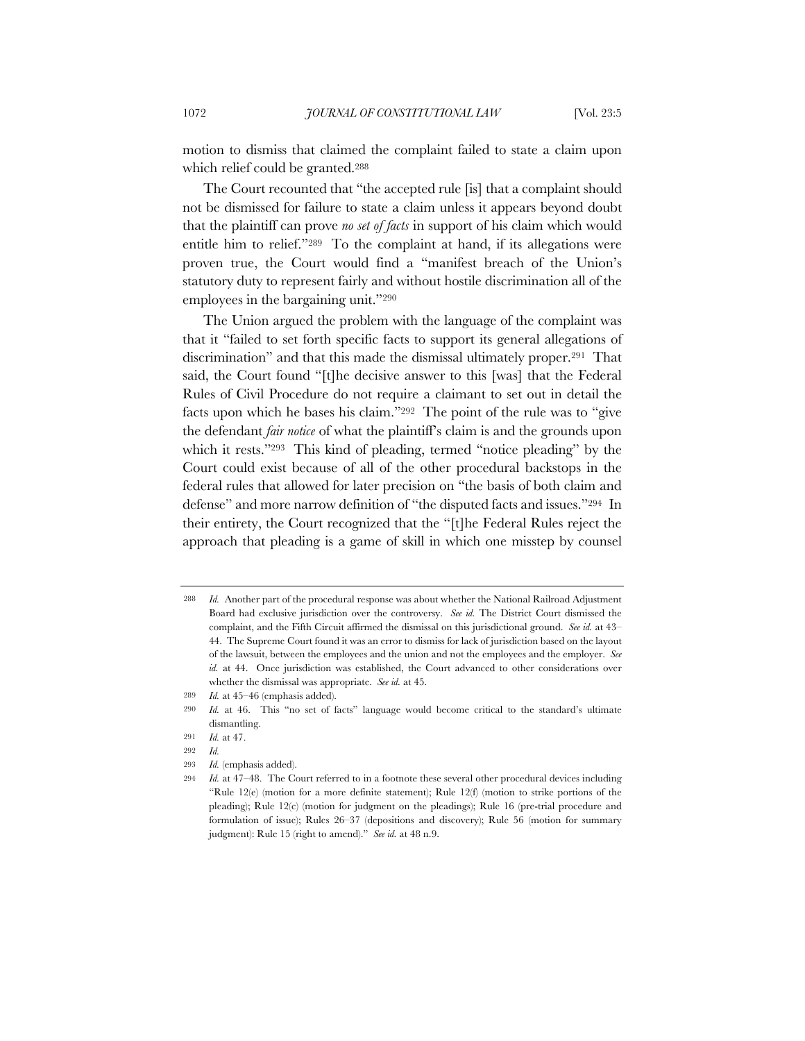motion to dismiss that claimed the complaint failed to state a claim upon which relief could be granted.288

The Court recounted that "the accepted rule [is] that a complaint should not be dismissed for failure to state a claim unless it appears beyond doubt that the plaintiff can prove *no set of facts* in support of his claim which would entitle him to relief."289 To the complaint at hand, if its allegations were proven true, the Court would find a "manifest breach of the Union's statutory duty to represent fairly and without hostile discrimination all of the employees in the bargaining unit."290

The Union argued the problem with the language of the complaint was that it "failed to set forth specific facts to support its general allegations of discrimination" and that this made the dismissal ultimately proper.291 That said, the Court found "[t]he decisive answer to this [was] that the Federal Rules of Civil Procedure do not require a claimant to set out in detail the facts upon which he bases his claim."292 The point of the rule was to "give the defendant *fair notice* of what the plaintiff's claim is and the grounds upon which it rests."<sup>293</sup> This kind of pleading, termed "notice pleading" by the Court could exist because of all of the other procedural backstops in the federal rules that allowed for later precision on "the basis of both claim and defense" and more narrow definition of "the disputed facts and issues."294 In their entirety, the Court recognized that the "[t]he Federal Rules reject the approach that pleading is a game of skill in which one misstep by counsel

293 *Id.* (emphasis added).

<sup>288</sup> *Id.* Another part of the procedural response was about whether the National Railroad Adjustment Board had exclusive jurisdiction over the controversy. *See id.* The District Court dismissed the complaint, and the Fifth Circuit affirmed the dismissal on this jurisdictional ground. *See id.* at 43– 44. The Supreme Court found it was an error to dismiss for lack of jurisdiction based on the layout of the lawsuit, between the employees and the union and not the employees and the employer. *See id.* at 44. Once jurisdiction was established, the Court advanced to other considerations over whether the dismissal was appropriate. *See id.* at 45.

<sup>289</sup> *Id.* at 45–46 (emphasis added).

<sup>290</sup> *Id.* at 46. This "no set of facts" language would become critical to the standard's ultimate dismantling.

<sup>291</sup> *Id.* at 47.

<sup>292</sup> *Id.*

<sup>294</sup> *Id.* at 47–48. The Court referred to in a footnote these several other procedural devices including "Rule 12(e) (motion for a more definite statement); Rule 12(f) (motion to strike portions of the pleading); Rule 12(c) (motion for judgment on the pleadings); Rule 16 (pre-trial procedure and formulation of issue); Rules 26–37 (depositions and discovery); Rule 56 (motion for summary judgment): Rule 15 (right to amend)." *See id.* at 48 n.9.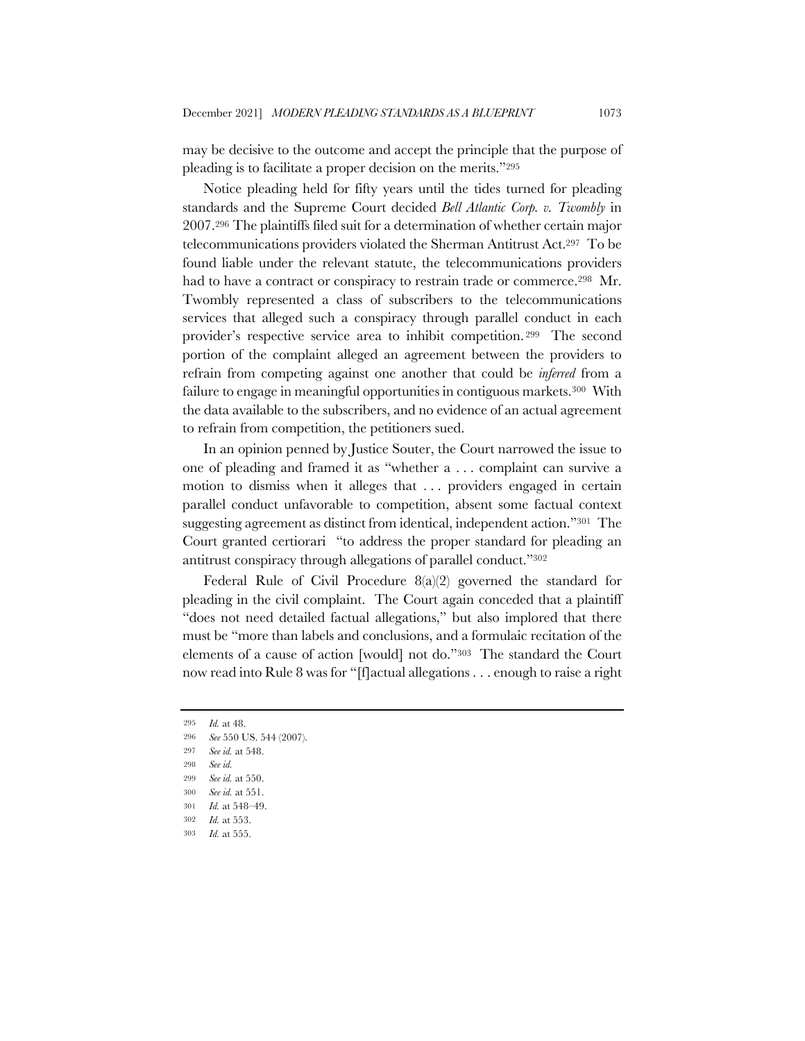may be decisive to the outcome and accept the principle that the purpose of pleading is to facilitate a proper decision on the merits."295

Notice pleading held for fifty years until the tides turned for pleading standards and the Supreme Court decided *Bell Atlantic Corp. v. Twombly* in 2007.296 The plaintiffs filed suit for a determination of whether certain major telecommunications providers violated the Sherman Antitrust Act.297 To be found liable under the relevant statute, the telecommunications providers had to have a contract or conspiracy to restrain trade or commerce.<sup>298</sup> Mr. Twombly represented a class of subscribers to the telecommunications services that alleged such a conspiracy through parallel conduct in each provider's respective service area to inhibit competition. <sup>299</sup> The second portion of the complaint alleged an agreement between the providers to refrain from competing against one another that could be *inferred* from a failure to engage in meaningful opportunities in contiguous markets.<sup>300</sup> With the data available to the subscribers, and no evidence of an actual agreement to refrain from competition, the petitioners sued.

In an opinion penned by Justice Souter, the Court narrowed the issue to one of pleading and framed it as "whether a . . . complaint can survive a motion to dismiss when it alleges that . . . providers engaged in certain parallel conduct unfavorable to competition, absent some factual context suggesting agreement as distinct from identical, independent action."301 The Court granted certiorari "to address the proper standard for pleading an antitrust conspiracy through allegations of parallel conduct."302

Federal Rule of Civil Procedure 8(a)(2) governed the standard for pleading in the civil complaint. The Court again conceded that a plaintiff "does not need detailed factual allegations," but also implored that there must be "more than labels and conclusions, and a formulaic recitation of the elements of a cause of action [would] not do."303 The standard the Court now read into Rule 8 was for "[f]actual allegations . . . enough to raise a right

<sup>295</sup> *Id.* at 48.

<sup>296</sup> *See* 550 US. 544 (2007).

<sup>297</sup> *See id.* at 548.

<sup>298</sup> *See id.*

<sup>299</sup> *See id.* at 550.

<sup>300</sup> *See id.* at 551.

<sup>301</sup> *Id.* at 548–49.

<sup>302</sup> *Id.* at 553.

<sup>303</sup> *Id.* at 555.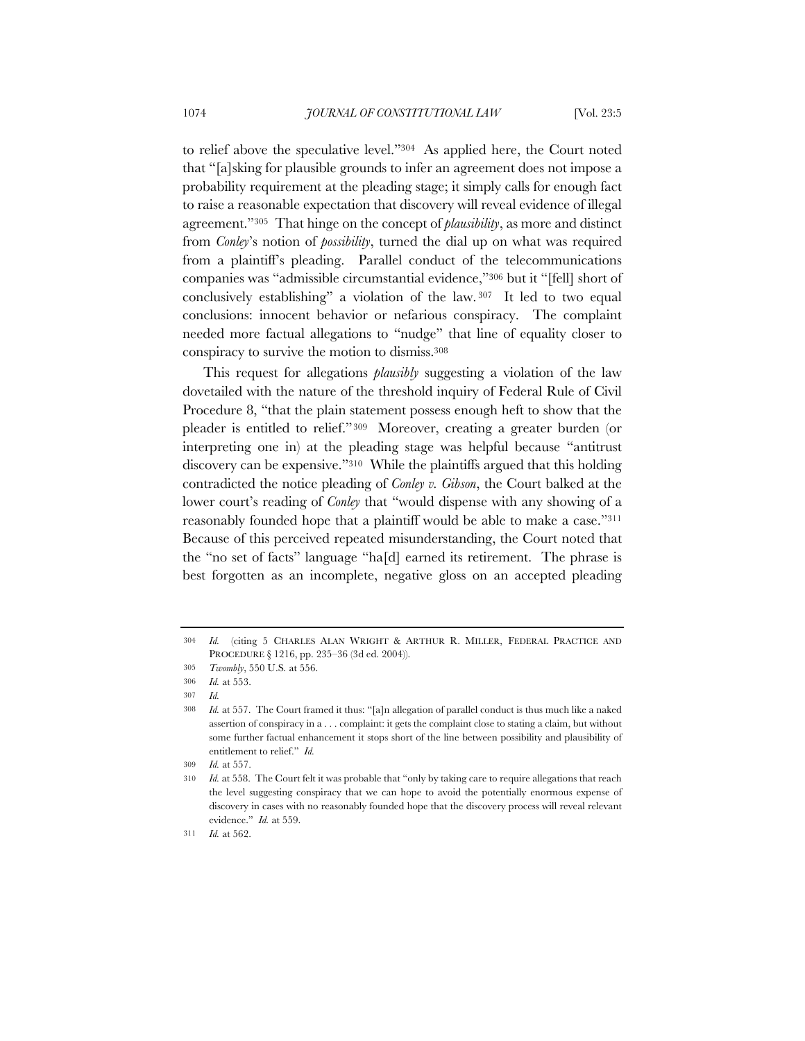to relief above the speculative level."304 As applied here, the Court noted that "[a]sking for plausible grounds to infer an agreement does not impose a probability requirement at the pleading stage; it simply calls for enough fact to raise a reasonable expectation that discovery will reveal evidence of illegal agreement."305 That hinge on the concept of *plausibility*, as more and distinct from *Conley*'s notion of *possibility*, turned the dial up on what was required from a plaintiff's pleading. Parallel conduct of the telecommunications companies was "admissible circumstantial evidence,"306 but it "[fell] short of conclusively establishing" a violation of the law. <sup>307</sup> It led to two equal conclusions: innocent behavior or nefarious conspiracy. The complaint needed more factual allegations to "nudge" that line of equality closer to conspiracy to survive the motion to dismiss.308

This request for allegations *plausibly* suggesting a violation of the law dovetailed with the nature of the threshold inquiry of Federal Rule of Civil Procedure 8, "that the plain statement possess enough heft to show that the pleader is entitled to relief."309 Moreover, creating a greater burden (or interpreting one in) at the pleading stage was helpful because "antitrust discovery can be expensive."310 While the plaintiffs argued that this holding contradicted the notice pleading of *Conley v. Gibson*, the Court balked at the lower court's reading of *Conley* that "would dispense with any showing of a reasonably founded hope that a plaintiff would be able to make a case."311 Because of this perceived repeated misunderstanding, the Court noted that the "no set of facts" language "ha[d] earned its retirement. The phrase is best forgotten as an incomplete, negative gloss on an accepted pleading

<sup>304</sup> *Id.* (citing 5 CHARLES ALAN WRIGHT & ARTHUR R. MILLER, FEDERAL PRACTICE AND PROCEDURE § 1216, pp. 235–36 (3d ed. 2004)).

<sup>305</sup> *Twombly*, 550 U.S*.* at 556.

<sup>306</sup> *Id.* at 553.

<sup>307</sup> *Id.*

<sup>308</sup> *Id.* at 557. The Court framed it thus: "[a]n allegation of parallel conduct is thus much like a naked assertion of conspiracy in a . . . complaint: it gets the complaint close to stating a claim, but without some further factual enhancement it stops short of the line between possibility and plausibility of entitlement to relief." *Id.*

<sup>309</sup> *Id.* at 557.

<sup>310</sup> *Id.* at 558. The Court felt it was probable that "only by taking care to require allegations that reach the level suggesting conspiracy that we can hope to avoid the potentially enormous expense of discovery in cases with no reasonably founded hope that the discovery process will reveal relevant evidence." *Id.* at 559.

<sup>311</sup> *Id.* at 562.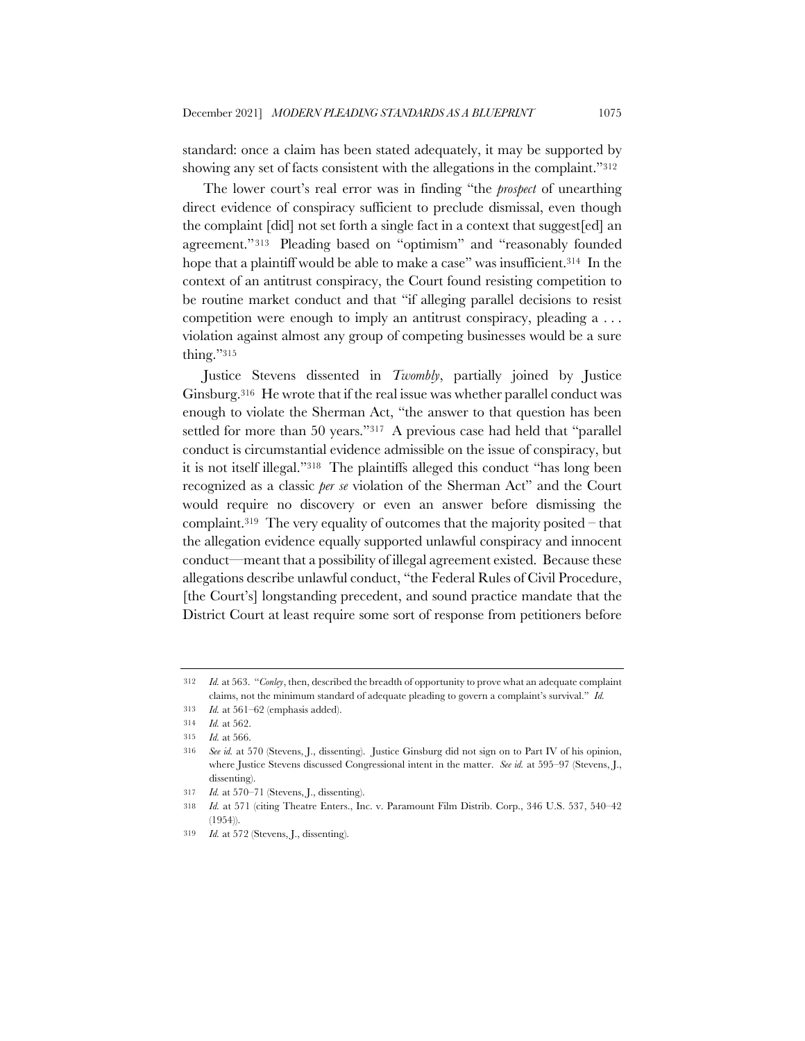standard: once a claim has been stated adequately, it may be supported by showing any set of facts consistent with the allegations in the complaint."312

The lower court's real error was in finding "the *prospect* of unearthing direct evidence of conspiracy sufficient to preclude dismissal, even though the complaint [did] not set forth a single fact in a context that suggest[ed] an agreement."313 Pleading based on "optimism" and "reasonably founded hope that a plaintiff would be able to make a case" was insufficient.<sup>314</sup> In the context of an antitrust conspiracy, the Court found resisting competition to be routine market conduct and that "if alleging parallel decisions to resist competition were enough to imply an antitrust conspiracy, pleading a . . . violation against almost any group of competing businesses would be a sure thing."315

Justice Stevens dissented in *Twombly*, partially joined by Justice Ginsburg.316 He wrote that if the real issue was whether parallel conduct was enough to violate the Sherman Act, "the answer to that question has been settled for more than 50 years."317 A previous case had held that "parallel conduct is circumstantial evidence admissible on the issue of conspiracy, but it is not itself illegal."318 The plaintiffs alleged this conduct "has long been recognized as a classic *per se* violation of the Sherman Act" and the Court would require no discovery or even an answer before dismissing the complaint.<sup>319</sup> The very equality of outcomes that the majority posited – that the allegation evidence equally supported unlawful conspiracy and innocent conduct—meant that a possibility of illegal agreement existed. Because these allegations describe unlawful conduct, "the Federal Rules of Civil Procedure, [the Court's] longstanding precedent, and sound practice mandate that the District Court at least require some sort of response from petitioners before

<sup>312</sup> *Id.* at 563. "*Conley*, then, described the breadth of opportunity to prove what an adequate complaint claims, not the minimum standard of adequate pleading to govern a complaint's survival." *Id.*

<sup>313</sup> *Id.* at 561–62 (emphasis added).

<sup>314</sup> *Id.* at 562.

<sup>315</sup> *Id.* at 566.

<sup>316</sup> *See id.* at 570 (Stevens, J., dissenting). Justice Ginsburg did not sign on to Part IV of his opinion, where Justice Stevens discussed Congressional intent in the matter. *See id.* at 595–97 (Stevens, J., dissenting).

<sup>317</sup> *Id.* at 570–71 (Stevens, J., dissenting).

<sup>318</sup> *Id.* at 571 (citing Theatre Enters., Inc. v. Paramount Film Distrib. Corp., 346 U.S. 537, 540–42 (1954)).

<sup>319</sup> *Id.* at 572 (Stevens, J., dissenting).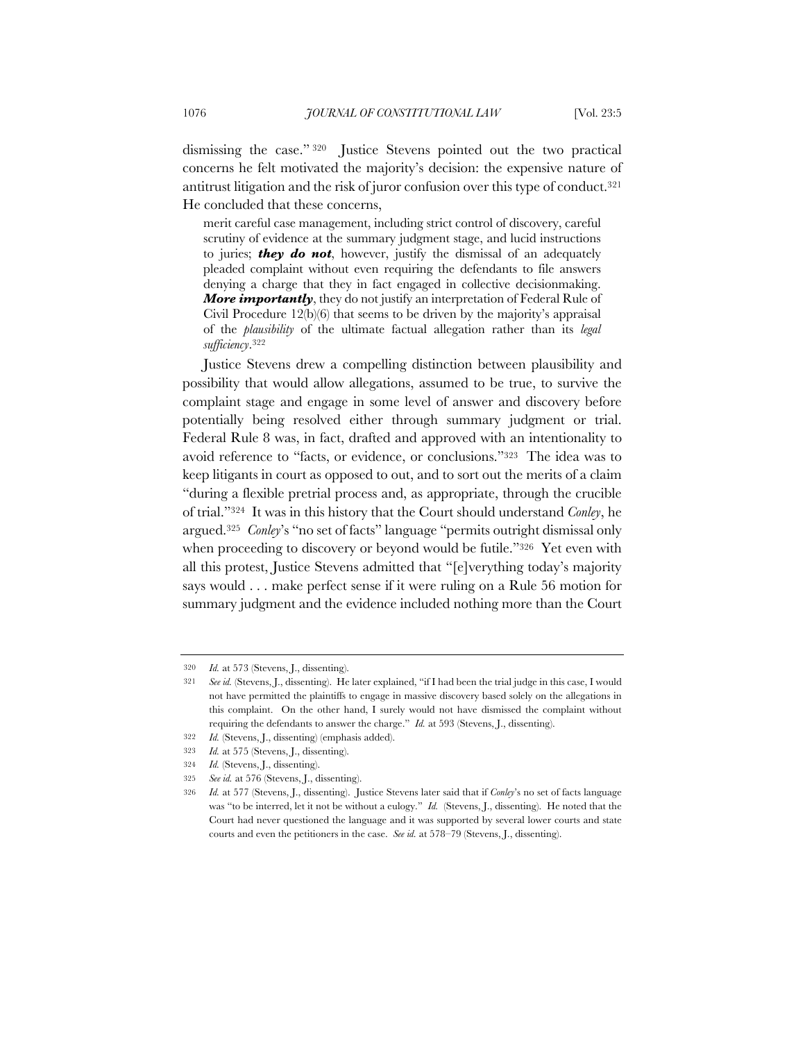dismissing the case." <sup>320</sup> Justice Stevens pointed out the two practical concerns he felt motivated the majority's decision: the expensive nature of antitrust litigation and the risk of juror confusion over this type of conduct.321 He concluded that these concerns,

merit careful case management, including strict control of discovery, careful scrutiny of evidence at the summary judgment stage, and lucid instructions to juries; *they do not*, however, justify the dismissal of an adequately pleaded complaint without even requiring the defendants to file answers denying a charge that they in fact engaged in collective decisionmaking. *More importantly*, they do not justify an interpretation of Federal Rule of Civil Procedure 12(b)(6) that seems to be driven by the majority's appraisal of the *plausibility* of the ultimate factual allegation rather than its *legal sufficiency*.322

Justice Stevens drew a compelling distinction between plausibility and possibility that would allow allegations, assumed to be true, to survive the complaint stage and engage in some level of answer and discovery before potentially being resolved either through summary judgment or trial. Federal Rule 8 was, in fact, drafted and approved with an intentionality to avoid reference to "facts, or evidence, or conclusions."323 The idea was to keep litigants in court as opposed to out, and to sort out the merits of a claim "during a flexible pretrial process and, as appropriate, through the crucible of trial."324 It was in this history that the Court should understand *Conley*, he argued.325 *Conley*'s "no set of facts" language "permits outright dismissal only when proceeding to discovery or beyond would be futile."326 Yet even with all this protest, Justice Stevens admitted that "[e]verything today's majority says would . . . make perfect sense if it were ruling on a Rule 56 motion for summary judgment and the evidence included nothing more than the Court

- 322 *Id.* (Stevens, J., dissenting) (emphasis added).
- 323 *Id.* at 575 (Stevens, J., dissenting).
- 324 *Id.* (Stevens, J., dissenting).

<sup>320</sup> *Id.* at 573 (Stevens, J., dissenting).

<sup>321</sup> *See id.* (Stevens, J., dissenting). He later explained, "if I had been the trial judge in this case, I would not have permitted the plaintiffs to engage in massive discovery based solely on the allegations in this complaint. On the other hand, I surely would not have dismissed the complaint without requiring the defendants to answer the charge." *Id.* at 593 (Stevens, J., dissenting).

<sup>325</sup> *See id.* at 576 (Stevens, J., dissenting).

<sup>326</sup> *Id.* at 577 (Stevens, J., dissenting). Justice Stevens later said that if *Conley*'s no set of facts language was "to be interred, let it not be without a eulogy." *Id.* (Stevens, J., dissenting). He noted that the Court had never questioned the language and it was supported by several lower courts and state courts and even the petitioners in the case. *See id.* at 578–79 (Stevens, J., dissenting).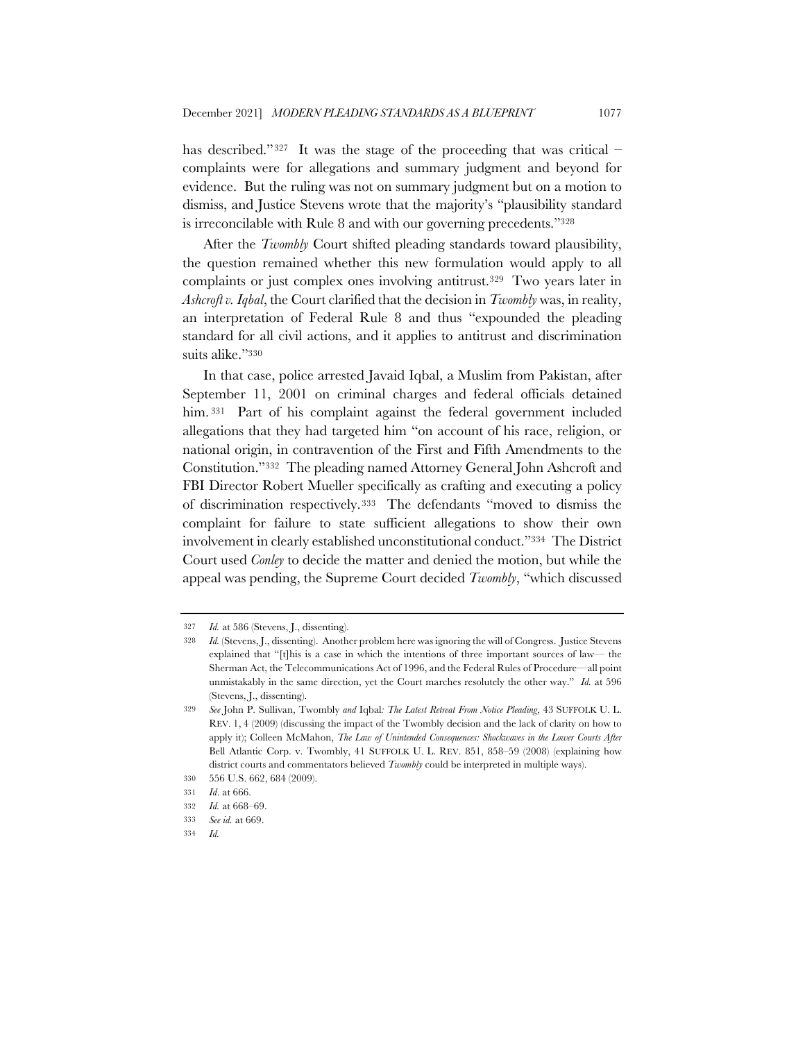has described."<sup>327</sup> It was the stage of the proceeding that was critical – complaints were for allegations and summary judgment and beyond for evidence. But the ruling was not on summary judgment but on a motion to dismiss, and Justice Stevens wrote that the majority's "plausibility standard is irreconcilable with Rule 8 and with our governing precedents."328

After the *Twombly* Court shifted pleading standards toward plausibility, the question remained whether this new formulation would apply to all complaints or just complex ones involving antitrust.329 Two years later in *Ashcroft v. Iqbal*, the Court clarified that the decision in *Twombly* was, in reality, an interpretation of Federal Rule 8 and thus "expounded the pleading standard for all civil actions, and it applies to antitrust and discrimination suits alike."330

In that case, police arrested Javaid Iqbal, a Muslim from Pakistan, after September 11, 2001 on criminal charges and federal officials detained him. 331 Part of his complaint against the federal government included allegations that they had targeted him "on account of his race, religion, or national origin, in contravention of the First and Fifth Amendments to the Constitution."332 The pleading named Attorney General John Ashcroft and FBI Director Robert Mueller specifically as crafting and executing a policy of discrimination respectively.333 The defendants "moved to dismiss the complaint for failure to state sufficient allegations to show their own involvement in clearly established unconstitutional conduct."334 The District Court used *Conley* to decide the matter and denied the motion, but while the appeal was pending, the Supreme Court decided *Twombly*, "which discussed

<sup>327</sup> *Id.* at 586 (Stevens, J., dissenting).

<sup>328</sup> *Id.* (Stevens, J., dissenting). Another problem here was ignoring the will of Congress. Justice Stevens explained that "[t]his is a case in which the intentions of three important sources of law— the Sherman Act, the Telecommunications Act of 1996, and the Federal Rules of Procedure—all point unmistakably in the same direction, yet the Court marches resolutely the other way." *Id.* at 596 (Stevens, J., dissenting).

<sup>329</sup> *See* John P. Sullivan, Twombly *and* Iqbal*: The Latest Retreat From Notice Pleading*, 43 SUFFOLK U. L. REV. 1, 4 (2009) (discussing the impact of the Twombly decision and the lack of clarity on how to apply it); Colleen McMahon, *The Law of Unintended Consequences: Shockwaves in the Lower Courts After*  Bell Atlantic Corp. v. Twombly, 41 SUFFOLK U. L. REV. 851, 858–59 (2008) (explaining how district courts and commentators believed *Twombly* could be interpreted in multiple ways).

<sup>330</sup> 556 U.S. 662, 684 (2009).

<sup>331</sup> *Id*. at 666.

<sup>332</sup> *Id.* at 668–69.

<sup>333</sup> *See id.* at 669.

<sup>334</sup> *Id.*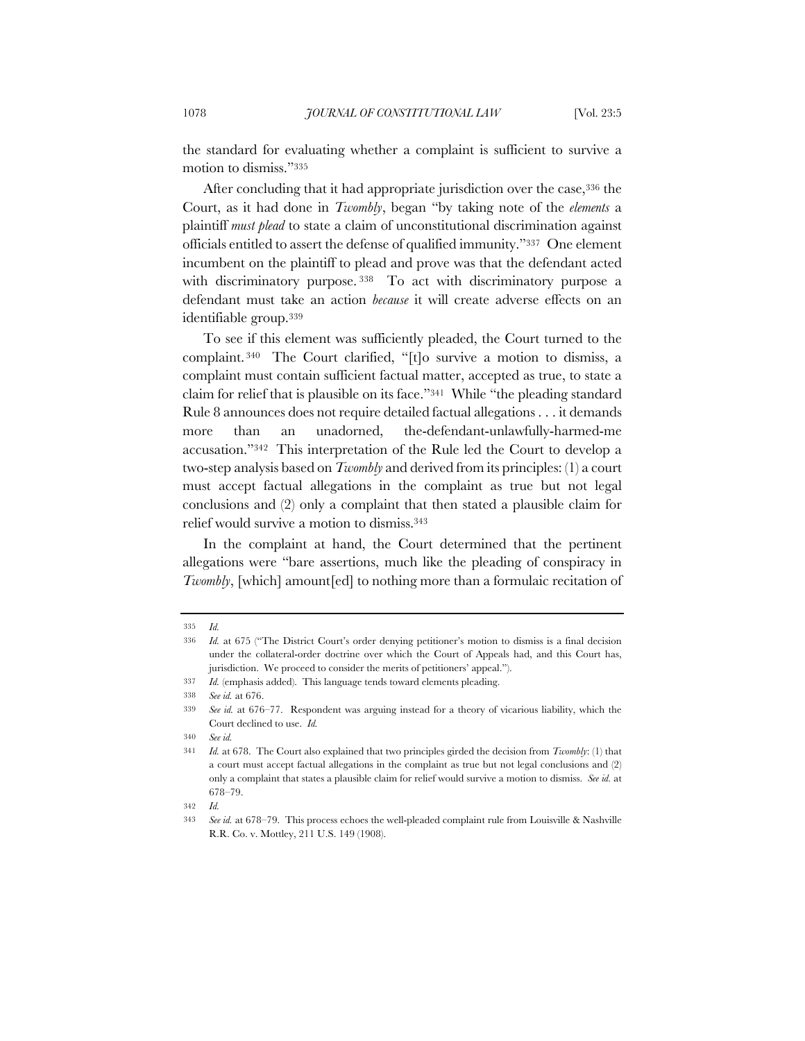the standard for evaluating whether a complaint is sufficient to survive a motion to dismiss."335

After concluding that it had appropriate jurisdiction over the case, 336 the Court, as it had done in *Twombly*, began "by taking note of the *elements* a plaintiff *must plead* to state a claim of unconstitutional discrimination against officials entitled to assert the defense of qualified immunity."337 One element incumbent on the plaintiff to plead and prove was that the defendant acted with discriminatory purpose. <sup>338</sup> To act with discriminatory purpose a defendant must take an action *because* it will create adverse effects on an identifiable group.339

To see if this element was sufficiently pleaded, the Court turned to the complaint. <sup>340</sup> The Court clarified, "[t]o survive a motion to dismiss, a complaint must contain sufficient factual matter, accepted as true, to state a claim for relief that is plausible on its face."341 While "the pleading standard Rule 8 announces does not require detailed factual allegations . . . it demands more than an unadorned, the-defendant-unlawfully-harmed-me accusation."342 This interpretation of the Rule led the Court to develop a two-step analysis based on *Twombly* and derived from its principles: (1) a court must accept factual allegations in the complaint as true but not legal conclusions and (2) only a complaint that then stated a plausible claim for relief would survive a motion to dismiss.343

In the complaint at hand, the Court determined that the pertinent allegations were "bare assertions, much like the pleading of conspiracy in *Twombly*, [which] amount[ed] to nothing more than a formulaic recitation of

342 *Id.*

<sup>335</sup> *Id.*

<sup>336</sup> *Id.* at 675 ("The District Court's order denying petitioner's motion to dismiss is a final decision under the collateral-order doctrine over which the Court of Appeals had, and this Court has, jurisdiction. We proceed to consider the merits of petitioners' appeal.").

<sup>337</sup> *Id.* (emphasis added). This language tends toward elements pleading.

<sup>338</sup> *See id.* at 676.

<sup>339</sup> *See id.* at 676–77. Respondent was arguing instead for a theory of vicarious liability, which the Court declined to use. *Id.*

<sup>340</sup> *See id.*

<sup>341</sup> *Id.* at 678. The Court also explained that two principles girded the decision from *Twombly*: (1) that a court must accept factual allegations in the complaint as true but not legal conclusions and (2) only a complaint that states a plausible claim for relief would survive a motion to dismiss. *See id.* at 678–79.

<sup>343</sup> *See id.* at 678–79. This process echoes the well-pleaded complaint rule from Louisville & Nashville R.R. Co. v. Mottley, 211 U.S. 149 (1908).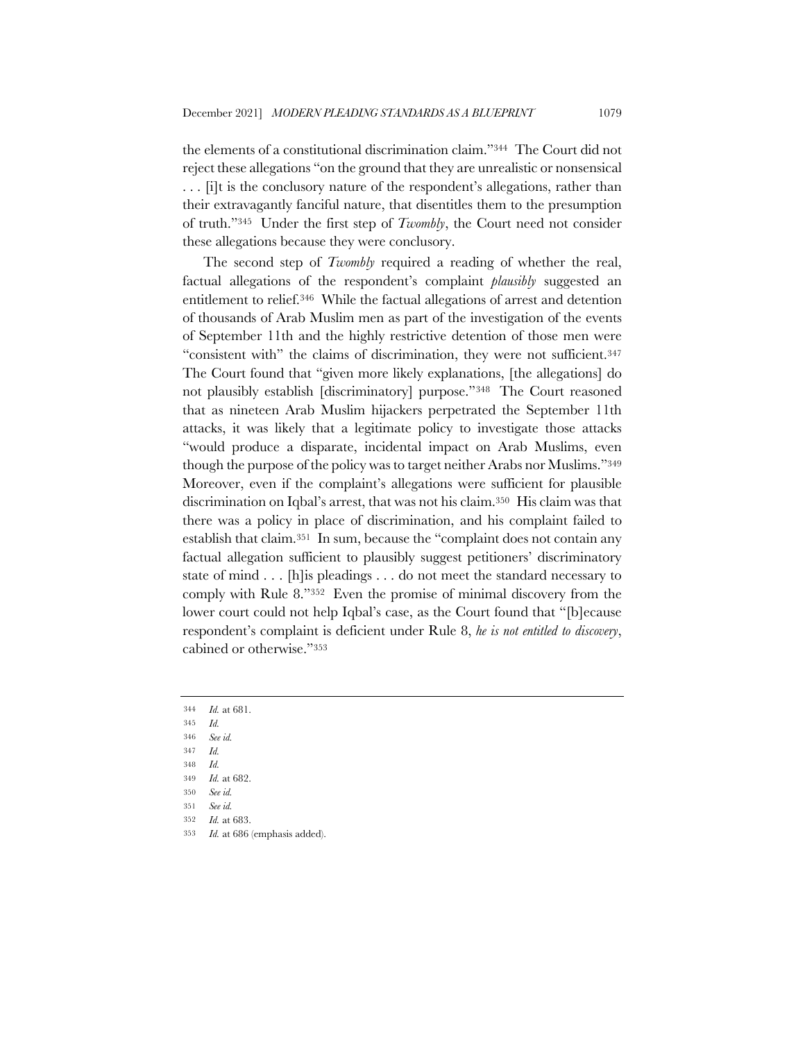the elements of a constitutional discrimination claim."344 The Court did not reject these allegations "on the ground that they are unrealistic or nonsensical . . . [i]t is the conclusory nature of the respondent's allegations, rather than their extravagantly fanciful nature, that disentitles them to the presumption of truth."345 Under the first step of *Twombly*, the Court need not consider these allegations because they were conclusory.

The second step of *Twombly* required a reading of whether the real, factual allegations of the respondent's complaint *plausibly* suggested an entitlement to relief.346 While the factual allegations of arrest and detention of thousands of Arab Muslim men as part of the investigation of the events of September 11th and the highly restrictive detention of those men were "consistent with" the claims of discrimination, they were not sufficient.347 The Court found that "given more likely explanations, [the allegations] do not plausibly establish [discriminatory] purpose."348 The Court reasoned that as nineteen Arab Muslim hijackers perpetrated the September 11th attacks, it was likely that a legitimate policy to investigate those attacks "would produce a disparate, incidental impact on Arab Muslims, even though the purpose of the policy was to target neither Arabs nor Muslims."349 Moreover, even if the complaint's allegations were sufficient for plausible discrimination on Iqbal's arrest, that was not his claim.350 His claim was that there was a policy in place of discrimination, and his complaint failed to establish that claim.351 In sum, because the "complaint does not contain any factual allegation sufficient to plausibly suggest petitioners' discriminatory state of mind . . . [h]is pleadings . . . do not meet the standard necessary to comply with Rule 8."352 Even the promise of minimal discovery from the lower court could not help Iqbal's case, as the Court found that "[b]ecause respondent's complaint is deficient under Rule 8, *he is not entitled to discovery*, cabined or otherwise."353

- 346 *See id.*
- 347 *Id.*
- 348 *Id.* 349 *Id.* at 682.

<sup>344</sup> *Id.* at 681.

<sup>345</sup> *Id.*

<sup>350</sup> *See id.*

<sup>351</sup> *See id.*

<sup>352</sup> *Id.* at 683.

<sup>353</sup> *Id.* at 686 (emphasis added).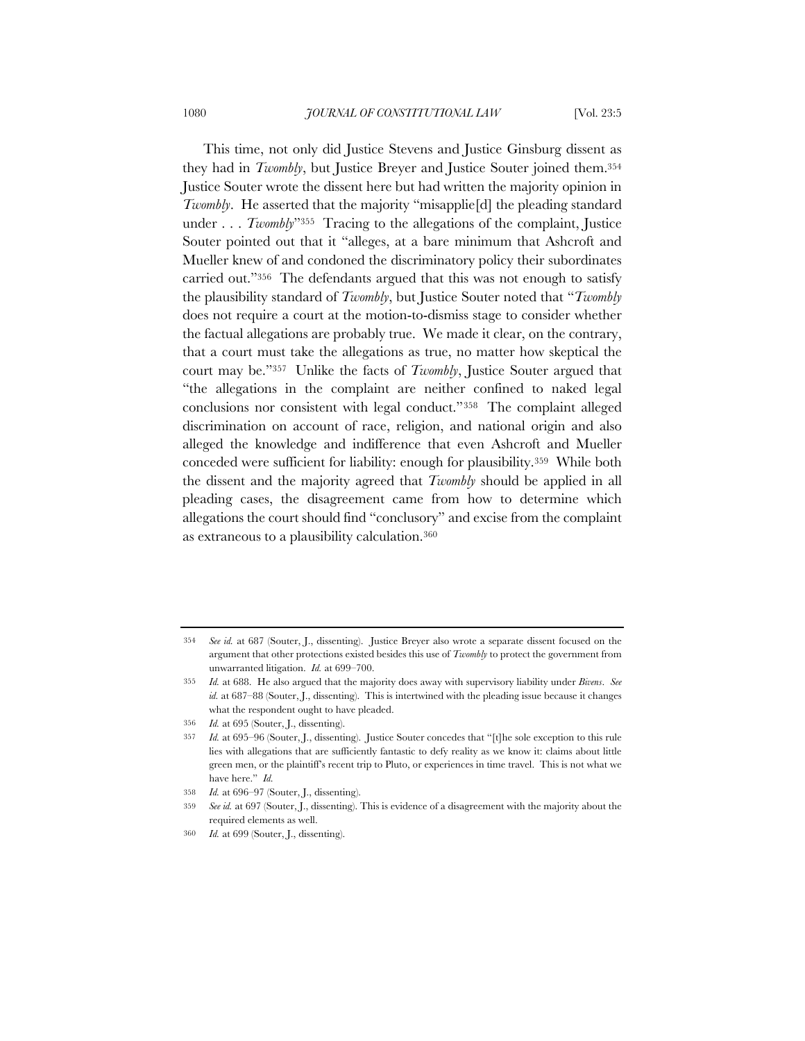This time, not only did Justice Stevens and Justice Ginsburg dissent as they had in *Twombly*, but Justice Breyer and Justice Souter joined them.354 Justice Souter wrote the dissent here but had written the majority opinion in *Twombly*. He asserted that the majority "misapplie<sup>[d]</sup> the pleading standard under . . . *Twombly*"355 Tracing to the allegations of the complaint, Justice Souter pointed out that it "alleges, at a bare minimum that Ashcroft and Mueller knew of and condoned the discriminatory policy their subordinates carried out."356 The defendants argued that this was not enough to satisfy the plausibility standard of *Twombly*, but Justice Souter noted that "*Twombly* does not require a court at the motion-to-dismiss stage to consider whether the factual allegations are probably true. We made it clear, on the contrary, that a court must take the allegations as true, no matter how skeptical the court may be."357 Unlike the facts of *Twombly*, Justice Souter argued that "the allegations in the complaint are neither confined to naked legal conclusions nor consistent with legal conduct."358 The complaint alleged discrimination on account of race, religion, and national origin and also alleged the knowledge and indifference that even Ashcroft and Mueller conceded were sufficient for liability: enough for plausibility.359 While both the dissent and the majority agreed that *Twombly* should be applied in all pleading cases, the disagreement came from how to determine which allegations the court should find "conclusory" and excise from the complaint as extraneous to a plausibility calculation.360

<sup>354</sup> *See id.* at 687 (Souter, J., dissenting). Justice Breyer also wrote a separate dissent focused on the argument that other protections existed besides this use of *Twombly* to protect the government from unwarranted litigation. *Id.* at 699–700.

<sup>355</sup> *Id.* at 688. He also argued that the majority does away with supervisory liability under *Bivens*. *See id.* at 687–88 (Souter, J., dissenting). This is intertwined with the pleading issue because it changes what the respondent ought to have pleaded.

<sup>356</sup> *Id.* at 695 (Souter, J., dissenting).

<sup>357</sup> *Id.* at 695–96 (Souter, J., dissenting). Justice Souter concedes that "[t]he sole exception to this rule lies with allegations that are sufficiently fantastic to defy reality as we know it: claims about little green men, or the plaintiff's recent trip to Pluto, or experiences in time travel. This is not what we have here." *Id.*

<sup>358</sup> *Id.* at 696–97 (Souter, J., dissenting).

<sup>359</sup> *See id.* at 697 (Souter, J., dissenting). This is evidence of a disagreement with the majority about the required elements as well.

<sup>360</sup> *Id.* at 699 (Souter, J., dissenting).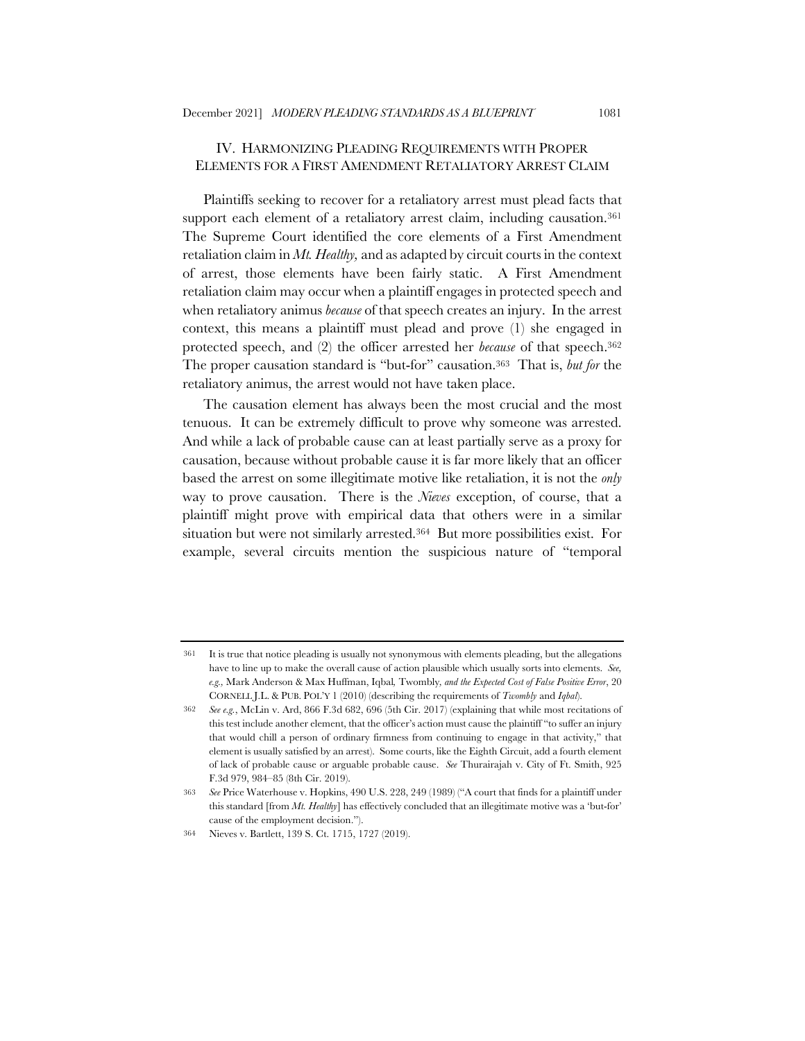## IV. HARMONIZING PLEADING REQUIREMENTS WITH PROPER ELEMENTS FOR A FIRST AMENDMENT RETALIATORY ARREST CLAIM

Plaintiffs seeking to recover for a retaliatory arrest must plead facts that support each element of a retaliatory arrest claim, including causation.<sup>361</sup> The Supreme Court identified the core elements of a First Amendment retaliation claim in *Mt. Healthy,* and as adapted by circuit courts in the context of arrest, those elements have been fairly static. A First Amendment retaliation claim may occur when a plaintiff engages in protected speech and when retaliatory animus *because* of that speech creates an injury. In the arrest context, this means a plaintiff must plead and prove (1) she engaged in protected speech, and (2) the officer arrested her *because* of that speech.362 The proper causation standard is "but-for" causation.363 That is, *but for* the retaliatory animus, the arrest would not have taken place.

The causation element has always been the most crucial and the most tenuous. It can be extremely difficult to prove why someone was arrested. And while a lack of probable cause can at least partially serve as a proxy for causation, because without probable cause it is far more likely that an officer based the arrest on some illegitimate motive like retaliation, it is not the *only* way to prove causation. There is the *Nieves* exception, of course, that a plaintiff might prove with empirical data that others were in a similar situation but were not similarly arrested.364 But more possibilities exist. For example, several circuits mention the suspicious nature of "temporal

<sup>361</sup> It is true that notice pleading is usually not synonymous with elements pleading, but the allegations have to line up to make the overall cause of action plausible which usually sorts into elements. *See, e.g.,* Mark Anderson & Max Huffman, Iqbal*,* Twombly*, and the Expected Cost of False Positive Error*, 20 CORNELL J.L. & PUB. POL'Y 1 (2010) (describing the requirements of *Twombly* and *Iqbal*).

<sup>362</sup> *See e.g.*, McLin v. Ard, 866 F.3d 682, 696 (5th Cir. 2017) (explaining that while most recitations of this test include another element, that the officer's action must cause the plaintiff "to suffer an injury that would chill a person of ordinary firmness from continuing to engage in that activity," that element is usually satisfied by an arrest). Some courts, like the Eighth Circuit, add a fourth element of lack of probable cause or arguable probable cause. *See* Thurairajah v. City of Ft. Smith, 925 F.3d 979, 984–85 (8th Cir. 2019).

<sup>363</sup> *See* Price Waterhouse v. Hopkins, 490 U.S. 228, 249 (1989) ("A court that finds for a plaintiff under this standard [from *Mt. Healthy*] has effectively concluded that an illegitimate motive was a 'but-for' cause of the employment decision.").

<sup>364</sup> Nieves v. Bartlett, 139 S. Ct. 1715, 1727 (2019).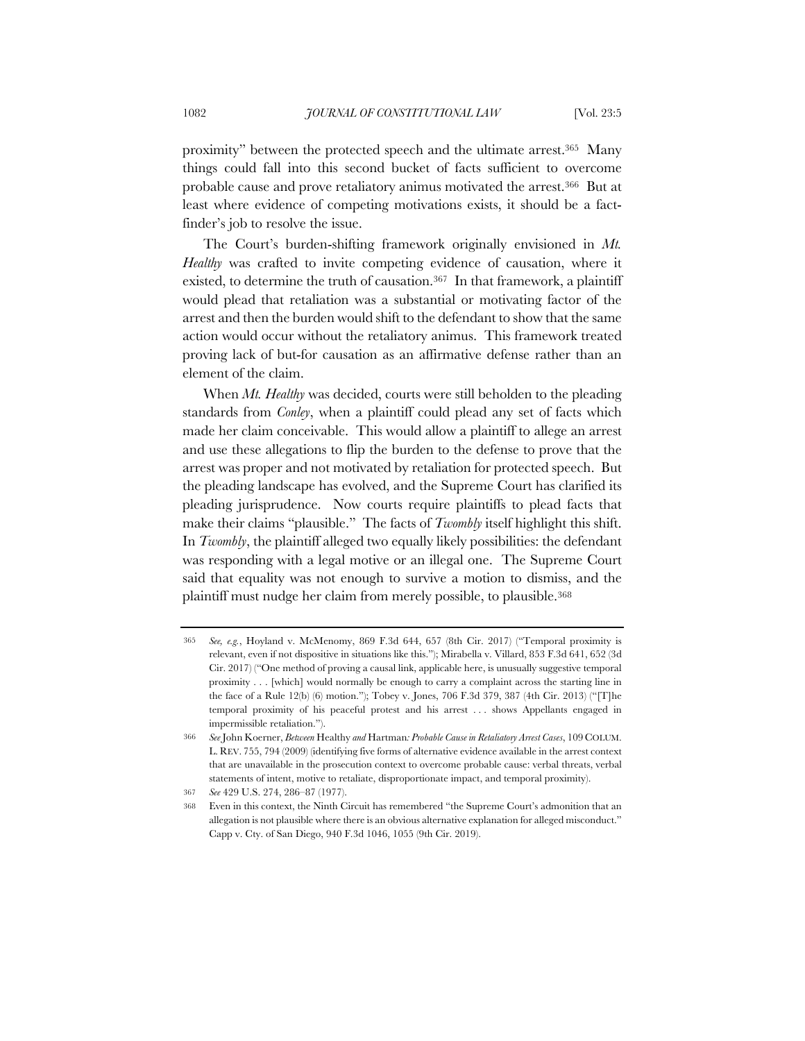proximity" between the protected speech and the ultimate arrest.365 Many things could fall into this second bucket of facts sufficient to overcome probable cause and prove retaliatory animus motivated the arrest.366 But at least where evidence of competing motivations exists, it should be a factfinder's job to resolve the issue.

The Court's burden-shifting framework originally envisioned in *Mt. Healthy* was crafted to invite competing evidence of causation, where it existed, to determine the truth of causation.367 In that framework, a plaintiff would plead that retaliation was a substantial or motivating factor of the arrest and then the burden would shift to the defendant to show that the same action would occur without the retaliatory animus. This framework treated proving lack of but-for causation as an affirmative defense rather than an element of the claim.

When *Mt. Healthy* was decided, courts were still beholden to the pleading standards from *Conley*, when a plaintiff could plead any set of facts which made her claim conceivable. This would allow a plaintiff to allege an arrest and use these allegations to flip the burden to the defense to prove that the arrest was proper and not motivated by retaliation for protected speech. But the pleading landscape has evolved, and the Supreme Court has clarified its pleading jurisprudence. Now courts require plaintiffs to plead facts that make their claims "plausible." The facts of *Twombly* itself highlight this shift. In *Twombly*, the plaintiff alleged two equally likely possibilities: the defendant was responding with a legal motive or an illegal one. The Supreme Court said that equality was not enough to survive a motion to dismiss, and the plaintiff must nudge her claim from merely possible, to plausible.368

<sup>365</sup> *See, e.g.*, Hoyland v. McMenomy, 869 F.3d 644, 657 (8th Cir. 2017) ("Temporal proximity is relevant, even if not dispositive in situations like this."); Mirabella v. Villard, 853 F.3d 641, 652 (3d Cir. 2017) ("One method of proving a causal link, applicable here, is unusually suggestive temporal proximity . . . [which] would normally be enough to carry a complaint across the starting line in the face of a Rule 12(b) (6) motion."); Tobey v. Jones, 706 F.3d 379, 387 (4th Cir. 2013) ("[T]he temporal proximity of his peaceful protest and his arrest . . . shows Appellants engaged in impermissible retaliation.").

<sup>366</sup> *See* John Koerner, *Between* Healthy *and* Hartman*: Probable Cause in Retaliatory Arrest Cases*, 109 COLUM. L. REV. 755, 794 (2009) (identifying five forms of alternative evidence available in the arrest context that are unavailable in the prosecution context to overcome probable cause: verbal threats, verbal statements of intent, motive to retaliate, disproportionate impact, and temporal proximity).

<sup>367</sup> *See* 429 U.S. 274, 286–87 (1977).

<sup>368</sup> Even in this context, the Ninth Circuit has remembered "the Supreme Court's admonition that an allegation is not plausible where there is an obvious alternative explanation for alleged misconduct." Capp v. Cty. of San Diego, 940 F.3d 1046, 1055 (9th Cir. 2019).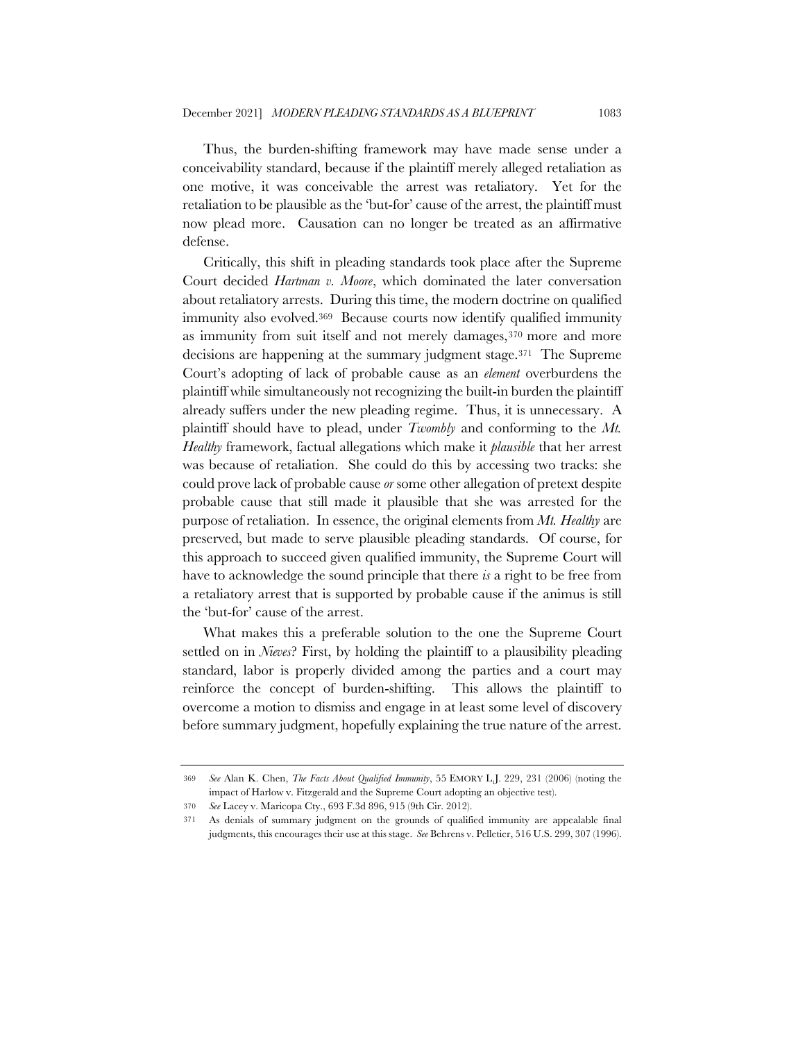Thus, the burden-shifting framework may have made sense under a conceivability standard, because if the plaintiff merely alleged retaliation as one motive, it was conceivable the arrest was retaliatory. Yet for the retaliation to be plausible as the 'but-for' cause of the arrest, the plaintiff must now plead more. Causation can no longer be treated as an affirmative defense.

Critically, this shift in pleading standards took place after the Supreme Court decided *Hartman v. Moore*, which dominated the later conversation about retaliatory arrests. During this time, the modern doctrine on qualified immunity also evolved.369 Because courts now identify qualified immunity as immunity from suit itself and not merely damages,370 more and more decisions are happening at the summary judgment stage.371 The Supreme Court's adopting of lack of probable cause as an *element* overburdens the plaintiff while simultaneously not recognizing the built-in burden the plaintiff already suffers under the new pleading regime. Thus, it is unnecessary. A plaintiff should have to plead, under *Twombly* and conforming to the *Mt. Healthy* framework, factual allegations which make it *plausible* that her arrest was because of retaliation. She could do this by accessing two tracks: she could prove lack of probable cause *or* some other allegation of pretext despite probable cause that still made it plausible that she was arrested for the purpose of retaliation. In essence, the original elements from *Mt. Healthy* are preserved, but made to serve plausible pleading standards. Of course, for this approach to succeed given qualified immunity, the Supreme Court will have to acknowledge the sound principle that there *is* a right to be free from a retaliatory arrest that is supported by probable cause if the animus is still the 'but-for' cause of the arrest.

What makes this a preferable solution to the one the Supreme Court settled on in *Nieves*? First, by holding the plaintiff to a plausibility pleading standard, labor is properly divided among the parties and a court may reinforce the concept of burden-shifting. This allows the plaintiff to overcome a motion to dismiss and engage in at least some level of discovery before summary judgment, hopefully explaining the true nature of the arrest.

<sup>369</sup> *See* Alan K. Chen, *The Facts About Qualified Immunity*, 55 EMORY L.J. 229, 231 (2006) (noting the impact of Harlow v. Fitzgerald and the Supreme Court adopting an objective test).

<sup>370</sup> *See* Lacey v. Maricopa Cty., 693 F.3d 896, 915 (9th Cir. 2012).

<sup>371</sup> As denials of summary judgment on the grounds of qualified immunity are appealable final judgments, this encourages their use at this stage. *See* Behrens v. Pelletier, 516 U.S. 299, 307 (1996).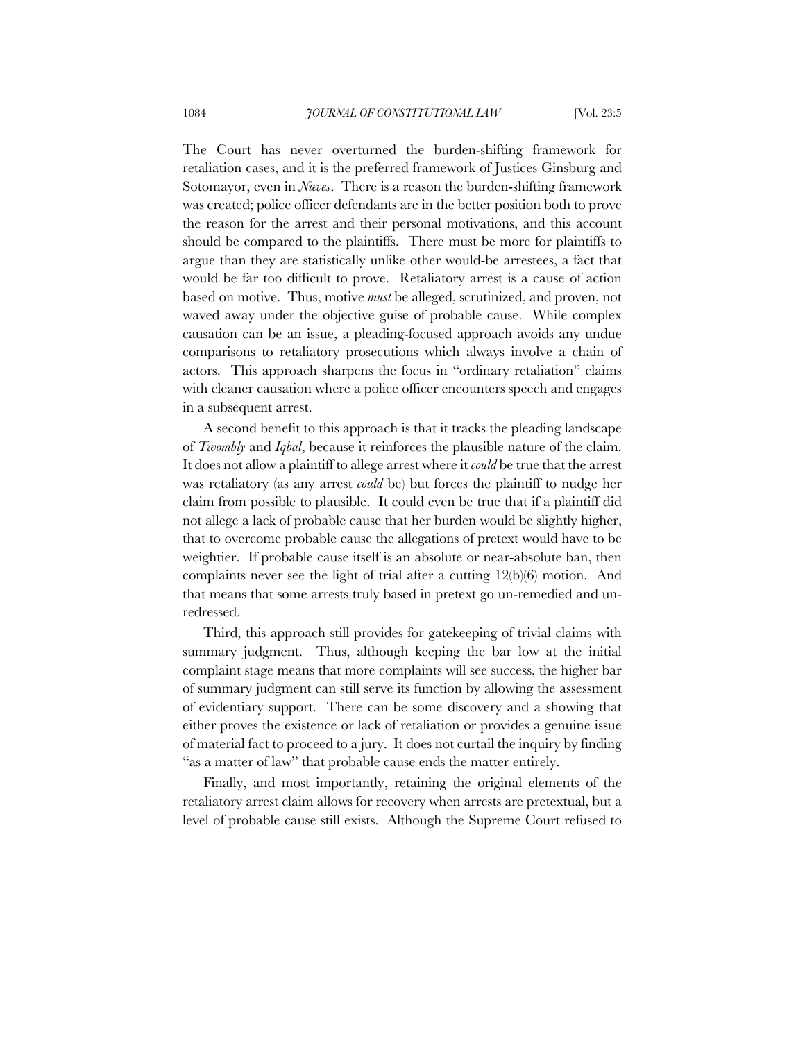The Court has never overturned the burden-shifting framework for retaliation cases, and it is the preferred framework of Justices Ginsburg and Sotomayor, even in *Nieves*. There is a reason the burden-shifting framework was created; police officer defendants are in the better position both to prove the reason for the arrest and their personal motivations, and this account should be compared to the plaintiffs. There must be more for plaintiffs to argue than they are statistically unlike other would-be arrestees, a fact that would be far too difficult to prove. Retaliatory arrest is a cause of action based on motive. Thus, motive *must* be alleged, scrutinized, and proven, not waved away under the objective guise of probable cause. While complex causation can be an issue, a pleading-focused approach avoids any undue comparisons to retaliatory prosecutions which always involve a chain of actors. This approach sharpens the focus in "ordinary retaliation" claims with cleaner causation where a police officer encounters speech and engages in a subsequent arrest.

A second benefit to this approach is that it tracks the pleading landscape of *Twombly* and *Iqbal*, because it reinforces the plausible nature of the claim. It does not allow a plaintiff to allege arrest where it *could* be true that the arrest was retaliatory (as any arrest *could* be) but forces the plaintiff to nudge her claim from possible to plausible. It could even be true that if a plaintiff did not allege a lack of probable cause that her burden would be slightly higher, that to overcome probable cause the allegations of pretext would have to be weightier. If probable cause itself is an absolute or near-absolute ban, then complaints never see the light of trial after a cutting 12(b)(6) motion. And that means that some arrests truly based in pretext go un-remedied and unredressed.

Third, this approach still provides for gatekeeping of trivial claims with summary judgment. Thus, although keeping the bar low at the initial complaint stage means that more complaints will see success, the higher bar of summary judgment can still serve its function by allowing the assessment of evidentiary support. There can be some discovery and a showing that either proves the existence or lack of retaliation or provides a genuine issue of material fact to proceed to a jury. It does not curtail the inquiry by finding "as a matter of law" that probable cause ends the matter entirely.

Finally, and most importantly, retaining the original elements of the retaliatory arrest claim allows for recovery when arrests are pretextual, but a level of probable cause still exists. Although the Supreme Court refused to